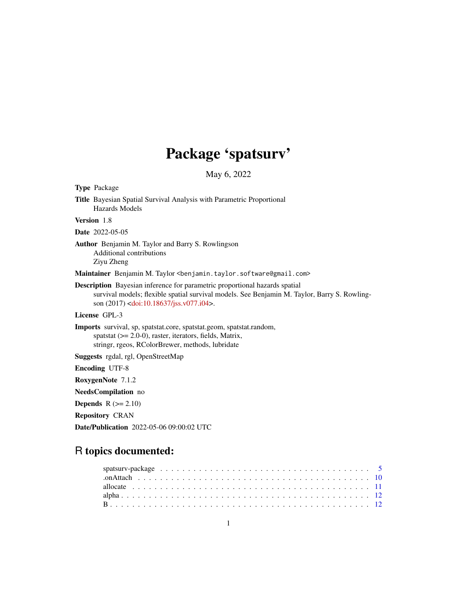# Package 'spatsurv'

May 6, 2022

| <b>Type Package</b>                                                                                                                                                                                                                            |
|------------------------------------------------------------------------------------------------------------------------------------------------------------------------------------------------------------------------------------------------|
| <b>Title</b> Bayesian Spatial Survival Analysis with Parametric Proportional<br><b>Hazards Models</b>                                                                                                                                          |
| Version 1.8                                                                                                                                                                                                                                    |
| <b>Date</b> 2022-05-05                                                                                                                                                                                                                         |
| Author Benjamin M. Taylor and Barry S. Rowlingson<br>Additional contributions<br>Ziyu Zheng                                                                                                                                                    |
| Maintainer Benjamin M. Taylor <benjamin.taylor.software@gmail.com></benjamin.taylor.software@gmail.com>                                                                                                                                        |
| <b>Description</b> Bayesian inference for parametric proportional hazards spatial<br>survival models; flexible spatial survival models. See Benjamin M. Taylor, Barry S. Rowling-<br>son (2017) <doi:10.18637 jss.v077.i04="">.</doi:10.18637> |
| License GPL-3                                                                                                                                                                                                                                  |
| Imports survival, sp, spatstat.core, spatstat.geom, spatstat.random,<br>spatstat $(>= 2.0-0)$ , raster, iterators, fields, Matrix,<br>stringr, rgeos, RColorBrewer, methods, lubridate                                                         |
| Suggests rgdal, rgl, OpenStreetMap                                                                                                                                                                                                             |
| <b>Encoding UTF-8</b>                                                                                                                                                                                                                          |
| RoxygenNote 7.1.2                                                                                                                                                                                                                              |
| <b>NeedsCompilation</b> no                                                                                                                                                                                                                     |
| <b>Depends</b> $R (= 2.10)$                                                                                                                                                                                                                    |
| <b>Repository CRAN</b>                                                                                                                                                                                                                         |
| <b>Date/Publication</b> 2022-05-06 09:00:02 UTC                                                                                                                                                                                                |
|                                                                                                                                                                                                                                                |

# R topics documented: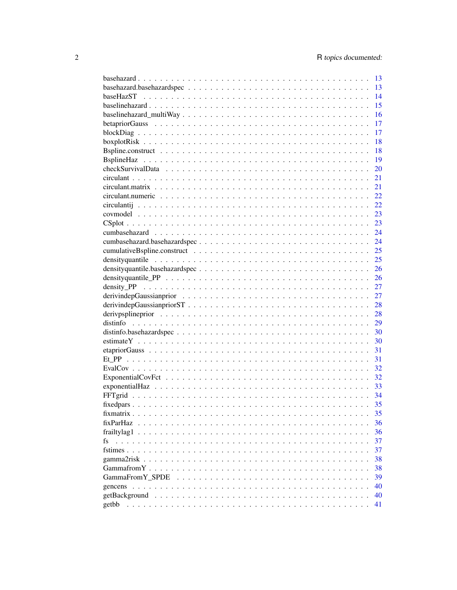|                  | 13 |
|------------------|----|
|                  | 13 |
|                  | 14 |
|                  | 15 |
|                  | 16 |
|                  | 17 |
|                  | 17 |
|                  | 18 |
|                  | 18 |
|                  | 19 |
|                  | 20 |
|                  | 21 |
|                  | 21 |
|                  | 22 |
|                  | 22 |
|                  | 23 |
|                  | 23 |
|                  | 24 |
|                  | 24 |
|                  | 25 |
|                  | 25 |
|                  | 26 |
|                  |    |
|                  | 26 |
|                  | 27 |
|                  | 27 |
|                  | 28 |
|                  | 28 |
|                  | 29 |
|                  | 30 |
|                  | 30 |
|                  | 31 |
|                  | 31 |
|                  | 32 |
|                  | 32 |
|                  | 33 |
|                  |    |
|                  | 35 |
|                  | 35 |
| fixParHaz        | 36 |
| frailty $\log 1$ | 36 |
| fs<br>.          | 37 |
|                  | 37 |
| gamma2risk       | 38 |
|                  | 38 |
| GammaFromY SPDE  | 39 |
|                  | 40 |
| getBackground    | 40 |
| getbb            | 41 |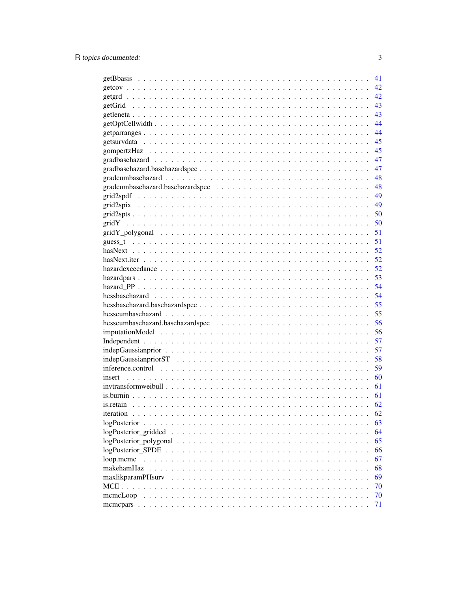|                                                                                                                | 41 |
|----------------------------------------------------------------------------------------------------------------|----|
|                                                                                                                | 42 |
|                                                                                                                | 42 |
|                                                                                                                | 43 |
|                                                                                                                | 43 |
|                                                                                                                | 44 |
|                                                                                                                | 44 |
|                                                                                                                | 45 |
|                                                                                                                | 45 |
|                                                                                                                | 47 |
|                                                                                                                | 47 |
|                                                                                                                | 48 |
|                                                                                                                | 48 |
|                                                                                                                | 49 |
|                                                                                                                | 49 |
|                                                                                                                | 50 |
|                                                                                                                | 50 |
|                                                                                                                | 51 |
|                                                                                                                | 51 |
|                                                                                                                | 52 |
|                                                                                                                | 52 |
|                                                                                                                | 52 |
|                                                                                                                | 53 |
|                                                                                                                | 54 |
|                                                                                                                | 54 |
|                                                                                                                | 55 |
|                                                                                                                | 55 |
|                                                                                                                | 56 |
|                                                                                                                | 56 |
|                                                                                                                | 57 |
|                                                                                                                | 57 |
|                                                                                                                | 58 |
| inference.control $\ldots \ldots \ldots \ldots \ldots \ldots \ldots \ldots \ldots \ldots \ldots \ldots \ldots$ | 59 |
|                                                                                                                | 60 |
|                                                                                                                | 61 |
|                                                                                                                | 61 |
|                                                                                                                | 62 |
| iteration                                                                                                      | 62 |
| logPosterior.                                                                                                  | 63 |
|                                                                                                                | 64 |
|                                                                                                                | 65 |
| $logPosterior$ SPDE $\ldots$                                                                                   | 66 |
| loop.mcmc                                                                                                      | 67 |
| makehamHaz                                                                                                     | 68 |
| maxlikparamPHsurv                                                                                              | 69 |
| $MCE \ldots$                                                                                                   | 70 |
| memeLoop                                                                                                       | 70 |
|                                                                                                                | 71 |
|                                                                                                                |    |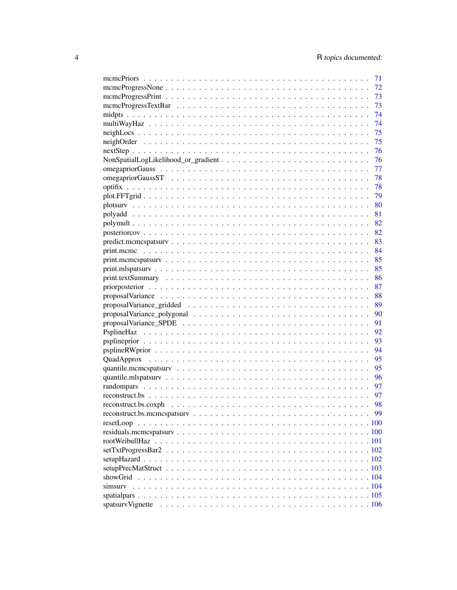| 71   |
|------|
| 72   |
| 73   |
| 73   |
| 74   |
| 74   |
| 75   |
| 75   |
| 76   |
| - 76 |
| 77   |
| 78   |
| 78   |
| 79   |
| - 80 |
|      |
|      |
| 82   |
| 83   |
| 84   |
| 85   |
| 85   |
| 86   |
| 87   |
|      |
|      |
| 90   |
| 91   |
| 92   |
| 93   |
|      |
|      |
| 95   |
|      |
| - 96 |
|      |
| - 97 |
| 98   |
| 99   |
|      |
|      |
|      |
|      |
|      |
|      |
|      |
|      |
|      |
|      |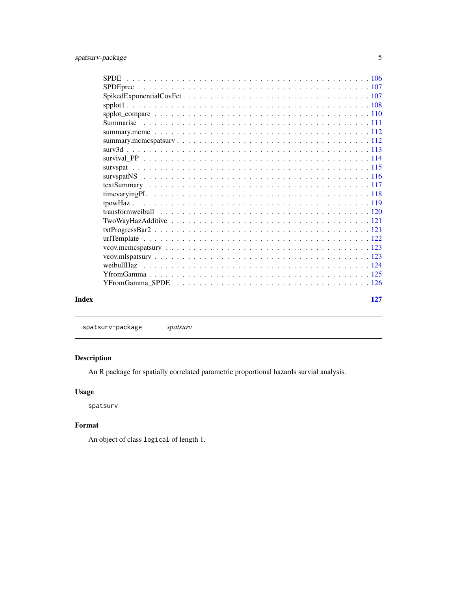<span id="page-4-0"></span>

|       | weibullHaz |     |
|-------|------------|-----|
|       |            |     |
|       |            |     |
| Index |            | 127 |

spatsurv-package *spatsurv*

## Description

An R package for spatially correlated parametric proportional hazards survial analysis.

## Usage

spatsurv

### Format

An object of class logical of length 1.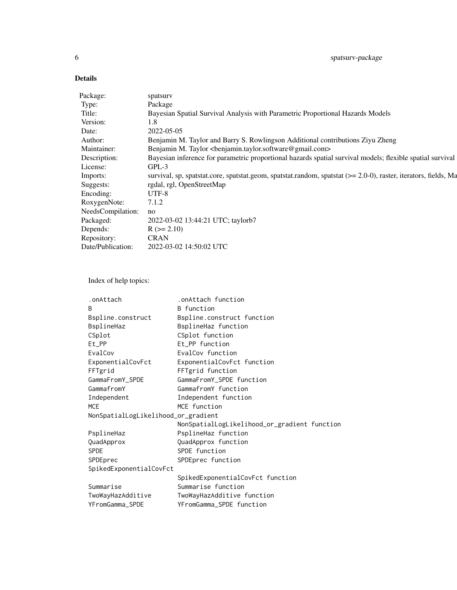### Details

| spatsury                                                                                                           |
|--------------------------------------------------------------------------------------------------------------------|
| Package                                                                                                            |
| Bayesian Spatial Survival Analysis with Parametric Proportional Hazards Models                                     |
| 1.8                                                                                                                |
| 2022-05-05                                                                                                         |
| Benjamin M. Taylor and Barry S. Rowlingson Additional contributions Ziyu Zheng                                     |
| Benjamin M. Taylor<br>benjamin.taylor.software@gmail.com>                                                          |
| Bayesian inference for parametric proportional hazards spatial survival models; flexible spatial survival          |
| $GPL-3$                                                                                                            |
| survival, sp, spatstat.core, spatstat.geom, spatstat.random, spatstat $(>= 2.0-0)$ , raster, iterators, fields, Ma |
| rgdal, rgl, OpenStreetMap                                                                                          |
| UTF-8                                                                                                              |
| 7.1.2                                                                                                              |
| no                                                                                                                 |
| 2022-03-02 13:44:21 UTC; taylorb7                                                                                  |
| $R (= 2.10)$                                                                                                       |
| <b>CRAN</b>                                                                                                        |
| 2022-03-02 14:50:02 UTC                                                                                            |
|                                                                                                                    |

Index of help topics:

| .onAttach                           | .onAttach function                           |
|-------------------------------------|----------------------------------------------|
| B                                   | <b>B</b> function                            |
| Bspline.construct                   | Bspline.construct function                   |
| BsplineHaz                          | BsplineHaz function                          |
| CSplot                              | CSplot function                              |
| Et_PP                               | Et_PP function                               |
| EvalCov                             | EvalCov function                             |
| ExponentialCovFct                   | ExponentialCovFct function                   |
| FFTgrid                             | FFTgrid function                             |
| GammaFromY_SPDE                     | GammaFromY_SPDE function                     |
| GammafromY                          | GammafromY function                          |
| Independent                         | Independent function                         |
| <b>MCE</b>                          | MCE function                                 |
| NonSpatialLogLikelihood_or_gradient |                                              |
|                                     | NonSpatialLogLikelihood_or_gradient function |
| PsplineHaz                          | PsplineHaz function                          |
| QuadApprox                          | QuadApprox function                          |
| <b>SPDE</b>                         | SPDE function                                |
| SPDEprec                            | SPDEprec function                            |
| SpikedExponentialCovFct             |                                              |
|                                     | SpikedExponentialCovFct function             |
| Summarise                           | Summarise function                           |
|                                     |                                              |
| TwoWayHazAdditive                   | TwoWayHazAdditive function                   |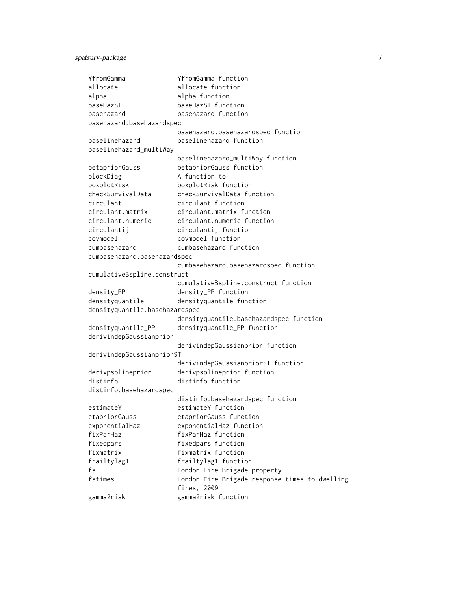## spatsurv-package 7

| YfromGamma                     | YfromGamma function                            |
|--------------------------------|------------------------------------------------|
| allocate                       | allocate function                              |
| alpha                          | alpha function                                 |
| baseHazST                      | baseHazST function                             |
| basehazard                     | basehazard function                            |
| basehazard.basehazardspec      |                                                |
|                                | basehazard.basehazardspec function             |
| baselinehazard                 | baselinehazard function                        |
| baselinehazard_multiWay        |                                                |
|                                | baselinehazard_multiWay function               |
| betapriorGauss                 | betapriorGauss function                        |
| blockDiag                      | A function to                                  |
| boxplotRisk                    | boxplotRisk function                           |
| checkSurvivalData              | checkSurvivalData function                     |
| circulant                      | circulant function                             |
| circulant.matrix               | circulant.matrix function                      |
| circulant.numeric              | circulant.numeric function                     |
| circulantij                    | circulantij function                           |
| covmodel                       | covmodel function                              |
| cumbasehazard                  | cumbasehazard function                         |
| cumbasehazard.basehazardspec   |                                                |
|                                | cumbasehazard.basehazardspec function          |
| cumulativeBspline.construct    |                                                |
|                                | cumulativeBspline.construct function           |
| density_PP                     | density_PP function                            |
| densityquantile                | densityquantile function                       |
| densityquantile.basehazardspec |                                                |
|                                | densityquantile.basehazardspec function        |
| densityquantile_PP             | densityquantile_PP function                    |
| derivindepGaussianprior        |                                                |
|                                | derivindepGaussianprior function               |
| derivindepGaussianpriorST      |                                                |
|                                | derivindepGaussianpriorST function             |
| derivpsplineprior              | derivpsplineprior function                     |
| distinfo                       | distinfo function                              |
| distinfo.basehazardspec        |                                                |
|                                | distinfo.basehazardspec function               |
| estimateY                      | estimateY function                             |
| etapriorGauss                  | etapriorGauss function                         |
| exponentialHaz                 | exponentialHaz function                        |
| fixParHaz                      | fixParHaz function                             |
| fixedpars                      | fixedpars function                             |
| fixmatrix                      | fixmatrix function                             |
| frailtylag1                    | frailtylag1 function                           |
| fs                             | London Fire Brigade property                   |
| fstimes                        | London Fire Brigade response times to dwelling |
|                                | fires, 2009                                    |
| gamma2risk                     | gamma2risk function                            |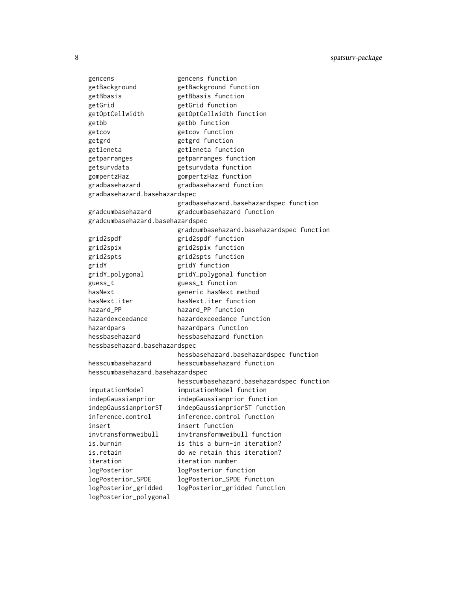| gencens                          | gencens function                          |
|----------------------------------|-------------------------------------------|
| getBackground                    | getBackground function                    |
| getBbasis                        | getBbasis function                        |
| getGrid                          | getGrid function                          |
| getOptCellwidth                  | getOptCellwidth function                  |
| getbb                            | getbb function                            |
| getcov                           | getcov function                           |
| getgrd                           | getgrd function                           |
| getleneta                        | getleneta function                        |
| getparranges                     | getparranges function                     |
| getsurvdata                      | getsurvdata function                      |
| gompertzHaz                      | gompertzHaz function                      |
| gradbasehazard                   | gradbasehazard function                   |
| gradbasehazard.basehazardspec    |                                           |
|                                  | gradbasehazard.basehazardspec function    |
| gradcumbasehazard                | gradcumbasehazard function                |
| gradcumbasehazard.basehazardspec |                                           |
|                                  | gradcumbasehazard.basehazardspec function |
| grid2spdf                        | grid2spdf function                        |
| grid2spix                        | grid2spix function                        |
| grid2spts                        | grid2spts function                        |
| gridY                            | gridY function                            |
| gridY_polygonal                  | gridY_polygonal function                  |
| guess_t                          | guess_t function                          |
| hasNext                          | generic hasNext method                    |
| hasNext.iter                     | hasNext.iter function                     |
| hazard_PP                        | hazard PP function                        |
| hazardexceedance                 | hazardexceedance function                 |
| hazardpars                       | hazardpars function                       |
| hessbasehazard                   | hessbasehazard function                   |
| hessbasehazard.basehazardspec    |                                           |
|                                  | hessbasehazard.basehazardspec function    |
| hesscumbasehazard                | hesscumbasehazard function                |
| hesscumbasehazard.basehazardspec |                                           |
|                                  | hesscumbasehazard.basehazardspec function |
| imputationModel                  | imputationModel function                  |
| indepGaussianprior               | indepGaussianprior function               |
| indepGaussianpriorST             | indepGaussianpriorST function             |
| inference.control                | inference.control function                |
| insert                           | insert function                           |
| invtransformweibull              | invtransformweibull function              |
| is.burnin                        | is this a burn-in iteration?              |
| is.retain                        | do we retain this iteration?              |
| iteration                        | iteration number                          |
| logPosterior                     | logPosterior function                     |
| logPosterior_SPDE                | logPosterior_SPDE function                |
| logPosterior_gridded             | logPosterior_gridded function             |
| logPosterior_polygonal           |                                           |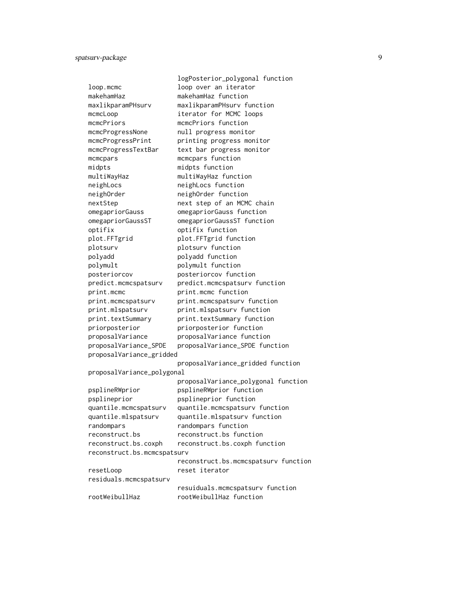|                             | logPosterior_polygonal function      |
|-----------------------------|--------------------------------------|
| loop.mcmc                   | loop over an iterator                |
| makehamHaz                  | makehamHaz function                  |
| maxlikparamPHsurv           | maxlikparamPHsurv function           |
| mcmcLoop                    | iterator for MCMC loops              |
| mcmcPriors                  | mcmcPriors function                  |
| mcmcProgressNone            | null progress monitor                |
| mcmcProgressPrint           | printing progress monitor            |
| mcmcProgressTextBar         | text bar progress monitor            |
| mcmcpars                    | mcmcpars function                    |
| midpts                      | midpts function                      |
| multiWayHaz                 | multiWayHaz function                 |
| neighLocs                   | neighLocs function                   |
| neighOrder                  | neighOrder function                  |
| nextStep                    | next step of an MCMC chain           |
| omegapriorGauss             | omegapriorGauss function             |
| omegapriorGaussST           | omegapriorGaussST function           |
| optifix                     | optifix function                     |
| plot.FFTgrid                | plot.FFTgrid function                |
| plotsurv                    | plotsurv function                    |
| polyadd                     | polyadd function                     |
| polymult                    | polymult function                    |
| posteriorcov                | posteriorcov function                |
| predict.mcmcspatsurv        | predict.mcmcspatsurv function        |
| print.mcmc                  | print.mcmc function                  |
| print.mcmcspatsurv          | print.mcmcspatsurv function          |
| print.mlspatsurv            | print.mlspatsurv function            |
| print.textSummary           | print.textSummary function           |
| priorposterior              | priorposterior function              |
| proposalVariance            | proposalVariance function            |
| proposalVariance_SPDE       | proposalVariance_SPDE function       |
| proposalVariance_gridded    |                                      |
|                             | proposalVariance_gridded function    |
| proposalVariance_polygonal  |                                      |
|                             | proposalVariance_polygonal function  |
| psplineRWprior              | psplineRWprior function              |
| psplineprior                | psplineprior function                |
| quantile.mcmcspatsurv       | quantile.mcmcspatsurv function       |
| quantile.mlspatsurv         | quantile.mlspatsurv function         |
| randompars                  | randompars function                  |
| reconstruct.bs              | reconstruct.bs function              |
| reconstruct.bs.coxph        | reconstruct.bs.coxph function        |
| reconstruct.bs.mcmcspatsurv |                                      |
|                             | reconstruct.bs.mcmcspatsurv function |
| resetLoop                   | reset iterator                       |
| residuals.mcmcspatsurv      |                                      |
|                             | resuiduals.mcmcspatsurv function     |
| rootWeibullHaz              | rootWeibullHaz function              |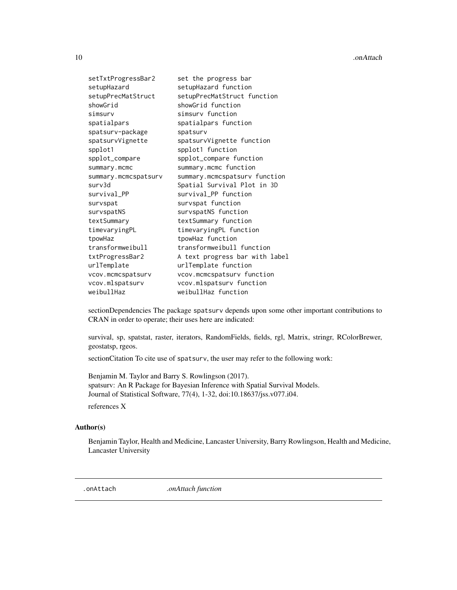<span id="page-9-0"></span>

| setTxtProgressBar2   | set the progress bar           |
|----------------------|--------------------------------|
| setupHazard          | setupHazard function           |
| setupPrecMatStruct   | setupPrecMatStruct function    |
| showGrid             | showGrid function              |
| simsurv              | simsury function               |
| spatialpars          | spatialpars function           |
| spatsurv-package     | spatsurv                       |
| spatsurvVignette     | spatsurvVignette function      |
| spplot1              | spplot1 function               |
| spplot_compare       | spplot_compare function        |
| summary.mcmc         | summary.mcmc function          |
| summary.mcmcspatsurv | summary.mcmcspatsurv function  |
| surv3d               | Spatial Survival Plot in 3D    |
| survival_PP          | survival_PP function           |
| survspat             | survspat function              |
| survspatNS           | survspatNS function            |
| textSummary          | textSummary function           |
| timevaryingPL        | timevaryingPL function         |
| tpowHaz              | tpowHaz function               |
| transformweibull     | transformweibull function      |
| txtProgressBar2      | A text progress bar with label |
| urlTemplate          | urlTemplate function           |
| vcov.mcmcspatsurv    | vcov.mcmcspatsurv function     |
| vcov.mlspatsurv      | vcov.mlspatsurv function       |
| weibullHaz           | weibullHaz function            |

sectionDependencies The package spatsurv depends upon some other important contributions to CRAN in order to operate; their uses here are indicated:

survival, sp, spatstat, raster, iterators, RandomFields, fields, rgl, Matrix, stringr, RColorBrewer, geostatsp, rgeos.

sectionCitation To cite use of spatsurv, the user may refer to the following work:

Benjamin M. Taylor and Barry S. Rowlingson (2017). spatsurv: An R Package for Bayesian Inference with Spatial Survival Models. Journal of Statistical Software, 77(4), 1-32, doi:10.18637/jss.v077.i04.

references X

### Author(s)

Benjamin Taylor, Health and Medicine, Lancaster University, Barry Rowlingson, Health and Medicine, Lancaster University

.onAttach *.onAttach function*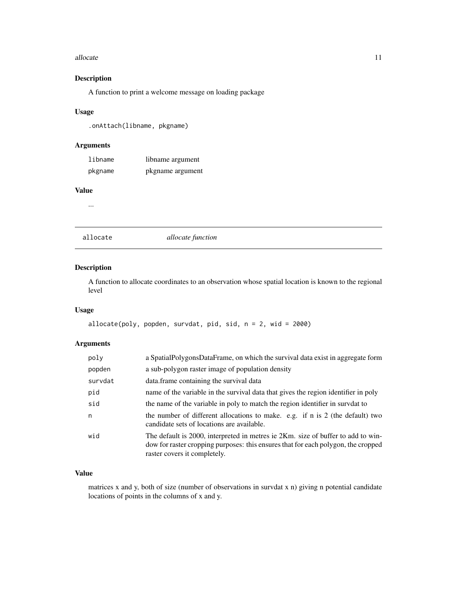#### <span id="page-10-0"></span>allocate the contract of the contract of the contract of the contract of the contract of the contract of the contract of the contract of the contract of the contract of the contract of the contract of the contract of the c

### Description

A function to print a welcome message on loading package

#### Usage

.onAttach(libname, pkgname)

#### Arguments

| libname | libname argument |
|---------|------------------|
| pkgname | pkgname argument |

#### Value

...

allocate *allocate function*

### Description

A function to allocate coordinates to an observation whose spatial location is known to the regional level

#### Usage

```
allocate(poly, popden, survival, pid, sid, n = 2, wid = 2000)
```
### Arguments

| poly    | a SpatialPolygonsDataFrame, on which the survival data exist in aggregate form                                                                                                                        |
|---------|-------------------------------------------------------------------------------------------------------------------------------------------------------------------------------------------------------|
| popden  | a sub-polygon raster image of population density                                                                                                                                                      |
| survdat | data.frame containing the survival data                                                                                                                                                               |
| pid     | name of the variable in the survival data that gives the region identifier in poly                                                                                                                    |
| sid     | the name of the variable in poly to match the region identifier in survel to                                                                                                                          |
| n       | the number of different allocations to make. e.g. if n is 2 (the default) two<br>candidate sets of locations are available.                                                                           |
| wid     | The default is 2000, interpreted in metres ie 2Km. size of buffer to add to win-<br>dow for raster cropping purposes: this ensures that for each polygon, the cropped<br>raster covers it completely. |

### Value

matrices x and y, both of size (number of observations in survdat x n) giving n potential candidate locations of points in the columns of x and y.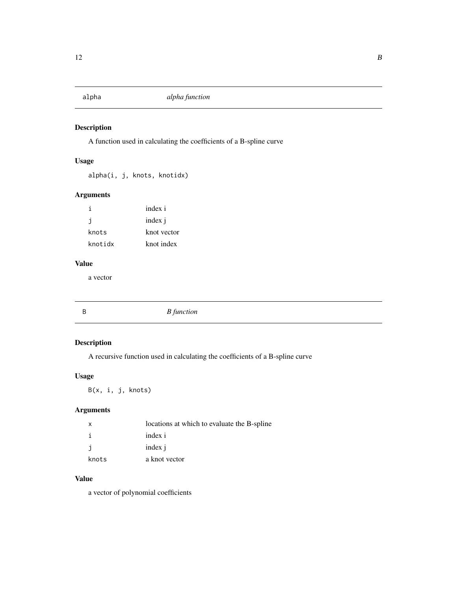<span id="page-11-0"></span>

A function used in calculating the coefficients of a B-spline curve

### Usage

alpha(i, j, knots, knotidx)

### Arguments

| i       | index i     |
|---------|-------------|
| j       | index j     |
| knots   | knot vector |
| knotidx | knot index  |

### Value

a vector

| $\overline{B}$ | <b>B</b> function |  |
|----------------|-------------------|--|
|                |                   |  |

### Description

A recursive function used in calculating the coefficients of a B-spline curve

### Usage

B(x, i, j, knots)

### Arguments

| $\mathsf{x}$ | locations at which to evaluate the B-spline |
|--------------|---------------------------------------------|
|              | index i                                     |
| -i           | index i                                     |
| knots        | a knot vector                               |

### Value

a vector of polynomial coefficients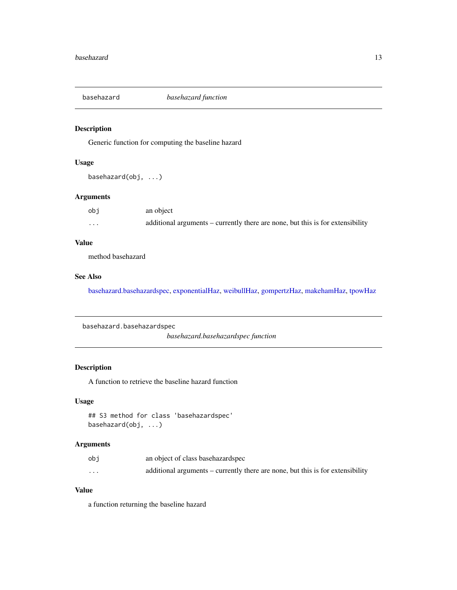<span id="page-12-0"></span>

Generic function for computing the baseline hazard

### Usage

basehazard(obj, ...)

### Arguments

| obi | an object                                                                      |
|-----|--------------------------------------------------------------------------------|
| .   | additional arguments – currently there are none, but this is for extensibility |

### Value

method basehazard

### See Also

[basehazard.basehazardspec,](#page-12-1) [exponentialHaz,](#page-32-1) [weibullHaz,](#page-123-1) [gompertzHaz,](#page-44-1) [makehamHaz,](#page-67-1) [tpowHaz](#page-118-1)

<span id="page-12-1"></span>basehazard.basehazardspec

*basehazard.basehazardspec function*

### Description

A function to retrieve the baseline hazard function

### Usage

## S3 method for class 'basehazardspec' basehazard(obj, ...)

### Arguments

| obi      | an object of class base hazard spec                                            |
|----------|--------------------------------------------------------------------------------|
| $\cdots$ | additional arguments – currently there are none, but this is for extensibility |

### Value

a function returning the baseline hazard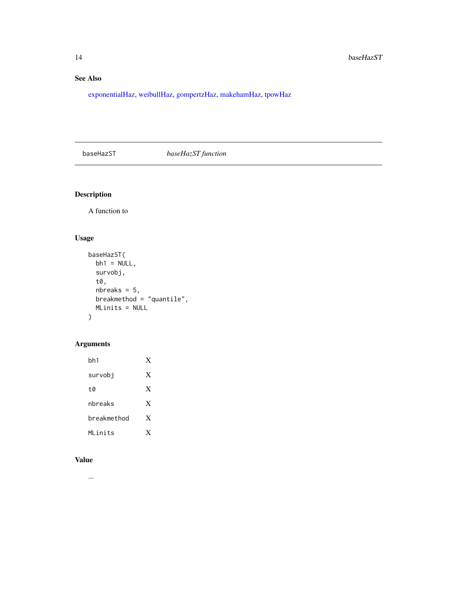### <span id="page-13-0"></span>See Also

[exponentialHaz,](#page-32-1) [weibullHaz,](#page-123-1) [gompertzHaz,](#page-44-1) [makehamHaz,](#page-67-1) [tpowHaz](#page-118-1)

### baseHazST *baseHazST function*

### Description

A function to

### Usage

```
baseHazST(
 bh1 = NULL,survobj,
  t0,
  nbreaks = 5,
 breakmethod = "quantile",
 MLinits = NULL
)
```
### Arguments

| bh1         | X |
|-------------|---|
| survobi     | X |
| tØ          | X |
| nbreaks     | X |
| breakmethod | X |
| MI inits    | X |

### Value

...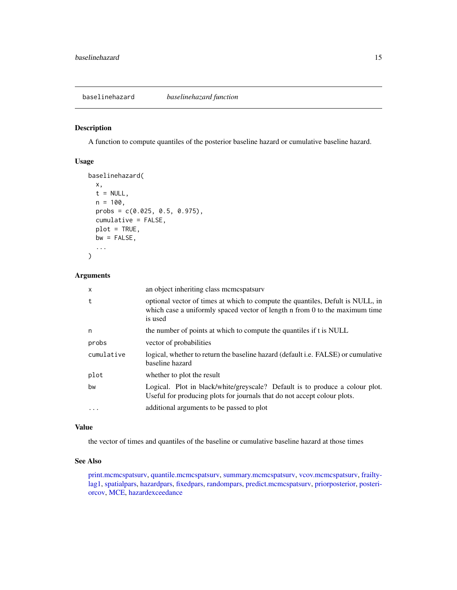<span id="page-14-1"></span><span id="page-14-0"></span>A function to compute quantiles of the posterior baseline hazard or cumulative baseline hazard.

#### Usage

```
baselinehazard(
  x,
  t = NULL,n = 100,
 probs = c(0.025, 0.5, 0.975),
  cumulative = FALSE,
 plot = TRUE,
 bw = FALSE,...
)
```
### Arguments

| X          | an object inheriting class memespatsury                                                                                                                                  |
|------------|--------------------------------------------------------------------------------------------------------------------------------------------------------------------------|
| t          | optional vector of times at which to compute the quantiles, Defult is NULL, in<br>which case a uniformly spaced vector of length n from 0 to the maximum time<br>is used |
| n          | the number of points at which to compute the quantiles if t is NULL                                                                                                      |
| probs      | vector of probabilities                                                                                                                                                  |
| cumulative | logical, whether to return the baseline hazard (default i.e. FALSE) or cumulative<br>baseline hazard                                                                     |
| plot       | whether to plot the result                                                                                                                                               |
| bw         | Logical. Plot in black/white/greyscale? Default is to produce a colour plot.<br>Useful for producing plots for journals that do not accept colour plots.                 |
| $\ddots$ . | additional arguments to be passed to plot                                                                                                                                |

#### Value

the vector of times and quantiles of the baseline or cumulative baseline hazard at those times

### See Also

[print.mcmcspatsurv,](#page-84-1) [quantile.mcmcspatsurv,](#page-94-1) [summary.mcmcspatsurv,](#page-111-1) [vcov.mcmcspatsurv,](#page-122-1) [frailty](#page-35-1)[lag1,](#page-35-1) [spatialpars,](#page-104-1) [hazardpars,](#page-52-1) [fixedpars,](#page-34-1) [randompars,](#page-96-1) [predict.mcmcspatsurv,](#page-82-1) [priorposterior,](#page-86-1) [posteri](#page-81-1)[orcov,](#page-81-1) [MCE,](#page-69-1) [hazardexceedance](#page-51-1)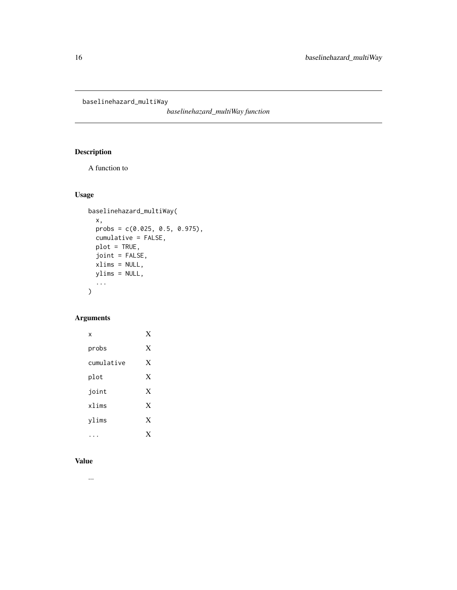<span id="page-15-0"></span>baselinehazard\_multiWay

*baselinehazard\_multiWay function*

### Description

A function to

### Usage

```
baselinehazard_multiWay(
  x,
  probs = c(0.025, 0.5, 0.975),
  cumulative = FALSE,
  plot = TRUE,
  joint = FALSE,
  xlims = NULL,
  ylims = NULL,
  ...
\mathcal{L}
```
### Arguments

| x          | X |
|------------|---|
| probs      | X |
| cumulative | X |
| plot       | X |
| joint      | X |
| xlims      | X |
| ylims      | X |
|            | x |

### Value

...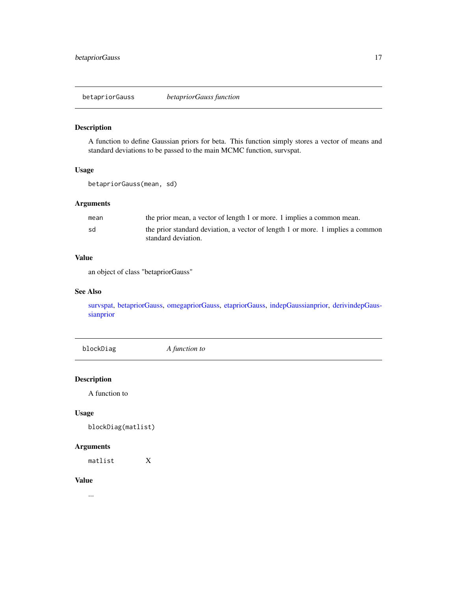<span id="page-16-1"></span><span id="page-16-0"></span>betapriorGauss *betapriorGauss function*

### Description

A function to define Gaussian priors for beta. This function simply stores a vector of means and standard deviations to be passed to the main MCMC function, survspat.

### Usage

betapriorGauss(mean, sd)

### Arguments

| mean | the prior mean, a vector of length 1 or more. 1 implies a common mean.         |
|------|--------------------------------------------------------------------------------|
| sd   | the prior standard deviation, a vector of length 1 or more. 1 implies a common |
|      | standard deviation.                                                            |

### Value

an object of class "betapriorGauss"

#### See Also

[survspat,](#page-114-1) [betapriorGauss,](#page-16-1) [omegapriorGauss,](#page-76-1) [etapriorGauss,](#page-30-1) [indepGaussianprior,](#page-56-1) [derivindepGaus](#page-26-1)[sianprior](#page-26-1)

blockDiag *A function to*

Description

A function to

### Usage

blockDiag(matlist)

#### Arguments

matlist X

#### Value

...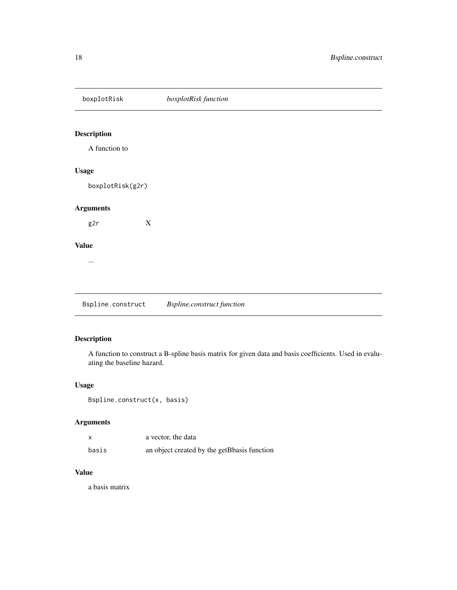### <span id="page-17-0"></span>boxplotRisk *boxplotRisk function*

### Description

A function to

### Usage

boxplotRisk(g2r)

### Arguments

g2r X

#### Value

...

Bspline.construct *Bspline.construct function*

### Description

A function to construct a B-spline basis matrix for given data and basis coefficients. Used in evaluating the baseline hazard.

### Usage

```
Bspline.construct(x, basis)
```
### Arguments

| x     | a vector, the data                          |
|-------|---------------------------------------------|
| basis | an object created by the getBbasis function |

### Value

a basis matrix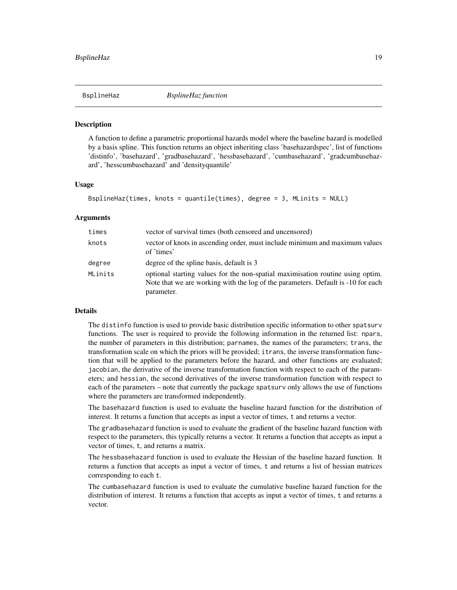<span id="page-18-0"></span>

A function to define a parametric proportional hazards model where the baseline hazard is modelled by a basis spline. This function returns an object inheriting class 'basehazardspec', list of functions 'distinfo', 'basehazard', 'gradbasehazard', 'hessbasehazard', 'cumbasehazard', 'gradcumbasehazard', 'hesscumbasehazard' and 'densityquantile'

#### Usage

```
BsplineHaz(times, knots = quantile(times), degree = 3, MLinits = NULL)
```
#### Arguments

| times   | vector of survival times (both censored and uncensored)                                                                                                                          |
|---------|----------------------------------------------------------------------------------------------------------------------------------------------------------------------------------|
| knots   | vector of knots in ascending order, must include minimum and maximum values<br>of 'times'                                                                                        |
| degree  | degree of the spline basis, default is 3                                                                                                                                         |
| MLinits | optional starting values for the non-spatial maximisation routine using optim.<br>Note that we are working with the log of the parameters. Default is -10 for each<br>parameter. |

### Details

The distinfo function is used to provide basic distribution specific information to other spatsurv functions. The user is required to provide the following information in the returned list: npars, the number of parameters in this distribution; parnames, the names of the parameters; trans, the transformation scale on which the priors will be provided; itrans, the inverse transformation function that will be applied to the parameters before the hazard, and other functions are evaluated; jacobian, the derivative of the inverse transformation function with respect to each of the parameters; and hessian, the second derivatives of the inverse transformation function with respect to each of the parameters – note that currently the package spatsurv only allows the use of functions where the parameters are transformed independently.

The basehazard function is used to evaluate the baseline hazard function for the distribution of interest. It returns a function that accepts as input a vector of times, t and returns a vector.

The gradbasehazard function is used to evaluate the gradient of the baseline hazard function with respect to the parameters, this typically returns a vector. It returns a function that accepts as input a vector of times, t, and returns a matrix.

The hessbasehazard function is used to evaluate the Hessian of the baseline hazard function. It returns a function that accepts as input a vector of times, t and returns a list of hessian matrices corresponding to each t.

The cumbasehazard function is used to evaluate the cumulative baseline hazard function for the distribution of interest. It returns a function that accepts as input a vector of times, t and returns a vector.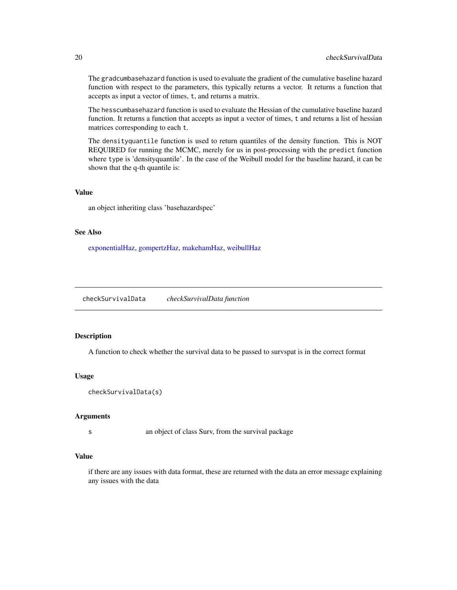The gradcumbasehazard function is used to evaluate the gradient of the cumulative baseline hazard function with respect to the parameters, this typically returns a vector. It returns a function that accepts as input a vector of times, t, and returns a matrix.

The hesscumbasehazard function is used to evaluate the Hessian of the cumulative baseline hazard function. It returns a function that accepts as input a vector of times, t and returns a list of hessian matrices corresponding to each t.

The densityquantile function is used to return quantiles of the density function. This is NOT REQUIRED for running the MCMC, merely for us in post-processing with the predict function where type is 'densityquantile'. In the case of the Weibull model for the baseline hazard, it can be shown that the q-th quantile is:

### Value

an object inheriting class 'basehazardspec'

#### See Also

[exponentialHaz,](#page-32-1) [gompertzHaz,](#page-44-1) [makehamHaz,](#page-67-1) [weibullHaz](#page-123-1)

checkSurvivalData *checkSurvivalData function*

### Description

A function to check whether the survival data to be passed to survspat is in the correct format

#### Usage

```
checkSurvivalData(s)
```
#### Arguments

s an object of class Surv, from the survival package

#### Value

if there are any issues with data format, these are returned with the data an error message explaining any issues with the data

<span id="page-19-0"></span>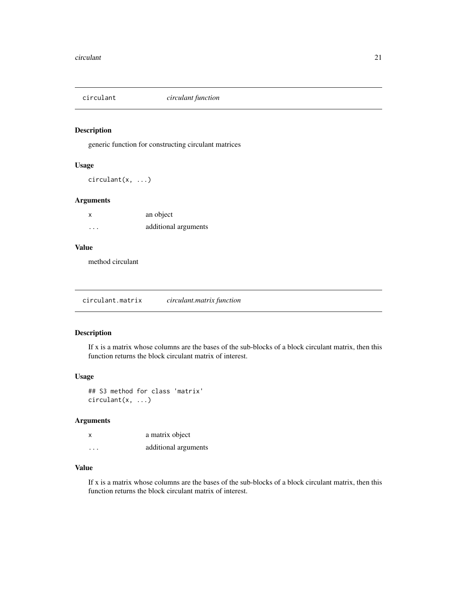<span id="page-20-0"></span>

generic function for constructing circulant matrices

#### Usage

circulant(x, ...)

### Arguments

| x       | an object            |
|---------|----------------------|
| $\cdot$ | additional arguments |

#### Value

method circulant

circulant.matrix *circulant.matrix function*

#### Description

If x is a matrix whose columns are the bases of the sub-blocks of a block circulant matrix, then this function returns the block circulant matrix of interest.

### Usage

## S3 method for class 'matrix' circulant(x, ...)

#### Arguments

| x        | a matrix object      |
|----------|----------------------|
| $\cdots$ | additional arguments |

### Value

If x is a matrix whose columns are the bases of the sub-blocks of a block circulant matrix, then this function returns the block circulant matrix of interest.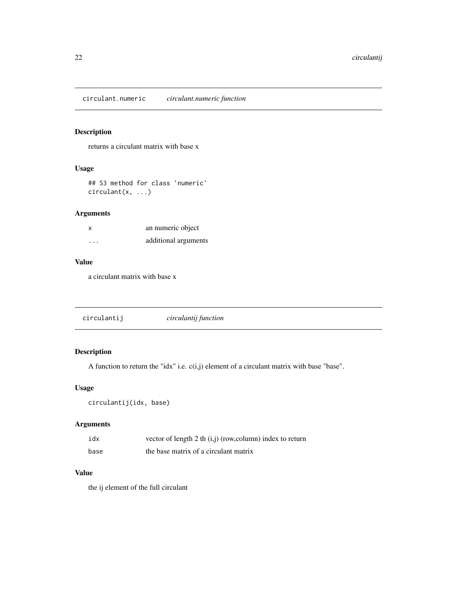<span id="page-21-0"></span>circulant.numeric *circulant.numeric function*

### Description

returns a circulant matrix with base x

### Usage

## S3 method for class 'numeric' circulant(x, ...)

### Arguments

| x         | an numeric object    |
|-----------|----------------------|
| $\ddotsc$ | additional arguments |

### Value

a circulant matrix with base x

| circulantij | circulantij function |  |
|-------------|----------------------|--|
|-------------|----------------------|--|

## Description

A function to return the "idx" i.e.  $c(i,j)$  element of a circulant matrix with base "base".

### Usage

```
circulantij(idx, base)
```
### Arguments

| idx  | vector of length 2 th $(i,j)$ (row, column) index to return |
|------|-------------------------------------------------------------|
| base | the base matrix of a circulant matrix                       |

### Value

the ij element of the full circulant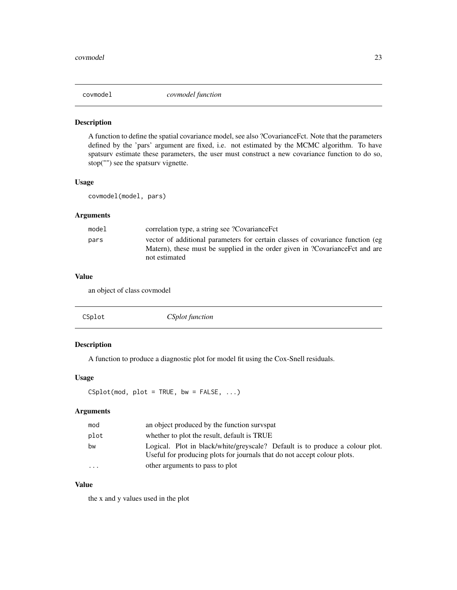<span id="page-22-1"></span><span id="page-22-0"></span>

A function to define the spatial covariance model, see also ?CovarianceFct. Note that the parameters defined by the 'pars' argument are fixed, i.e. not estimated by the MCMC algorithm. To have spatsurv estimate these parameters, the user must construct a new covariance function to do so, stop("") see the spatsurv vignette.

### Usage

covmodel(model, pars)

#### Arguments

| model | correlation type, a string see ?CovarianceFct                                                                                                                                    |
|-------|----------------------------------------------------------------------------------------------------------------------------------------------------------------------------------|
| pars  | vector of additional parameters for certain classes of covariance function (eg<br>Matern), these must be supplied in the order given in ?Covariance Fct and are<br>not estimated |
|       |                                                                                                                                                                                  |

#### Value

an object of class covmodel

| CSplot | <i>CSplot function</i> |  |
|--------|------------------------|--|
|--------|------------------------|--|

### Description

A function to produce a diagnostic plot for model fit using the Cox-Snell residuals.

### Usage

 $CSplit(mod, plot = TRUE, bw = FALSE, ...)$ 

### Arguments

| mod                  | an object produced by the function survspat                                                                                                              |
|----------------------|----------------------------------------------------------------------------------------------------------------------------------------------------------|
| plot                 | whether to plot the result, default is TRUE                                                                                                              |
| bw                   | Logical. Plot in black/white/greyscale? Default is to produce a colour plot.<br>Useful for producing plots for journals that do not accept colour plots. |
| $\ddot{\phantom{0}}$ | other arguments to pass to plot                                                                                                                          |

### Value

the x and y values used in the plot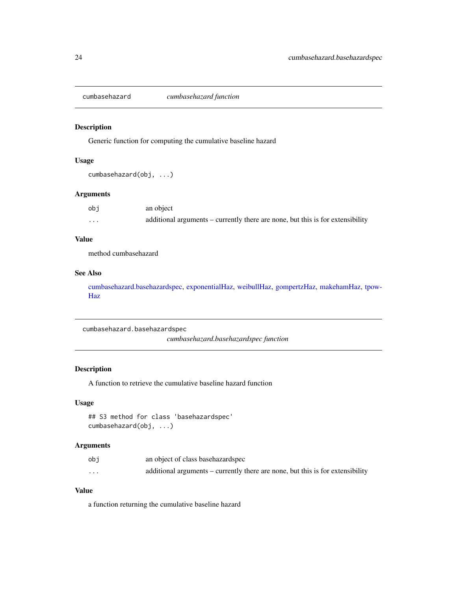<span id="page-23-0"></span>

Generic function for computing the cumulative baseline hazard

#### Usage

```
cumbasehazard(obj, ...)
```
### Arguments

| obj      | an object                                                                      |
|----------|--------------------------------------------------------------------------------|
| $\cdots$ | additional arguments – currently there are none, but this is for extensibility |

### Value

method cumbasehazard

### See Also

[cumbasehazard.basehazardspec,](#page-23-1) [exponentialHaz,](#page-32-1) [weibullHaz,](#page-123-1) [gompertzHaz,](#page-44-1) [makehamHaz,](#page-67-1) [tpow-](#page-118-1)[Haz](#page-118-1)

<span id="page-23-1"></span>cumbasehazard.basehazardspec

*cumbasehazard.basehazardspec function*

### Description

A function to retrieve the cumulative baseline hazard function

#### Usage

```
## S3 method for class 'basehazardspec'
cumbasehazard(obj, ...)
```
### Arguments

| obi      | an object of class base hazard spec                                            |
|----------|--------------------------------------------------------------------------------|
| $\cdots$ | additional arguments – currently there are none, but this is for extensibility |

### Value

a function returning the cumulative baseline hazard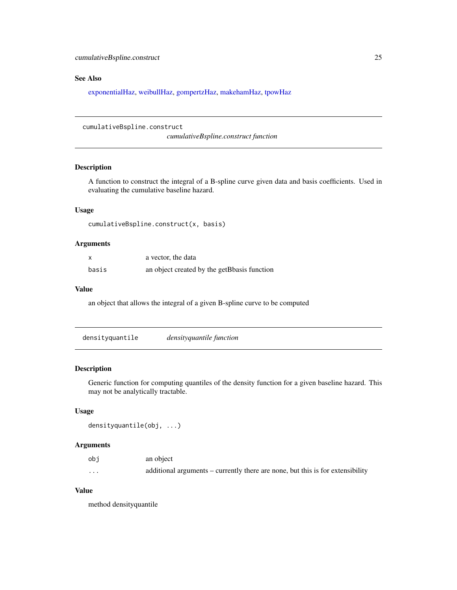### <span id="page-24-0"></span>See Also

[exponentialHaz,](#page-32-1) [weibullHaz,](#page-123-1) [gompertzHaz,](#page-44-1) [makehamHaz,](#page-67-1) [tpowHaz](#page-118-1)

```
cumulativeBspline.construct
```
*cumulativeBspline.construct function*

### Description

A function to construct the integral of a B-spline curve given data and basis coefficients. Used in evaluating the cumulative baseline hazard.

#### Usage

cumulativeBspline.construct(x, basis)

### Arguments

| x     | a vector, the data                          |
|-------|---------------------------------------------|
| basis | an object created by the getBbasis function |

#### Value

an object that allows the integral of a given B-spline curve to be computed

| densityquantile | <i>densityquantile function</i> |  |
|-----------------|---------------------------------|--|
|-----------------|---------------------------------|--|

### Description

Generic function for computing quantiles of the density function for a given baseline hazard. This may not be analytically tractable.

#### Usage

```
densityquantile(obj, ...)
```
### Arguments

| obi     | an object                                                                      |
|---------|--------------------------------------------------------------------------------|
| $\cdot$ | additional arguments – currently there are none, but this is for extensibility |

### Value

method densityquantile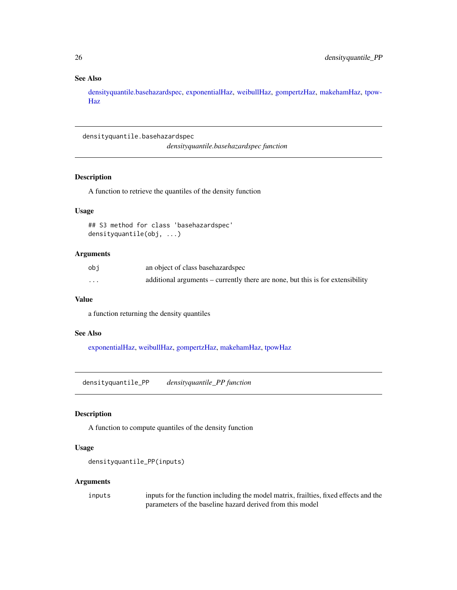### <span id="page-25-0"></span>See Also

[densityquantile.basehazardspec,](#page-25-1) [exponentialHaz,](#page-32-1) [weibullHaz,](#page-123-1) [gompertzHaz,](#page-44-1) [makehamHaz,](#page-67-1) [tpow-](#page-118-1)[Haz](#page-118-1)

<span id="page-25-1"></span>densityquantile.basehazardspec

*densityquantile.basehazardspec function*

### Description

A function to retrieve the quantiles of the density function

#### Usage

## S3 method for class 'basehazardspec' densityquantile(obj, ...)

### Arguments

| obi | an object of class base hazard spec                                            |
|-----|--------------------------------------------------------------------------------|
| .   | additional arguments – currently there are none, but this is for extensibility |

#### Value

a function returning the density quantiles

#### See Also

[exponentialHaz,](#page-32-1) [weibullHaz,](#page-123-1) [gompertzHaz,](#page-44-1) [makehamHaz,](#page-67-1) [tpowHaz](#page-118-1)

densityquantile\_PP *densityquantile\_PP function*

### Description

A function to compute quantiles of the density function

#### Usage

```
densityquantile_PP(inputs)
```
#### Arguments

inputs inputs for the function including the model matrix, frailties, fixed effects and the parameters of the baseline hazard derived from this model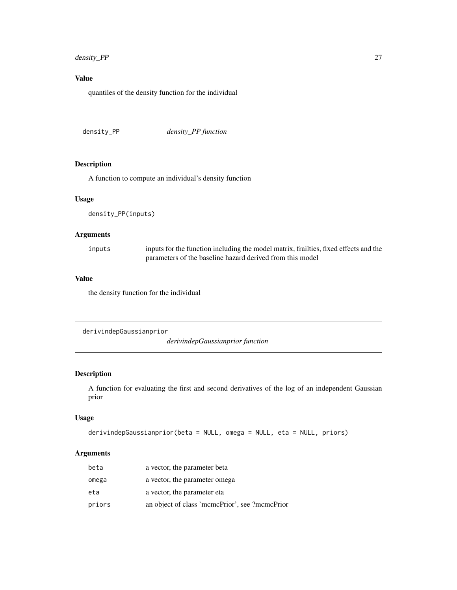### <span id="page-26-0"></span>density\_PP 27

### Value

quantiles of the density function for the individual

density\_PP *density\_PP function*

### Description

A function to compute an individual's density function

#### Usage

density\_PP(inputs)

### Arguments

| inputs | inputs for the function including the model matrix, frailties, fixed effects and the |
|--------|--------------------------------------------------------------------------------------|
|        | parameters of the baseline hazard derived from this model                            |

### Value

the density function for the individual

```
derivindepGaussianprior
```
*derivindepGaussianprior function*

#### Description

A function for evaluating the first and second derivatives of the log of an independent Gaussian prior

### Usage

```
derivindepGaussianprior(beta = NULL, omega = NULL, eta = NULL, priors)
```
### Arguments

| beta   | a vector, the parameter beta                   |
|--------|------------------------------------------------|
| omega  | a vector, the parameter omega                  |
| eta    | a vector, the parameter eta                    |
| priors | an object of class 'mcmcPrior', see ?mcmcPrior |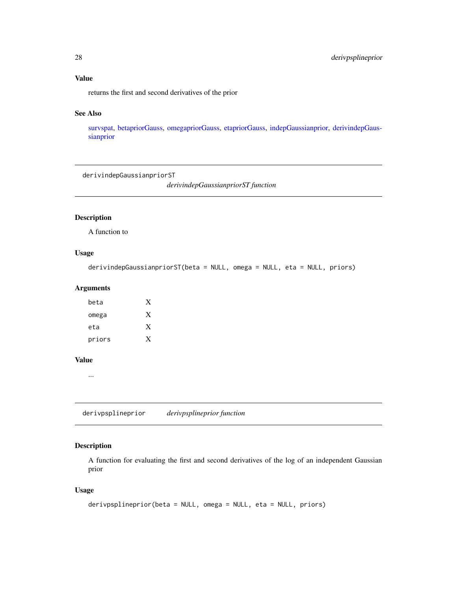### <span id="page-27-0"></span>Value

returns the first and second derivatives of the prior

### See Also

[survspat,](#page-114-1) [betapriorGauss,](#page-16-1) [omegapriorGauss,](#page-76-1) [etapriorGauss,](#page-30-1) [indepGaussianprior,](#page-56-1) [derivindepGaus](#page-26-1)[sianprior](#page-26-1)

derivindepGaussianpriorST

*derivindepGaussianpriorST function*

### Description

A function to

#### Usage

```
derivindepGaussianpriorST(beta = NULL, omega = NULL, eta = NULL, priors)
```
#### Arguments

| X |
|---|
| X |
|   |
|   |

#### Value

...

derivpsplineprior *derivpsplineprior function*

### Description

A function for evaluating the first and second derivatives of the log of an independent Gaussian prior

#### Usage

```
derivpsplineprior(beta = NULL, omega = NULL, eta = NULL, priors)
```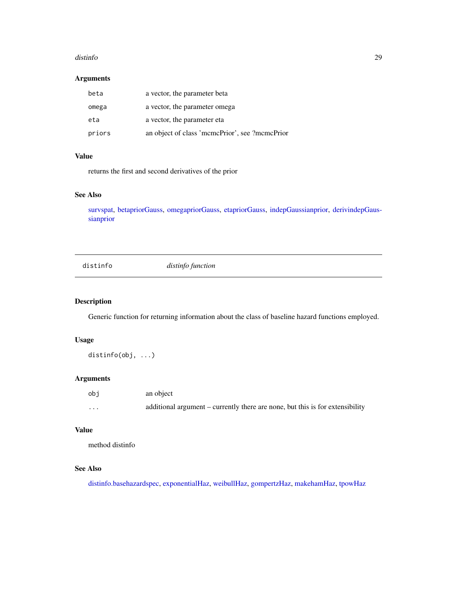#### <span id="page-28-0"></span>distinfo 29

#### Arguments

| beta   | a vector, the parameter beta                   |
|--------|------------------------------------------------|
| omega  | a vector, the parameter omega                  |
| eta    | a vector, the parameter eta                    |
| priors | an object of class 'mcmcPrior', see ?mcmcPrior |

### Value

returns the first and second derivatives of the prior

### See Also

[survspat,](#page-114-1) [betapriorGauss,](#page-16-1) [omegapriorGauss,](#page-76-1) [etapriorGauss,](#page-30-1) [indepGaussianprior,](#page-56-1) [derivindepGaus](#page-26-1)[sianprior](#page-26-1)

distinfo *distinfo function*

### Description

Generic function for returning information about the class of baseline hazard functions employed.

### Usage

distinfo(obj, ...)

#### Arguments

| obi      | an object                                                                     |
|----------|-------------------------------------------------------------------------------|
| $\cdots$ | additional argument – currently there are none, but this is for extensibility |

### Value

method distinfo

#### See Also

[distinfo.basehazardspec,](#page-29-1) [exponentialHaz,](#page-32-1) [weibullHaz,](#page-123-1) [gompertzHaz,](#page-44-1) [makehamHaz,](#page-67-1) [tpowHaz](#page-118-1)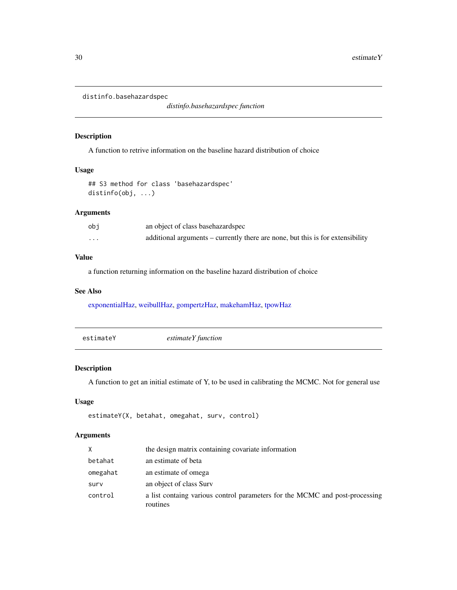<span id="page-29-1"></span><span id="page-29-0"></span>distinfo.basehazardspec

*distinfo.basehazardspec function*

#### Description

A function to retrive information on the baseline hazard distribution of choice

### Usage

## S3 method for class 'basehazardspec' distinfo(obj, ...)

### Arguments

| obi      | an object of class base hazard spec                                            |
|----------|--------------------------------------------------------------------------------|
| $\cdots$ | additional arguments – currently there are none, but this is for extensibility |

#### Value

a function returning information on the baseline hazard distribution of choice

#### See Also

[exponentialHaz,](#page-32-1) [weibullHaz,](#page-123-1) [gompertzHaz,](#page-44-1) [makehamHaz,](#page-67-1) [tpowHaz](#page-118-1)

| estimateY function |
|--------------------|
|--------------------|

### Description

A function to get an initial estimate of Y, to be used in calibrating the MCMC. Not for general use

### Usage

```
estimateY(X, betahat, omegahat, surv, control)
```
### Arguments

| X        | the design matrix containing covariate information                                      |
|----------|-----------------------------------------------------------------------------------------|
| betahat  | an estimate of beta                                                                     |
| omegahat | an estimate of omega                                                                    |
| surv     | an object of class Surv                                                                 |
| control  | a list containg various control parameters for the MCMC and post-processing<br>routines |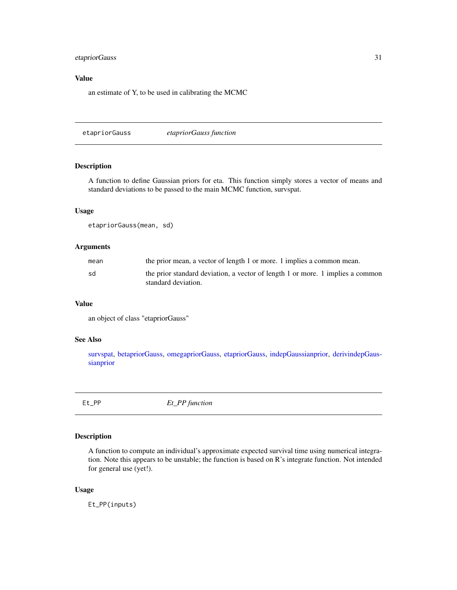### <span id="page-30-0"></span>etapriorGauss 31

### Value

an estimate of Y, to be used in calibrating the MCMC

<span id="page-30-1"></span>etapriorGauss *etapriorGauss function*

### Description

A function to define Gaussian priors for eta. This function simply stores a vector of means and standard deviations to be passed to the main MCMC function, survspat.

### Usage

etapriorGauss(mean, sd)

#### Arguments

| mean | the prior mean, a vector of length 1 or more. 1 implies a common mean.                                |
|------|-------------------------------------------------------------------------------------------------------|
| sd   | the prior standard deviation, a vector of length 1 or more. 1 implies a common<br>standard deviation. |

### Value

an object of class "etapriorGauss"

### See Also

[survspat,](#page-114-1) [betapriorGauss,](#page-16-1) [omegapriorGauss,](#page-76-1) [etapriorGauss,](#page-30-1) [indepGaussianprior,](#page-56-1) [derivindepGaus](#page-26-1)[sianprior](#page-26-1)

Et\_PP *Et\_PP function*

### Description

A function to compute an individual's approximate expected survival time using numerical integration. Note this appears to be unstable; the function is based on R's integrate function. Not intended for general use (yet!).

#### Usage

Et\_PP(inputs)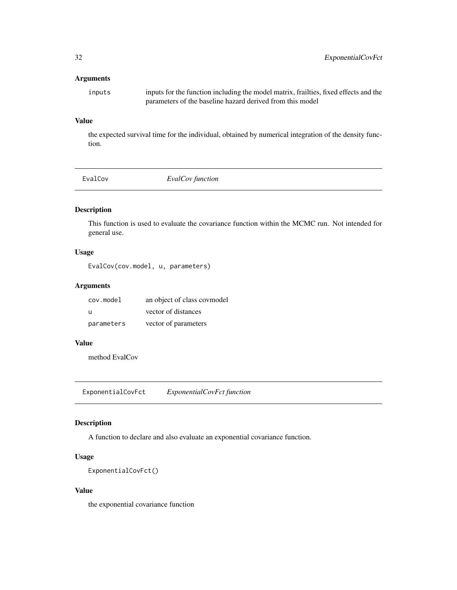### <span id="page-31-0"></span>Arguments

inputs inputs for the function including the model matrix, frailties, fixed effects and the parameters of the baseline hazard derived from this model

### Value

the expected survival time for the individual, obtained by numerical integration of the density function.

EvalCov *EvalCov function*

### Description

This function is used to evaluate the covariance function within the MCMC run. Not intended for general use.

#### Usage

EvalCov(cov.model, u, parameters)

#### Arguments

| cov.model  | an object of class covmodel |
|------------|-----------------------------|
| - U        | vector of distances         |
| parameters | vector of parameters        |

#### Value

method EvalCov

ExponentialCovFct *ExponentialCovFct function*

### Description

A function to declare and also evaluate an exponential covariance function.

### Usage

```
ExponentialCovFct()
```
### Value

the exponential covariance function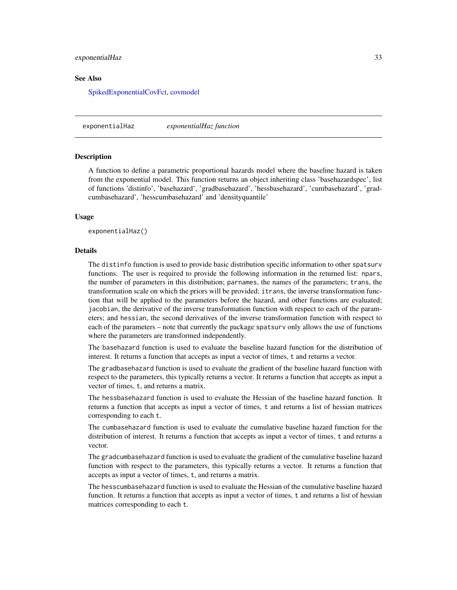#### <span id="page-32-0"></span>exponentialHaz 33

#### See Also

[SpikedExponentialCovFct,](#page-106-1) [covmodel](#page-22-1)

<span id="page-32-1"></span>exponentialHaz *exponentialHaz function*

#### **Description**

A function to define a parametric proportional hazards model where the baseline hazard is taken from the exponential model. This function returns an object inheriting class 'basehazardspec', list of functions 'distinfo', 'basehazard', 'gradbasehazard', 'hessbasehazard', 'cumbasehazard', 'gradcumbasehazard', 'hesscumbasehazard' and 'densityquantile'

#### Usage

exponentialHaz()

### **Details**

The distinfo function is used to provide basic distribution specific information to other spatsurv functions. The user is required to provide the following information in the returned list: npars, the number of parameters in this distribution; parnames, the names of the parameters; trans, the transformation scale on which the priors will be provided; itrans, the inverse transformation function that will be applied to the parameters before the hazard, and other functions are evaluated; jacobian, the derivative of the inverse transformation function with respect to each of the parameters; and hessian, the second derivatives of the inverse transformation function with respect to each of the parameters – note that currently the package spatsurv only allows the use of functions where the parameters are transformed independently.

The basehazard function is used to evaluate the baseline hazard function for the distribution of interest. It returns a function that accepts as input a vector of times, t and returns a vector.

The gradbasehazard function is used to evaluate the gradient of the baseline hazard function with respect to the parameters, this typically returns a vector. It returns a function that accepts as input a vector of times, t, and returns a matrix.

The hessbasehazard function is used to evaluate the Hessian of the baseline hazard function. It returns a function that accepts as input a vector of times, t and returns a list of hessian matrices corresponding to each t.

The cumbasehazard function is used to evaluate the cumulative baseline hazard function for the distribution of interest. It returns a function that accepts as input a vector of times, t and returns a vector.

The gradcumbasehazard function is used to evaluate the gradient of the cumulative baseline hazard function with respect to the parameters, this typically returns a vector. It returns a function that accepts as input a vector of times, t, and returns a matrix.

The hesscumbasehazard function is used to evaluate the Hessian of the cumulative baseline hazard function. It returns a function that accepts as input a vector of times, t and returns a list of hessian matrices corresponding to each t.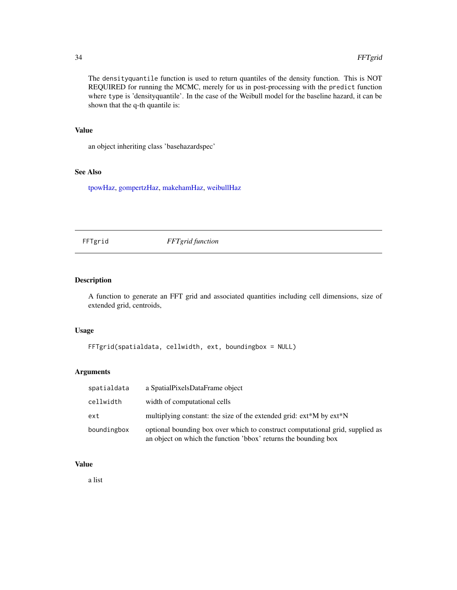The densityquantile function is used to return quantiles of the density function. This is NOT REQUIRED for running the MCMC, merely for us in post-processing with the predict function where type is 'densityquantile'. In the case of the Weibull model for the baseline hazard, it can be shown that the q-th quantile is:

### Value

an object inheriting class 'basehazardspec'

### See Also

[tpowHaz,](#page-118-1) [gompertzHaz,](#page-44-1) [makehamHaz,](#page-67-1) [weibullHaz](#page-123-1)

FFTgrid *FFTgrid function*

#### Description

A function to generate an FFT grid and associated quantities including cell dimensions, size of extended grid, centroids,

#### Usage

```
FFTgrid(spatialdata, cellwidth, ext, boundingbox = NULL)
```
#### Arguments

| spatialdata | a SpatialPixelsDataFrame object                                                                                                                  |
|-------------|--------------------------------------------------------------------------------------------------------------------------------------------------|
| cellwidth   | width of computational cells                                                                                                                     |
| ext         | multiplying constant: the size of the extended grid: ext*M by ext*N                                                                              |
| boundingbox | optional bounding box over which to construct computational grid, supplied as<br>an object on which the function 'bbox' returns the bounding box |

### Value

a list

<span id="page-33-0"></span>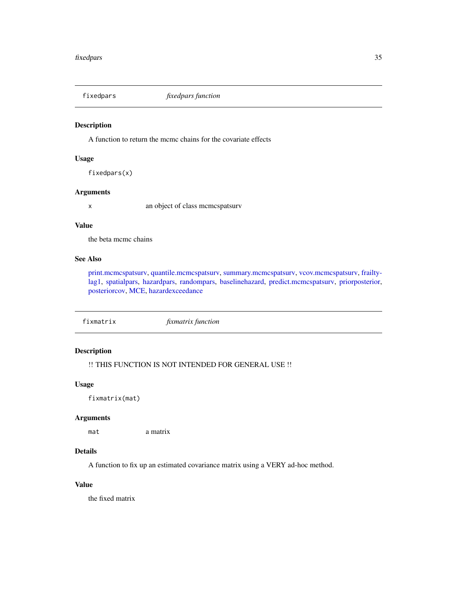<span id="page-34-1"></span><span id="page-34-0"></span>

A function to return the mcmc chains for the covariate effects

#### Usage

fixedpars(x)

### Arguments

x an object of class mcmcspatsurv

### Value

the beta mcmc chains

### See Also

[print.mcmcspatsurv,](#page-84-1) [quantile.mcmcspatsurv,](#page-94-1) [summary.mcmcspatsurv,](#page-111-1) [vcov.mcmcspatsurv,](#page-122-1) [frailty](#page-35-1)[lag1,](#page-35-1) [spatialpars,](#page-104-1) [hazardpars,](#page-52-1) [randompars,](#page-96-1) [baselinehazard,](#page-14-1) [predict.mcmcspatsurv,](#page-82-1) [priorposterior,](#page-86-1) [posteriorcov,](#page-81-1) [MCE,](#page-69-1) [hazardexceedance](#page-51-1)

fixmatrix *fixmatrix function*

### Description

!! THIS FUNCTION IS NOT INTENDED FOR GENERAL USE !!

#### Usage

fixmatrix(mat)

#### Arguments

mat a matrix

### Details

A function to fix up an estimated covariance matrix using a VERY ad-hoc method.

### Value

the fixed matrix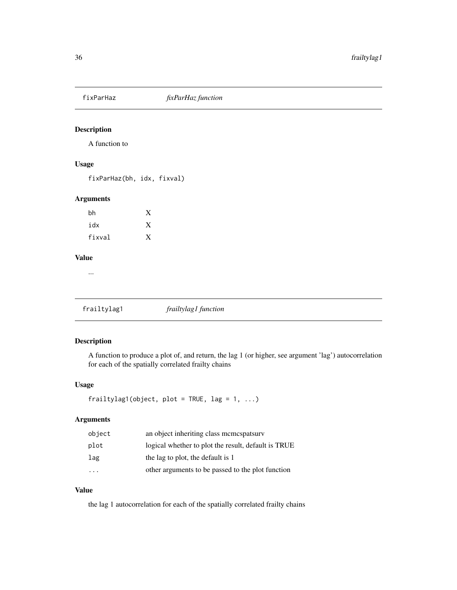<span id="page-35-0"></span>

A function to

### Usage

fixParHaz(bh, idx, fixval)

### Arguments

| bh     | X |
|--------|---|
| idx    | X |
| fixval | X |

#### Value

...

<span id="page-35-1"></span>frailtylag1 *frailtylag1 function*

### Description

A function to produce a plot of, and return, the lag 1 (or higher, see argument 'lag') autocorrelation for each of the spatially correlated frailty chains

#### Usage

```
frailtylag1(object, plot = TRUE, lag = 1, ...)
```
### Arguments

| object | an object inheriting class memespatsury             |
|--------|-----------------------------------------------------|
| plot   | logical whether to plot the result, default is TRUE |
| lag    | the lag to plot, the default is 1                   |
|        | other arguments to be passed to the plot function   |

### Value

the lag 1 autocorrelation for each of the spatially correlated frailty chains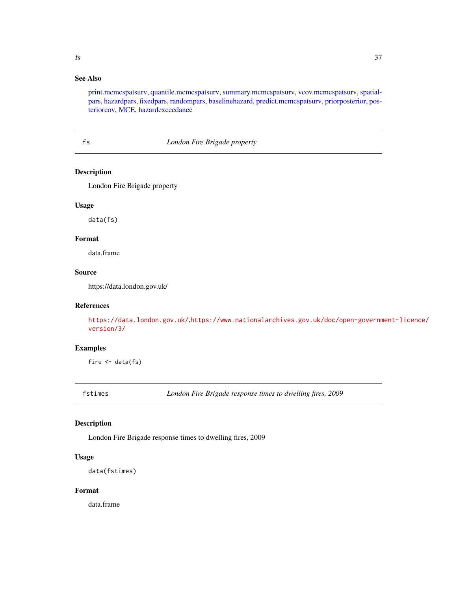## See Also

[print.mcmcspatsurv,](#page-84-0) [quantile.mcmcspatsurv,](#page-94-0) [summary.mcmcspatsurv,](#page-111-0) [vcov.mcmcspatsurv,](#page-122-0) [spatial](#page-104-0)[pars,](#page-104-0) [hazardpars,](#page-52-0) [fixedpars,](#page-34-0) [randompars,](#page-96-0) [baselinehazard,](#page-14-0) [predict.mcmcspatsurv,](#page-82-0) [priorposterior,](#page-86-0) [pos](#page-81-0)[teriorcov,](#page-81-0) [MCE,](#page-69-0) [hazardexceedance](#page-51-0)

#### fs *London Fire Brigade property*

## Description

London Fire Brigade property

## Usage

data(fs)

# Format

data.frame

## Source

https://data.london.gov.uk/

## References

<https://data.london.gov.uk/>,[https://www.nationalarchives.gov.uk/doc/open-governm](https://www.nationalarchives.gov.uk/doc/open-government-licence/version/3/)ent-licence/ [version/3/](https://www.nationalarchives.gov.uk/doc/open-government-licence/version/3/)

## Examples

fire  $\leq$  data(fs)

fstimes *London Fire Brigade response times to dwelling fires, 2009*

#### Description

London Fire Brigade response times to dwelling fires, 2009

#### Usage

data(fstimes)

### Format

data.frame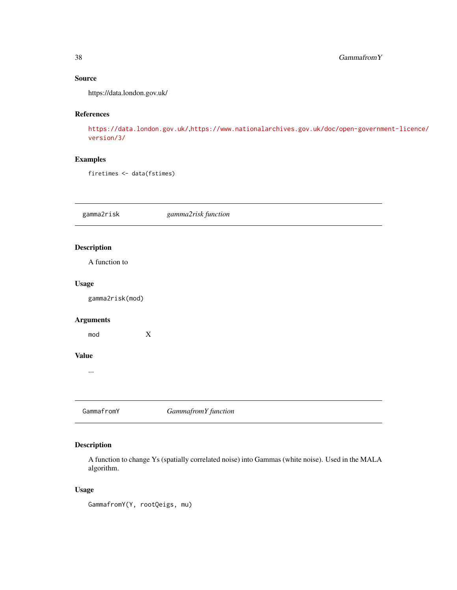## Source

https://data.london.gov.uk/

## References

<https://data.london.gov.uk/>,[https://www.nationalarchives.gov.uk/doc/open-governm](https://www.nationalarchives.gov.uk/doc/open-government-licence/version/3/)ent-licence/ [version/3/](https://www.nationalarchives.gov.uk/doc/open-government-licence/version/3/)

## Examples

firetimes <- data(fstimes)

gamma2risk *gamma2risk function*

# Description

A function to

## Usage

gamma2risk(mod)

# Arguments

mod X

## Value

...

GammafromY *GammafromY function*

## Description

A function to change Ys (spatially correlated noise) into Gammas (white noise). Used in the MALA algorithm.

## Usage

GammafromY(Y, rootQeigs, mu)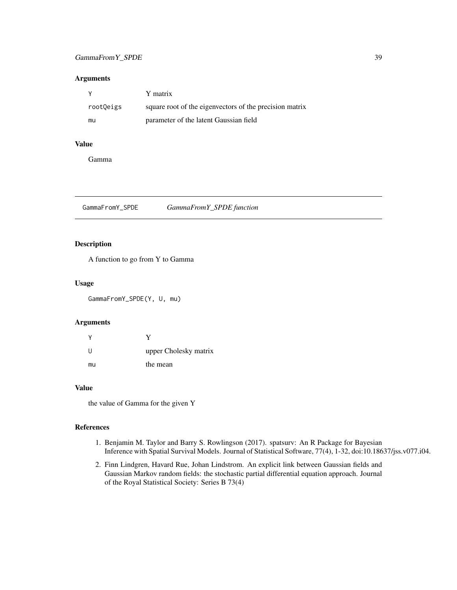## GammaFrom Y\_SPDE 39

## Arguments

|           | Y matrix                                                |
|-----------|---------------------------------------------------------|
| root0eigs | square root of the eigenvectors of the precision matrix |
| mu        | parameter of the latent Gaussian field                  |

# Value

Gamma

GammaFromY\_SPDE *GammaFromY\_SPDE function*

## Description

A function to go from Y to Gamma

## Usage

GammaFromY\_SPDE(Y, U, mu)

#### Arguments

| -11 | upper Cholesky matrix |
|-----|-----------------------|
| mu  | the mean              |

## Value

the value of Gamma for the given Y

## References

- 1. Benjamin M. Taylor and Barry S. Rowlingson (2017). spatsurv: An R Package for Bayesian Inference with Spatial Survival Models. Journal of Statistical Software, 77(4), 1-32, doi:10.18637/jss.v077.i04.
- 2. Finn Lindgren, Havard Rue, Johan Lindstrom. An explicit link between Gaussian fields and Gaussian Markov random fields: the stochastic partial differential equation approach. Journal of the Royal Statistical Society: Series B 73(4)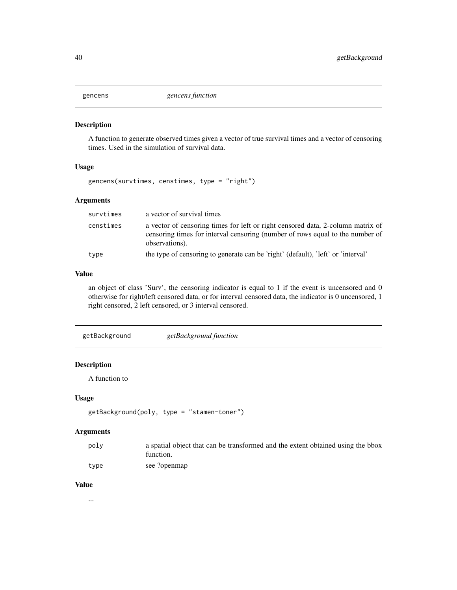A function to generate observed times given a vector of true survival times and a vector of censoring times. Used in the simulation of survival data.

#### Usage

```
gencens(survtimes, censtimes, type = "right")
```
## Arguments

| survtimes | a vector of survival times                                                                                                                                                         |
|-----------|------------------------------------------------------------------------------------------------------------------------------------------------------------------------------------|
| censtimes | a vector of censoring times for left or right censored data, 2-column matrix of<br>censoring times for interval censoring (number of rows equal to the number of<br>observations). |
| type      | the type of censoring to generate can be 'right' (default), 'left' or 'interval'                                                                                                   |

## Value

an object of class 'Surv', the censoring indicator is equal to 1 if the event is uncensored and 0 otherwise for right/left censored data, or for interval censored data, the indicator is 0 uncensored, 1 right censored, 2 left censored, or 3 interval censored.

```
getBackground getBackground function
```
# Description

A function to

## Usage

```
getBackground(poly, type = "stamen-toner")
```
#### Arguments

| poly | a spatial object that can be transformed and the extent obtained using the boox<br>function. |
|------|----------------------------------------------------------------------------------------------|
| type | see ?openmap                                                                                 |

# Value

...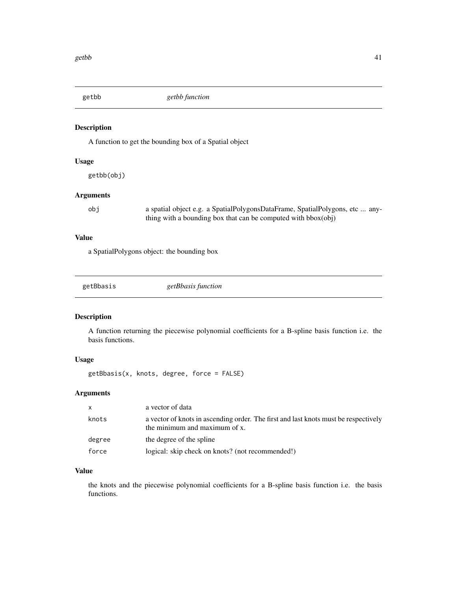A function to get the bounding box of a Spatial object

#### Usage

getbb(obj)

## Arguments

obj a spatial object e.g. a SpatialPolygonsDataFrame, SpatialPolygons, etc ... anything with a bounding box that can be computed with bbox(obj)

## Value

a SpatialPolygons object: the bounding box

| getBbasis |
|-----------|
|-----------|

## Description

A function returning the piecewise polynomial coefficients for a B-spline basis function i.e. the basis functions.

# Usage

getBbasis(x, knots, degree, force = FALSE)

# Arguments

| X      | a vector of data                                                                                                     |
|--------|----------------------------------------------------------------------------------------------------------------------|
| knots  | a vector of knots in ascending order. The first and last knots must be respectively<br>the minimum and maximum of x. |
| degree | the degree of the spline                                                                                             |
| force  | logical: skip check on knots? (not recommended!)                                                                     |

## Value

the knots and the piecewise polynomial coefficients for a B-spline basis function i.e. the basis functions.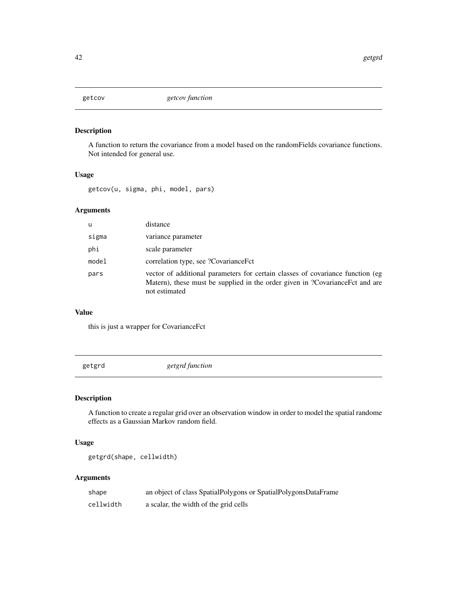A function to return the covariance from a model based on the randomFields covariance functions. Not intended for general use.

#### Usage

getcov(u, sigma, phi, model, pars)

# Arguments

| u     | distance                                                                                                                                                                        |
|-------|---------------------------------------------------------------------------------------------------------------------------------------------------------------------------------|
| sigma | variance parameter                                                                                                                                                              |
| phi   | scale parameter                                                                                                                                                                 |
| model | correlation type, see ?CovarianceFct                                                                                                                                            |
| pars  | vector of additional parameters for certain classes of covariance function (eg<br>Matern), these must be supplied in the order given in ?CovarianceFct and are<br>not estimated |

# Value

this is just a wrapper for CovarianceFct

getgrd *getgrd function*

# Description

A function to create a regular grid over an observation window in order to model the spatial randome effects as a Gaussian Markov random field.

## Usage

```
getgrd(shape, cellwidth)
```

| shape     | an object of class SpatialPolygons or SpatialPolygonsDataFrame |
|-----------|----------------------------------------------------------------|
| cellwidth | a scalar, the width of the grid cells                          |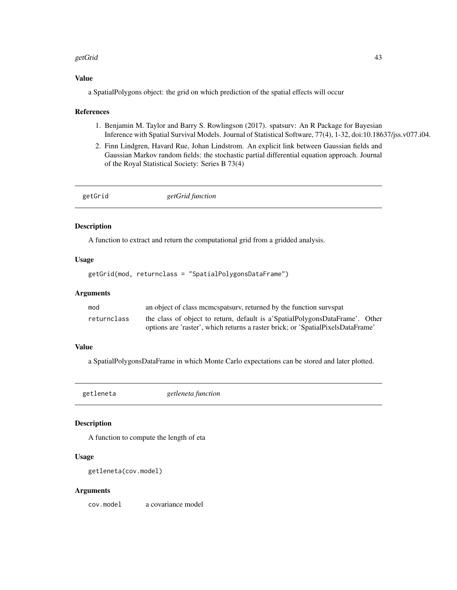#### getGrid **43**

## Value

a SpatialPolygons object: the grid on which prediction of the spatial effects will occur

#### References

- 1. Benjamin M. Taylor and Barry S. Rowlingson (2017). spatsurv: An R Package for Bayesian Inference with Spatial Survival Models. Journal of Statistical Software, 77(4), 1-32, doi:10.18637/jss.v077.i04.
- 2. Finn Lindgren, Havard Rue, Johan Lindstrom. An explicit link between Gaussian fields and Gaussian Markov random fields: the stochastic partial differential equation approach. Journal of the Royal Statistical Society: Series B 73(4)

| getGrid | getGrid function |  |
|---------|------------------|--|
|         |                  |  |

# Description

A function to extract and return the computational grid from a gridded analysis.

#### Usage

getGrid(mod, returnclass = "SpatialPolygonsDataFrame")

#### Arguments

| mod         | an object of class memospatsury, returned by the function survspat              |
|-------------|---------------------------------------------------------------------------------|
| returnclass | the class of object to return, default is a SpatialPolygonsDataFrame'. Other    |
|             | options are 'raster', which returns a raster brick; or 'SpatialPixelsDataFrame' |

## Value

a SpatialPolygonsDataFrame in which Monte Carlo expectations can be stored and later plotted.

getleneta *getleneta function*

#### Description

A function to compute the length of eta

#### Usage

getleneta(cov.model)

#### Arguments

cov.model a covariance model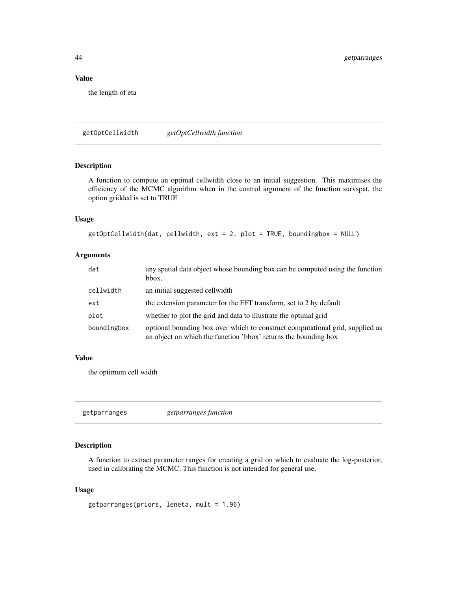## Value

the length of eta

getOptCellwidth *getOptCellwidth function*

## Description

A function to compute an optimal cellwidth close to an initial suggestion. This maximises the efficiency of the MCMC algorithm when in the control argument of the function survspat, the option gridded is set to TRUE

## Usage

```
getOptCellwidth(dat, cellwidth, ext = 2, plot = TRUE, boundingbox = NULL)
```
## Arguments

| dat         | any spatial data object whose bounding box can be computed using the function<br>bbox.                                                           |
|-------------|--------------------------------------------------------------------------------------------------------------------------------------------------|
| cellwidth   | an initial suggested cellwidth                                                                                                                   |
| ext         | the extension parameter for the FFT transform, set to 2 by default                                                                               |
| plot        | whether to plot the grid and data to illustrate the optimal grid                                                                                 |
| boundingbox | optional bounding box over which to construct computational grid, supplied as<br>an object on which the function 'bbox' returns the bounding box |

#### Value

the optimum cell width

getparranges *getparranges function*

## Description

A function to extract parameter ranges for creating a grid on which to evaluate the log-posterior, used in calibrating the MCMC. This function is not intended for general use.

#### Usage

```
getparranges(priors, leneta, mult = 1.96)
```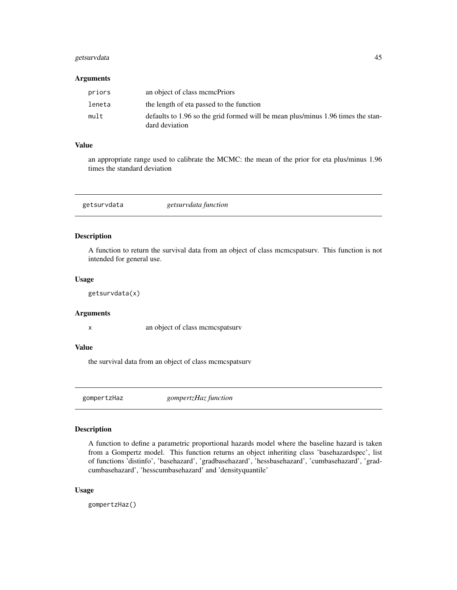## getsurvdata 45

#### Arguments

| priors | an object of class memePriors                                                                      |
|--------|----------------------------------------------------------------------------------------------------|
| leneta | the length of eta passed to the function                                                           |
| mult   | defaults to 1.96 so the grid formed will be mean plus/minus 1.96 times the stan-<br>dard deviation |

#### Value

an appropriate range used to calibrate the MCMC: the mean of the prior for eta plus/minus 1.96 times the standard deviation

getsurvdata *getsurvdata function*

#### Description

A function to return the survival data from an object of class mcmcspatsurv. This function is not intended for general use.

#### Usage

getsurvdata(x)

## Arguments

x an object of class mcmcspatsurv

#### Value

the survival data from an object of class mcmcspatsurv

<span id="page-44-0"></span>gompertzHaz *gompertzHaz function*

## Description

A function to define a parametric proportional hazards model where the baseline hazard is taken from a Gompertz model. This function returns an object inheriting class 'basehazardspec', list of functions 'distinfo', 'basehazard', 'gradbasehazard', 'hessbasehazard', 'cumbasehazard', 'gradcumbasehazard', 'hesscumbasehazard' and 'densityquantile'

#### Usage

gompertzHaz()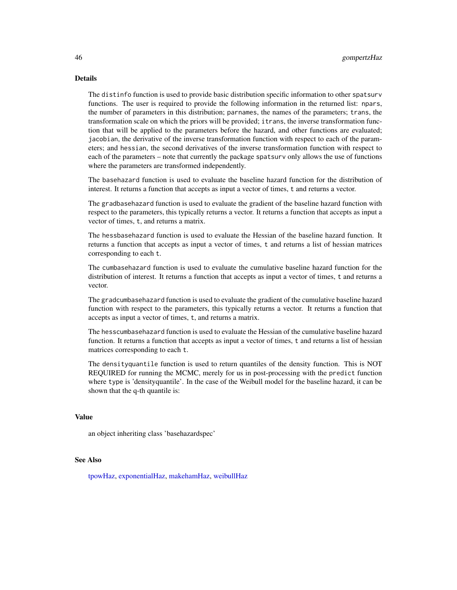#### Details

The distinfo function is used to provide basic distribution specific information to other spatsurv functions. The user is required to provide the following information in the returned list: npars, the number of parameters in this distribution; parnames, the names of the parameters; trans, the transformation scale on which the priors will be provided; itrans, the inverse transformation function that will be applied to the parameters before the hazard, and other functions are evaluated; jacobian, the derivative of the inverse transformation function with respect to each of the parameters; and hessian, the second derivatives of the inverse transformation function with respect to each of the parameters – note that currently the package spatsurv only allows the use of functions where the parameters are transformed independently.

The basehazard function is used to evaluate the baseline hazard function for the distribution of interest. It returns a function that accepts as input a vector of times, t and returns a vector.

The gradbasehazard function is used to evaluate the gradient of the baseline hazard function with respect to the parameters, this typically returns a vector. It returns a function that accepts as input a vector of times, t, and returns a matrix.

The hessbasehazard function is used to evaluate the Hessian of the baseline hazard function. It returns a function that accepts as input a vector of times, t and returns a list of hessian matrices corresponding to each t.

The cumbasehazard function is used to evaluate the cumulative baseline hazard function for the distribution of interest. It returns a function that accepts as input a vector of times, t and returns a vector.

The gradcumbasehazard function is used to evaluate the gradient of the cumulative baseline hazard function with respect to the parameters, this typically returns a vector. It returns a function that accepts as input a vector of times, t, and returns a matrix.

The hesscumbasehazard function is used to evaluate the Hessian of the cumulative baseline hazard function. It returns a function that accepts as input a vector of times, t and returns a list of hessian matrices corresponding to each t.

The densityquantile function is used to return quantiles of the density function. This is NOT REQUIRED for running the MCMC, merely for us in post-processing with the predict function where type is 'densityquantile'. In the case of the Weibull model for the baseline hazard, it can be shown that the q-th quantile is:

### Value

an object inheriting class 'basehazardspec'

## See Also

[tpowHaz,](#page-118-0) [exponentialHaz,](#page-32-0) [makehamHaz,](#page-67-0) [weibullHaz](#page-123-0)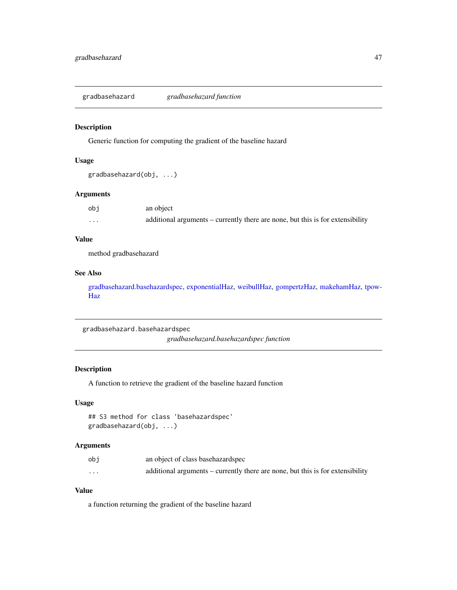gradbasehazard *gradbasehazard function*

## Description

Generic function for computing the gradient of the baseline hazard

#### Usage

```
gradbasehazard(obj, ...)
```
#### Arguments

| obj      | an object                                                                      |
|----------|--------------------------------------------------------------------------------|
| $\cdots$ | additional arguments – currently there are none, but this is for extensibility |

## Value

method gradbasehazard

## See Also

[gradbasehazard.basehazardspec,](#page-46-0) [exponentialHaz,](#page-32-0) [weibullHaz,](#page-123-0) [gompertzHaz,](#page-44-0) [makehamHaz,](#page-67-0) [tpow-](#page-118-0)[Haz](#page-118-0)

<span id="page-46-0"></span>gradbasehazard.basehazardspec *gradbasehazard.basehazardspec function*

#### Description

A function to retrieve the gradient of the baseline hazard function

## Usage

```
## S3 method for class 'basehazardspec'
gradbasehazard(obj, ...)
```
## Arguments

| obi      | an object of class base hazard spec                                            |
|----------|--------------------------------------------------------------------------------|
| $\cdots$ | additional arguments – currently there are none, but this is for extensibility |

## Value

a function returning the gradient of the baseline hazard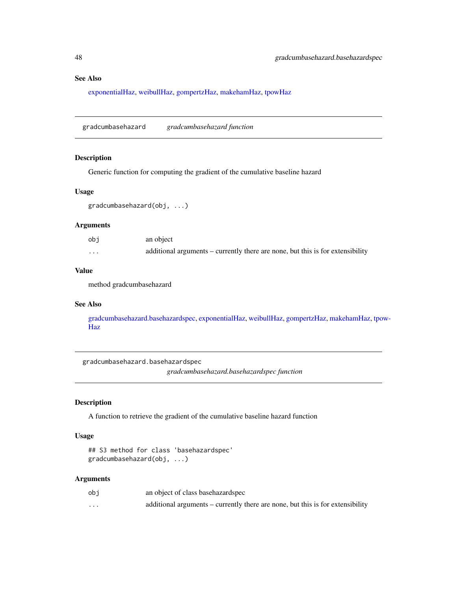## See Also

[exponentialHaz,](#page-32-0) [weibullHaz,](#page-123-0) [gompertzHaz,](#page-44-0) [makehamHaz,](#page-67-0) [tpowHaz](#page-118-0)

gradcumbasehazard *gradcumbasehazard function*

## Description

Generic function for computing the gradient of the cumulative baseline hazard

#### Usage

```
gradcumbasehazard(obj, ...)
```
## Arguments

| obi      | an object                                                                      |
|----------|--------------------------------------------------------------------------------|
| $\cdots$ | additional arguments – currently there are none, but this is for extensibility |

## Value

method gradcumbasehazard

## See Also

[gradcumbasehazard.basehazardspec,](#page-47-0) [exponentialHaz,](#page-32-0) [weibullHaz,](#page-123-0) [gompertzHaz,](#page-44-0) [makehamHaz,](#page-67-0) [tpo](#page-118-0)w-[Haz](#page-118-0)

<span id="page-47-0"></span>gradcumbasehazard.basehazardspec

*gradcumbasehazard.basehazardspec function*

#### Description

A function to retrieve the gradient of the cumulative baseline hazard function

#### Usage

```
## S3 method for class 'basehazardspec'
gradcumbasehazard(obj, ...)
```

| obj      | an object of class basehazardspec                                              |
|----------|--------------------------------------------------------------------------------|
| $\cdots$ | additional arguments – currently there are none, but this is for extensibility |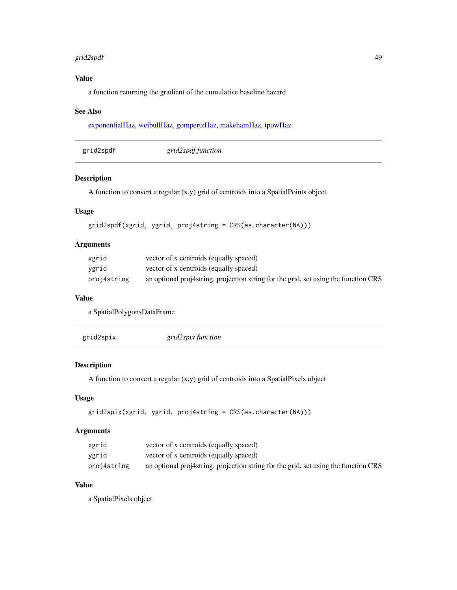#### grid2spdf 49

# Value

a function returning the gradient of the cumulative baseline hazard

## See Also

[exponentialHaz,](#page-32-0) [weibullHaz,](#page-123-0) [gompertzHaz,](#page-44-0) [makehamHaz,](#page-67-0) [tpowHaz](#page-118-0)

| grid2spdf | grid2spdf function |  |
|-----------|--------------------|--|
|-----------|--------------------|--|

# Description

A function to convert a regular (x,y) grid of centroids into a SpatialPoints object

## Usage

```
grid2spdf(xgrid, ygrid, proj4string = CRS(as.character(NA)))
```
## Arguments

| xgrid       | vector of x centroids (equally spaced)                                              |
|-------------|-------------------------------------------------------------------------------------|
| vgrid       | vector of x centroids (equally spaced)                                              |
| proj4string | an optional proj4string, projection string for the grid, set using the function CRS |

#### Value

a SpatialPolygonsDataFrame

| grid2spix | grid2spix function |  |
|-----------|--------------------|--|
|-----------|--------------------|--|

# Description

A function to convert a regular (x,y) grid of centroids into a SpatialPixels object

## Usage

```
grid2spix(xgrid, ygrid, proj4string = CRS(as.character(NA)))
```
## Arguments

| xgrid       | vector of x centroids (equally spaced)                                              |
|-------------|-------------------------------------------------------------------------------------|
| ygrid       | vector of x centroids (equally spaced)                                              |
| proj4string | an optional proj4string, projection string for the grid, set using the function CRS |

# Value

a SpatialPixels object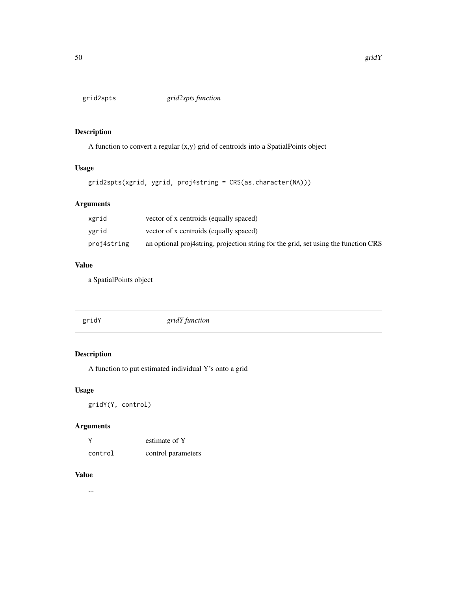A function to convert a regular (x,y) grid of centroids into a SpatialPoints object

# Usage

```
grid2spts(xgrid, ygrid, proj4string = CRS(as.character(NA)))
```
## Arguments

| xgrid       | vector of x centroids (equally spaced)                                              |
|-------------|-------------------------------------------------------------------------------------|
| vgrid       | vector of x centroids (equally spaced)                                              |
| proj4string | an optional proj4string, projection string for the grid, set using the function CRS |

#### Value

a SpatialPoints object

| gridY | gridY function |
|-------|----------------|
|       |                |

## Description

A function to put estimated individual Y's onto a grid

## Usage

```
gridY(Y, control)
```
# Arguments

| $\vee$  | estimate of Y      |
|---------|--------------------|
| control | control parameters |

## Value

...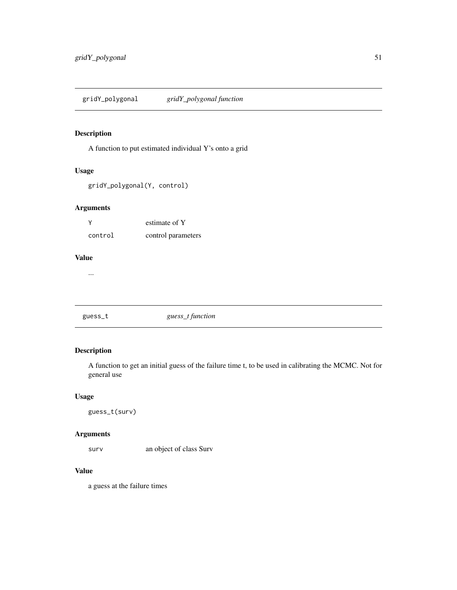A function to put estimated individual Y's onto a grid

#### Usage

gridY\_polygonal(Y, control)

## Arguments

| ٧       | estimate of Y      |
|---------|--------------------|
| control | control parameters |

## Value

...

# guess\_t *guess\_t function*

## Description

A function to get an initial guess of the failure time t, to be used in calibrating the MCMC. Not for general use

## Usage

guess\_t(surv)

#### Arguments

surv an object of class Surv

# Value

a guess at the failure times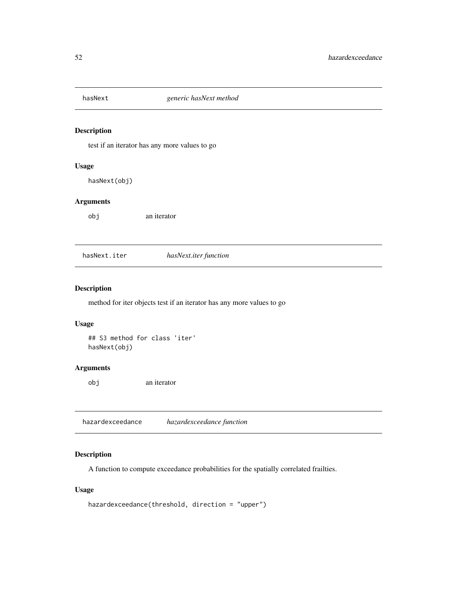test if an iterator has any more values to go

#### Usage

hasNext(obj)

#### Arguments

obj an iterator

hasNext.iter *hasNext.iter function*

## Description

method for iter objects test if an iterator has any more values to go

## Usage

## S3 method for class 'iter' hasNext(obj)

## Arguments

obj an iterator

<span id="page-51-0"></span>hazardexceedance *hazardexceedance function*

## Description

A function to compute exceedance probabilities for the spatially correlated frailties.

#### Usage

```
hazardexceedance(threshold, direction = "upper")
```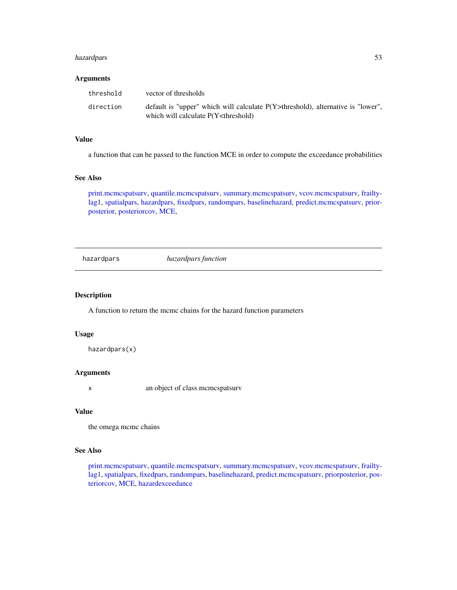## hazardpars 53

#### Arguments

| threshold | vector of thresholds                                                                                                                             |
|-----------|--------------------------------------------------------------------------------------------------------------------------------------------------|
| direction | default is "upper" which will calculate $P(Y>threshold)$ , alternative is "lower",<br>which will calculate P(Y <threshold)< td=""></threshold)<> |

#### Value

a function that can be passed to the function MCE in order to compute the exceedance probabilities

## See Also

[print.mcmcspatsurv,](#page-84-0) [quantile.mcmcspatsurv,](#page-94-0) [summary.mcmcspatsurv,](#page-111-0) [vcov.mcmcspatsurv,](#page-122-0) [frailty](#page-35-0)[lag1,](#page-35-0) [spatialpars,](#page-104-0) [hazardpars,](#page-52-0) [fixedpars,](#page-34-0) [randompars,](#page-96-0) [baselinehazard,](#page-14-0) [predict.mcmcspatsurv,](#page-82-0) [prior](#page-86-0)[posterior,](#page-86-0) [posteriorcov,](#page-81-0) [MCE,](#page-69-0)

<span id="page-52-0"></span>hazardpars *hazardpars function*

#### Description

A function to return the mcmc chains for the hazard function parameters

#### Usage

hazardpars(x)

## Arguments

x an object of class mcmcspatsurv

## Value

the omega mcmc chains

#### See Also

[print.mcmcspatsurv,](#page-84-0) [quantile.mcmcspatsurv,](#page-94-0) [summary.mcmcspatsurv,](#page-111-0) [vcov.mcmcspatsurv,](#page-122-0) [frailty](#page-35-0)[lag1,](#page-35-0) [spatialpars,](#page-104-0) [fixedpars,](#page-34-0) [randompars,](#page-96-0) [baselinehazard,](#page-14-0) [predict.mcmcspatsurv,](#page-82-0) [priorposterior,](#page-86-0) [pos](#page-81-0)[teriorcov,](#page-81-0) [MCE,](#page-69-0) [hazardexceedance](#page-51-0)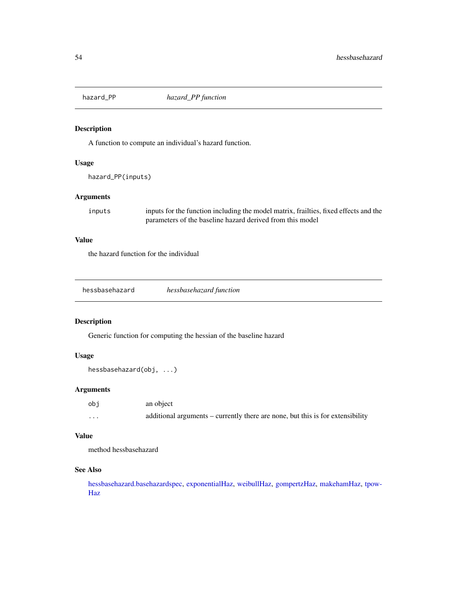A function to compute an individual's hazard function.

#### Usage

hazard\_PP(inputs)

## Arguments

inputs inputs for the function including the model matrix, frailties, fixed effects and the parameters of the baseline hazard derived from this model

## Value

the hazard function for the individual

| hessbasehazard | hessbasehazard function |
|----------------|-------------------------|
|----------------|-------------------------|

## Description

Generic function for computing the hessian of the baseline hazard

## Usage

```
hessbasehazard(obj, ...)
```
## Arguments

| obj      | an object                                                                      |
|----------|--------------------------------------------------------------------------------|
| $\cdots$ | additional arguments – currently there are none, but this is for extensibility |

### Value

method hessbasehazard

## See Also

[hessbasehazard.basehazardspec,](#page-54-0) [exponentialHaz,](#page-32-0) [weibullHaz,](#page-123-0) [gompertzHaz,](#page-44-0) [makehamHaz,](#page-67-0) [tpow-](#page-118-0)[Haz](#page-118-0)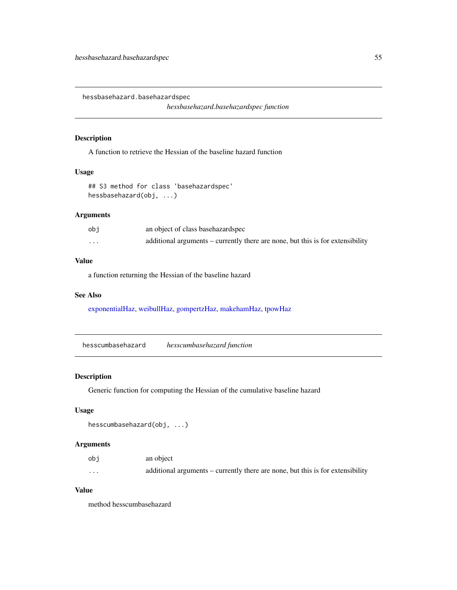<span id="page-54-0"></span>hessbasehazard.basehazardspec

*hessbasehazard.basehazardspec function*

#### Description

A function to retrieve the Hessian of the baseline hazard function

# Usage

## S3 method for class 'basehazardspec' hessbasehazard(obj, ...)

## Arguments

| obi      | an object of class base hazardspec                                             |
|----------|--------------------------------------------------------------------------------|
| $\cdots$ | additional arguments – currently there are none, but this is for extensibility |

#### Value

a function returning the Hessian of the baseline hazard

## See Also

[exponentialHaz,](#page-32-0) [weibullHaz,](#page-123-0) [gompertzHaz,](#page-44-0) [makehamHaz,](#page-67-0) [tpowHaz](#page-118-0)

hesscumbasehazard *hesscumbasehazard function*

## Description

Generic function for computing the Hessian of the cumulative baseline hazard

## Usage

```
hesscumbasehazard(obj, ...)
```
## Arguments

| obi     | an object                                                                      |
|---------|--------------------------------------------------------------------------------|
| $\cdot$ | additional arguments – currently there are none, but this is for extensibility |

## Value

method hesscumbasehazard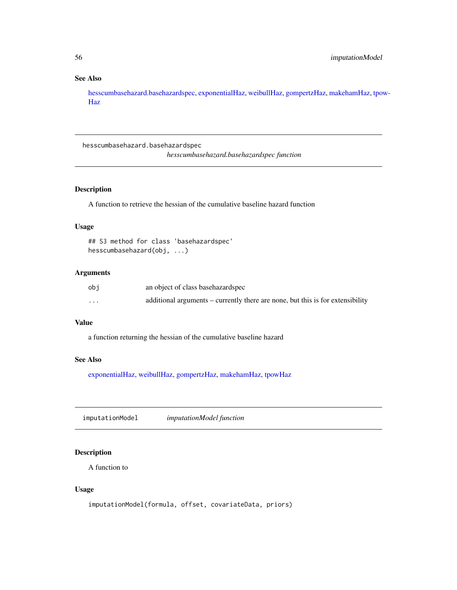# See Also

[hesscumbasehazard.basehazardspec,](#page-55-0) [exponentialHaz,](#page-32-0) [weibullHaz,](#page-123-0) [gompertzHaz,](#page-44-0) [makehamHaz,](#page-67-0) [tpow](#page-118-0)-[Haz](#page-118-0)

<span id="page-55-0"></span>hesscumbasehazard.basehazardspec

*hesscumbasehazard.basehazardspec function*

# Description

A function to retrieve the hessian of the cumulative baseline hazard function

## Usage

```
## S3 method for class 'basehazardspec'
hesscumbasehazard(obj, ...)
```
## Arguments

| obi      | an object of class basehazardspec                                              |
|----------|--------------------------------------------------------------------------------|
| $\cdots$ | additional arguments – currently there are none, but this is for extensibility |

#### Value

a function returning the hessian of the cumulative baseline hazard

## See Also

[exponentialHaz,](#page-32-0) [weibullHaz,](#page-123-0) [gompertzHaz,](#page-44-0) [makehamHaz,](#page-67-0) [tpowHaz](#page-118-0)

imputationModel *imputationModel function*

## Description

A function to

#### Usage

imputationModel(formula, offset, covariateData, priors)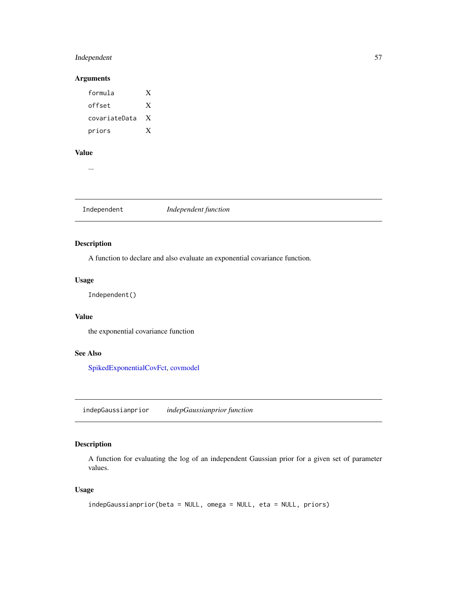## Independent 57

## Arguments

| formula       | X |
|---------------|---|
| offset        | X |
| covariateData | X |
| priors        | X |

## Value

...

Independent *Independent function*

## Description

A function to declare and also evaluate an exponential covariance function.

## Usage

Independent()

## Value

the exponential covariance function

# See Also

[SpikedExponentialCovFct,](#page-106-0) [covmodel](#page-22-0)

<span id="page-56-0"></span>indepGaussianprior *indepGaussianprior function*

## Description

A function for evaluating the log of an independent Gaussian prior for a given set of parameter values.

### Usage

```
indepGaussianprior(beta = NULL, omega = NULL, eta = NULL, priors)
```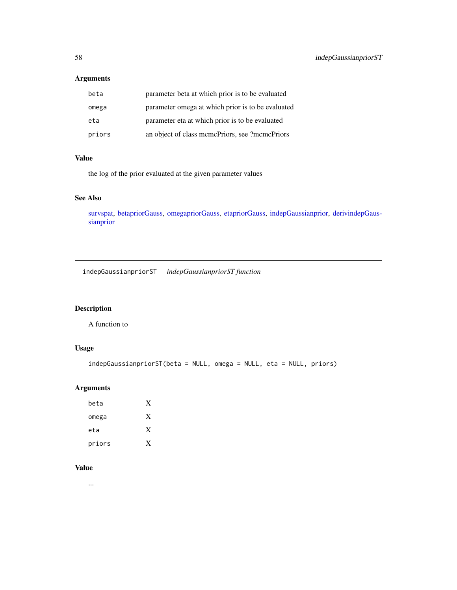# Arguments

| beta   | parameter beta at which prior is to be evaluated  |
|--------|---------------------------------------------------|
| omega  | parameter omega at which prior is to be evaluated |
| eta    | parameter eta at which prior is to be evaluated   |
| priors | an object of class memePriors, see ?memePriors    |

## Value

the log of the prior evaluated at the given parameter values

## See Also

[survspat,](#page-114-0) [betapriorGauss,](#page-16-0) [omegapriorGauss,](#page-76-0) [etapriorGauss,](#page-30-0) [indepGaussianprior,](#page-56-0) [derivindepGaus](#page-26-0)[sianprior](#page-26-0)

indepGaussianpriorST *indepGaussianpriorST function*

# Description

A function to

## Usage

```
indepGaussianpriorST(beta = NULL, omega = NULL, eta = NULL, priors)
```
## Arguments

| beta   | X |
|--------|---|
| omega  | X |
| eta    | X |
| priors | x |

# Value

...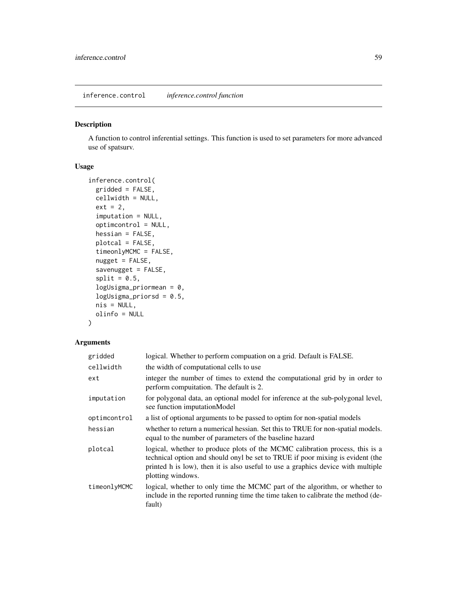inference.control *inference.control function*

### Description

A function to control inferential settings. This function is used to set parameters for more advanced use of spatsurv.

#### Usage

```
inference.control(
 gridded = FALSE,
 cellwidth = NULL,
 ext = 2,imputation = NULL,
  optimcontrol = NULL,
 hessian = FALSE,
 plotcal = FALSE,
  timeonlyMCMC = FALSE,
 nugget = FALSE,savenugget = FALSE,
  split = 0.5,logUsigma_priormean = 0,
  logUsingma\_priorsd = 0.5,
 nis = NULL,
 olinfo = NULL
)
```

| gridded      | logical. Whether to perform compuation on a grid. Default is FALSE.                                                                                                                                                                                                     |
|--------------|-------------------------------------------------------------------------------------------------------------------------------------------------------------------------------------------------------------------------------------------------------------------------|
| cellwidth    | the width of computational cells to use                                                                                                                                                                                                                                 |
| ext          | integer the number of times to extend the computational grid by in order to<br>perform computation. The default is 2.                                                                                                                                                   |
| imputation   | for polygonal data, an optional model for inference at the sub-polygonal level,<br>see function imputation Model                                                                                                                                                        |
| optimcontrol | a list of optional arguments to be passed to optim for non-spatial models                                                                                                                                                                                               |
| hessian      | whether to return a numerical hessian. Set this to TRUE for non-spatial models.<br>equal to the number of parameters of the baseline hazard                                                                                                                             |
| plotcal      | logical, whether to produce plots of the MCMC calibration process, this is a<br>technical option and should onyl be set to TRUE if poor mixing is evident (the<br>printed h is low), then it is also useful to use a graphics device with multiple<br>plotting windows. |
| timeonlyMCMC | logical, whether to only time the MCMC part of the algorithm, or whether to<br>include in the reported running time the time taken to calibrate the method (de-<br>fault)                                                                                               |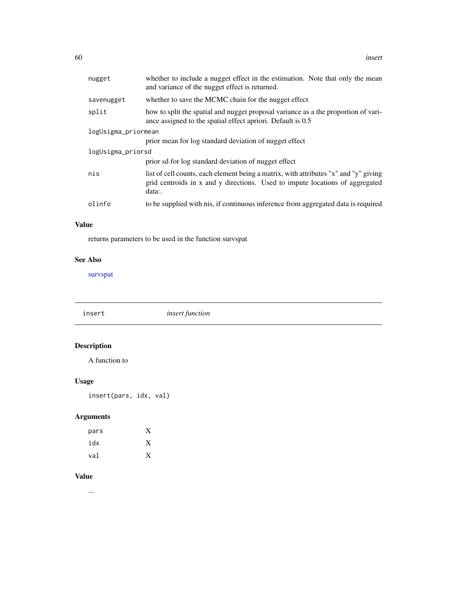| nugget              | whether to include a nugget effect in the estimation. Note that only the mean<br>and variance of the nugget effect is returned.                                                |
|---------------------|--------------------------------------------------------------------------------------------------------------------------------------------------------------------------------|
| savenugget          | whether to save the MCMC chain for the nugget effect                                                                                                                           |
| split               | how to split the spatial and nugget proposal variance as a the proportion of vari-<br>ance assigned to the spatial effect apriori. Default is 0.5                              |
| logUsigma_priormean |                                                                                                                                                                                |
|                     | prior mean for log standard deviation of nugget effect                                                                                                                         |
| logUsigma_priorsd   |                                                                                                                                                                                |
|                     | prior sd for log standard deviation of nugget effect                                                                                                                           |
| nis                 | list of cell counts, each element being a matrix, with attributes "x" and "y" giving<br>grid centroids in x and y directions. Used to impute locations of aggregated<br>data:. |
| olinfo              | to be supplied with nis, if continuous inference from aggregated data is required                                                                                              |

## Value

returns parameters to be used in the function survspat

## See Also

[survspat](#page-114-0)

insert *insert function*

# Description

A function to

# Usage

insert(pars, idx, val)

# Arguments

| pars | Y |
|------|---|
| idx  | X |
| val  | v |

# Value

...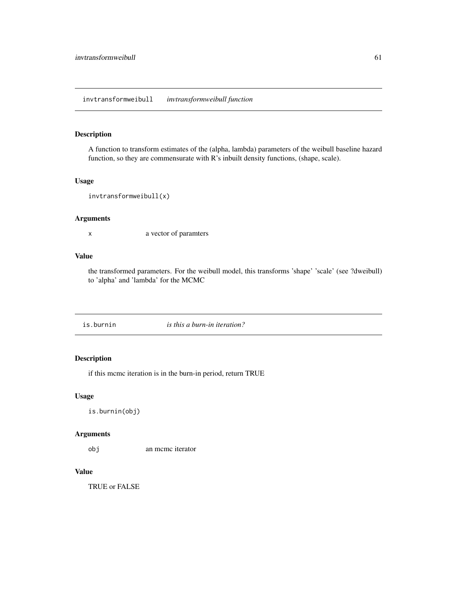## invtransformweibull *invtransformweibull function*

## Description

A function to transform estimates of the (alpha, lambda) parameters of the weibull baseline hazard function, so they are commensurate with R's inbuilt density functions, (shape, scale).

## Usage

```
invtransformweibull(x)
```
## Arguments

x a vector of paramters

## Value

the transformed parameters. For the weibull model, this transforms 'shape' 'scale' (see ?dweibull) to 'alpha' and 'lambda' for the MCMC

is.burnin *is this a burn-in iteration?*

## Description

if this mcmc iteration is in the burn-in period, return TRUE

#### Usage

```
is.burnin(obj)
```
#### Arguments

obj an mcmc iterator

## Value

TRUE or FALSE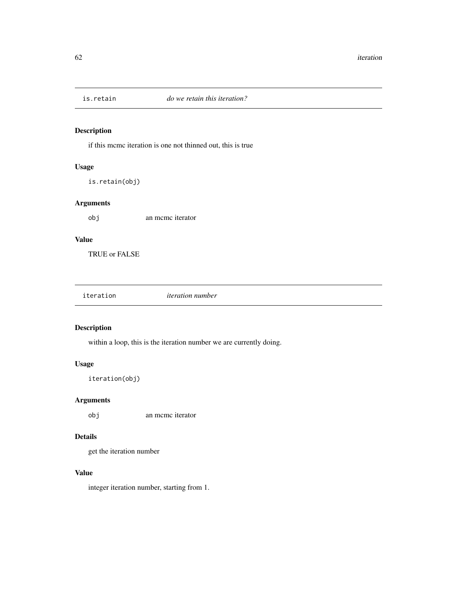if this mcmc iteration is one not thinned out, this is true

#### Usage

is.retain(obj)

## Arguments

obj an mcmc iterator

# Value

TRUE or FALSE

| iteration | <i>iteration number</i> |  |
|-----------|-------------------------|--|
|           |                         |  |

# Description

within a loop, this is the iteration number we are currently doing.

## Usage

iteration(obj)

## Arguments

obj an mcmc iterator

## Details

get the iteration number

## Value

integer iteration number, starting from 1.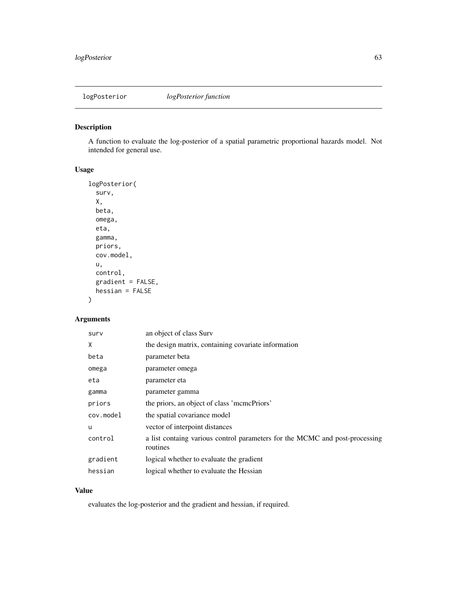A function to evaluate the log-posterior of a spatial parametric proportional hazards model. Not intended for general use.

## Usage

```
logPosterior(
  surv,
  X,
  beta,
  omega,
  eta,
  gamma,
  priors,
  cov.model,
  u,
  control,
  gradient = FALSE,
  hessian = FALSE
\mathcal{L}
```
# Arguments

| surv      | an object of class Surv                                                                 |
|-----------|-----------------------------------------------------------------------------------------|
| X         | the design matrix, containing covariate information                                     |
| beta      | parameter beta                                                                          |
| omega     | parameter omega                                                                         |
| eta       | parameter eta                                                                           |
| gamma     | parameter gamma                                                                         |
| priors    | the priors, an object of class 'mcmcPriors'                                             |
| cov.model | the spatial covariance model                                                            |
| u         | vector of interpoint distances                                                          |
| control   | a list containg various control parameters for the MCMC and post-processing<br>routines |
| gradient  | logical whether to evaluate the gradient                                                |
| hessian   | logical whether to evaluate the Hessian                                                 |

## Value

evaluates the log-posterior and the gradient and hessian, if required.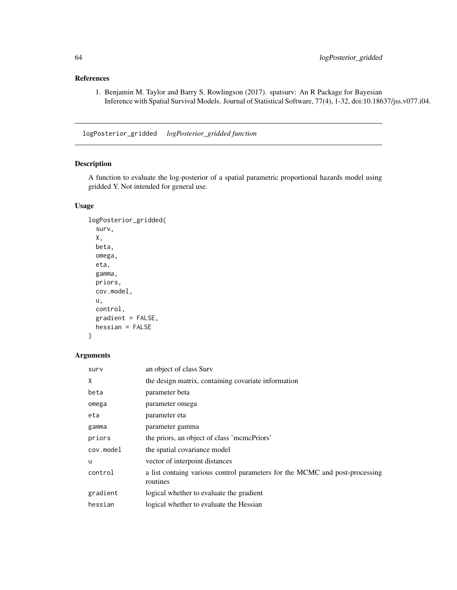# References

1. Benjamin M. Taylor and Barry S. Rowlingson (2017). spatsurv: An R Package for Bayesian Inference with Spatial Survival Models. Journal of Statistical Software, 77(4), 1-32, doi:10.18637/jss.v077.i04.

logPosterior\_gridded *logPosterior\_gridded function*

## Description

A function to evaluate the log-posterior of a spatial parametric proportional hazards model using gridded Y. Not intended for general use.

## Usage

```
logPosterior_gridded(
  surv,
  X,
 beta,
 omega,
 eta,
 gamma,
 priors,
 cov.model,
 u,
  control,
 gradient = FALSE,
 hessian = FALSE
)
```

| surv      | an object of class Surv                                                                 |
|-----------|-----------------------------------------------------------------------------------------|
| X         | the design matrix, containing covariate information                                     |
| beta      | parameter beta                                                                          |
| omega     | parameter omega                                                                         |
| eta       | parameter eta                                                                           |
| gamma     | parameter gamma                                                                         |
| priors    | the priors, an object of class 'mcmcPriors'                                             |
| cov.model | the spatial covariance model                                                            |
| u         | vector of interpoint distances                                                          |
| control   | a list containg various control parameters for the MCMC and post-processing<br>routines |
| gradient  | logical whether to evaluate the gradient                                                |
| hessian   | logical whether to evaluate the Hessian                                                 |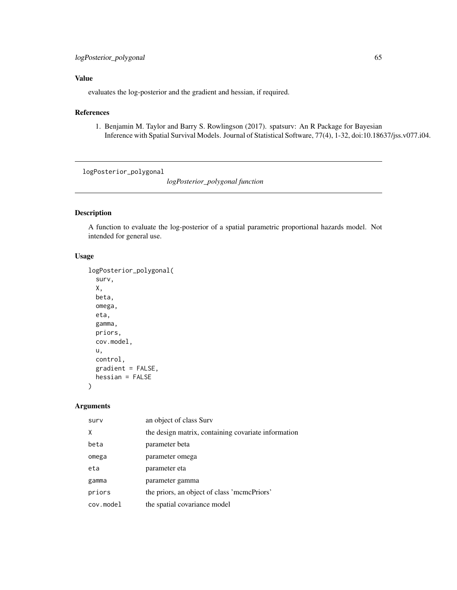# Value

evaluates the log-posterior and the gradient and hessian, if required.

## References

1. Benjamin M. Taylor and Barry S. Rowlingson (2017). spatsurv: An R Package for Bayesian Inference with Spatial Survival Models. Journal of Statistical Software, 77(4), 1-32, doi:10.18637/jss.v077.i04.

logPosterior\_polygonal

*logPosterior\_polygonal function*

# Description

A function to evaluate the log-posterior of a spatial parametric proportional hazards model. Not intended for general use.

## Usage

```
logPosterior_polygonal(
  surv,
 X,
 beta,
  omega,
 eta,
  gamma,
 priors,
  cov.model,
 u,
  control,
 gradient = FALSE,
 hessian = FALSE
)
```

| surv      | an object of class Surv                             |
|-----------|-----------------------------------------------------|
| χ         | the design matrix, containing covariate information |
| beta      | parameter beta                                      |
| omega     | parameter omega                                     |
| eta       | parameter eta                                       |
| gamma     | parameter gamma                                     |
| priors    | the priors, an object of class 'mcmcPriors'         |
| cov.model | the spatial covariance model                        |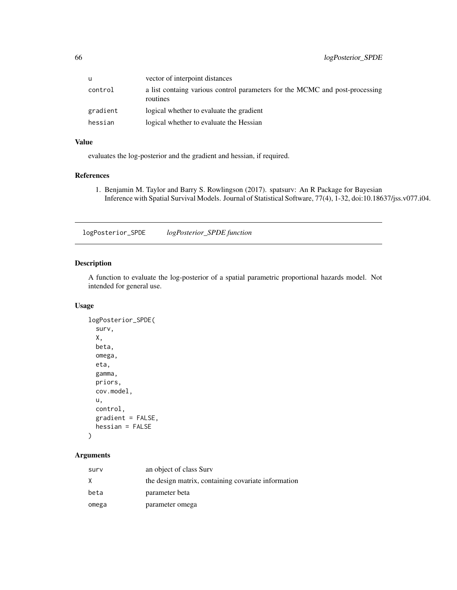| u        | vector of interpoint distances                                                          |
|----------|-----------------------------------------------------------------------------------------|
| control  | a list containg various control parameters for the MCMC and post-processing<br>routines |
| gradient | logical whether to evaluate the gradient                                                |
| hessian  | logical whether to evaluate the Hessian                                                 |

## Value

evaluates the log-posterior and the gradient and hessian, if required.

## References

1. Benjamin M. Taylor and Barry S. Rowlingson (2017). spatsurv: An R Package for Bayesian Inference with Spatial Survival Models. Journal of Statistical Software, 77(4), 1-32, doi:10.18637/jss.v077.i04.

logPosterior\_SPDE *logPosterior\_SPDE function*

## Description

A function to evaluate the log-posterior of a spatial parametric proportional hazards model. Not intended for general use.

## Usage

```
logPosterior_SPDE(
  surv,
  X,
  beta,
  omega,
  eta,
  gamma,
 priors,
  cov.model,
  u,
  control,
  gradient = FALSE,
  hessian = FALSE
\mathcal{E}
```

| surv  | an object of class Surv                             |
|-------|-----------------------------------------------------|
| X.    | the design matrix, containing covariate information |
| beta  | parameter beta                                      |
| omega | parameter omega                                     |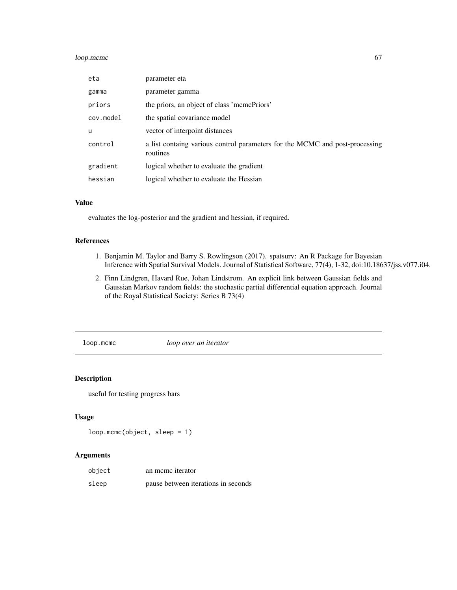## loop.mcmc 67

| eta       | parameter eta                                                                           |
|-----------|-----------------------------------------------------------------------------------------|
| gamma     | parameter gamma                                                                         |
| priors    | the priors, an object of class 'memePriors'                                             |
| cov.model | the spatial covariance model                                                            |
| u         | vector of interpoint distances                                                          |
| control   | a list containg various control parameters for the MCMC and post-processing<br>routines |
| gradient  | logical whether to evaluate the gradient                                                |
| hessian   | logical whether to evaluate the Hessian                                                 |

## Value

evaluates the log-posterior and the gradient and hessian, if required.

## References

- 1. Benjamin M. Taylor and Barry S. Rowlingson (2017). spatsurv: An R Package for Bayesian Inference with Spatial Survival Models. Journal of Statistical Software, 77(4), 1-32, doi:10.18637/jss.v077.i04.
- 2. Finn Lindgren, Havard Rue, Johan Lindstrom. An explicit link between Gaussian fields and Gaussian Markov random fields: the stochastic partial differential equation approach. Journal of the Royal Statistical Society: Series B 73(4)

loop.mcmc *loop over an iterator*

## Description

useful for testing progress bars

### Usage

```
loop.mcmc(object, sleep = 1)
```

| object | an meme iterator                    |
|--------|-------------------------------------|
| sleep  | pause between iterations in seconds |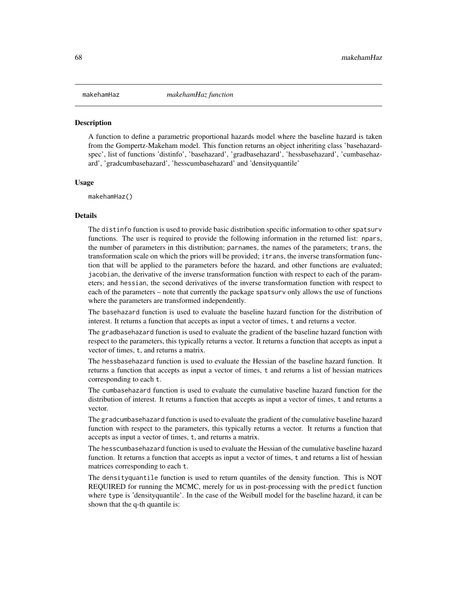<span id="page-67-0"></span>A function to define a parametric proportional hazards model where the baseline hazard is taken from the Gompertz-Makeham model. This function returns an object inheriting class 'basehazardspec', list of functions 'distinfo', 'basehazard', 'gradbasehazard', 'hessbasehazard', 'cumbasehazard', 'gradcumbasehazard', 'hesscumbasehazard' and 'densityquantile'

#### Usage

makehamHaz()

#### Details

The distinfo function is used to provide basic distribution specific information to other spatsurv functions. The user is required to provide the following information in the returned list: npars, the number of parameters in this distribution; parnames, the names of the parameters; trans, the transformation scale on which the priors will be provided; itrans, the inverse transformation function that will be applied to the parameters before the hazard, and other functions are evaluated; jacobian, the derivative of the inverse transformation function with respect to each of the parameters; and hessian, the second derivatives of the inverse transformation function with respect to each of the parameters – note that currently the package spatsurv only allows the use of functions where the parameters are transformed independently.

The basehazard function is used to evaluate the baseline hazard function for the distribution of interest. It returns a function that accepts as input a vector of times, t and returns a vector.

The gradbasehazard function is used to evaluate the gradient of the baseline hazard function with respect to the parameters, this typically returns a vector. It returns a function that accepts as input a vector of times, t, and returns a matrix.

The hessbasehazard function is used to evaluate the Hessian of the baseline hazard function. It returns a function that accepts as input a vector of times, t and returns a list of hessian matrices corresponding to each t.

The cumbasehazard function is used to evaluate the cumulative baseline hazard function for the distribution of interest. It returns a function that accepts as input a vector of times, t and returns a vector.

The gradcumbasehazard function is used to evaluate the gradient of the cumulative baseline hazard function with respect to the parameters, this typically returns a vector. It returns a function that accepts as input a vector of times, t, and returns a matrix.

The hesscumbasehazard function is used to evaluate the Hessian of the cumulative baseline hazard function. It returns a function that accepts as input a vector of times, t and returns a list of hessian matrices corresponding to each t.

The densityquantile function is used to return quantiles of the density function. This is NOT REQUIRED for running the MCMC, merely for us in post-processing with the predict function where type is 'densityquantile'. In the case of the Weibull model for the baseline hazard, it can be shown that the q-th quantile is: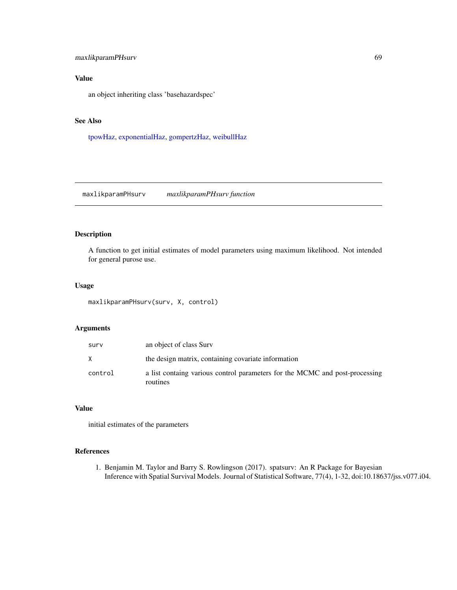## maxlikparamPHsurv 69

# Value

an object inheriting class 'basehazardspec'

## See Also

[tpowHaz,](#page-118-0) [exponentialHaz,](#page-32-0) [gompertzHaz,](#page-44-0) [weibullHaz](#page-123-0)

maxlikparamPHsurv *maxlikparamPHsurv function*

## Description

A function to get initial estimates of model parameters using maximum likelihood. Not intended for general purose use.

## Usage

maxlikparamPHsurv(surv, X, control)

## Arguments

| surv    | an object of class Surv                                                                 |
|---------|-----------------------------------------------------------------------------------------|
| X       | the design matrix, containing covariate information                                     |
| control | a list containg various control parameters for the MCMC and post-processing<br>routines |

## Value

initial estimates of the parameters

#### References

1. Benjamin M. Taylor and Barry S. Rowlingson (2017). spatsurv: An R Package for Bayesian Inference with Spatial Survival Models. Journal of Statistical Software, 77(4), 1-32, doi:10.18637/jss.v077.i04.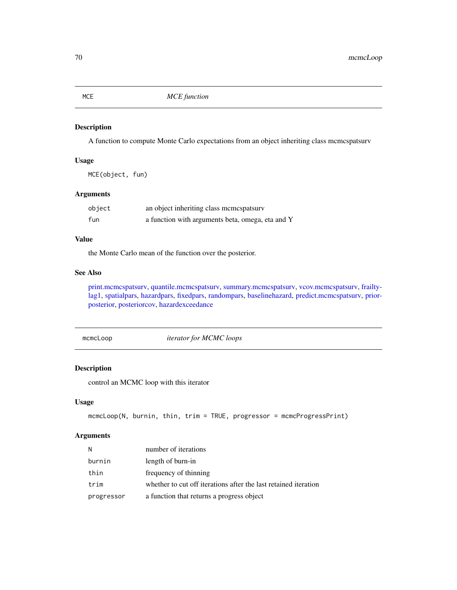<span id="page-69-0"></span>MCE *MCE function*

## Description

A function to compute Monte Carlo expectations from an object inheriting class mcmcspatsurv

#### Usage

MCE(object, fun)

## Arguments

| object | an object inheriting class memespatsury          |
|--------|--------------------------------------------------|
| fun    | a function with arguments beta, omega, eta and Y |

## Value

the Monte Carlo mean of the function over the posterior.

## See Also

[print.mcmcspatsurv,](#page-84-0) [quantile.mcmcspatsurv,](#page-94-0) [summary.mcmcspatsurv,](#page-111-0) [vcov.mcmcspatsurv,](#page-122-0) [frailty](#page-35-0)[lag1,](#page-35-0) [spatialpars,](#page-104-0) [hazardpars,](#page-52-0) [fixedpars,](#page-34-0) [randompars,](#page-96-0) [baselinehazard,](#page-14-0) [predict.mcmcspatsurv,](#page-82-0) [prior](#page-86-0)[posterior,](#page-86-0) [posteriorcov,](#page-81-0) [hazardexceedance](#page-51-0)

mcmcLoop *iterator for MCMC loops*

# Description

control an MCMC loop with this iterator

## Usage

```
mcmcLoop(N, burnin, thin, trim = TRUE, progressor = mcmcProgressPrint)
```

| N          | number of iterations                                            |
|------------|-----------------------------------------------------------------|
| burnin     | length of burn-in                                               |
| thin       | frequency of thinning                                           |
| trim       | whether to cut off iterations after the last retained iteration |
| progressor | a function that returns a progress object                       |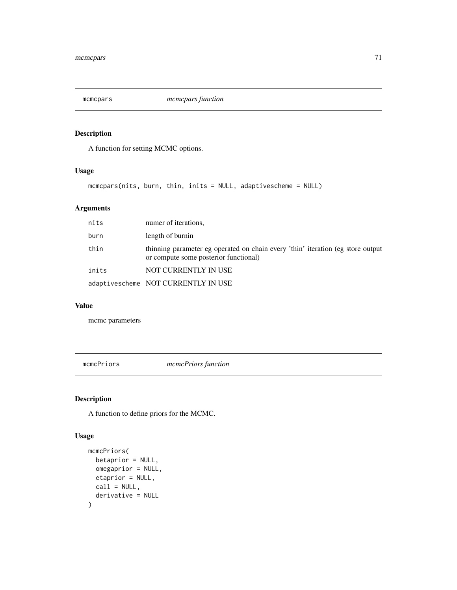A function for setting MCMC options.

#### Usage

mcmcpars(nits, burn, thin, inits = NULL, adaptivescheme = NULL)

# Arguments

| nits  | numer of iterations,                                                                                                     |
|-------|--------------------------------------------------------------------------------------------------------------------------|
| burn  | length of burnin                                                                                                         |
| thin  | thinning parameter eg operated on chain every 'thin' iteration (eg store output<br>or compute some posterior functional) |
| inits | NOT CURRENTLY IN USE                                                                                                     |
|       | adaptivescheme NOT CURRENTLY IN USE                                                                                      |

#### Value

mcmc parameters

mcmcPriors *mcmcPriors function*

# Description

A function to define priors for the MCMC.

## Usage

```
mcmcPriors(
  betaprior = NULL,
  omegaprior = NULL,
  etaprior = NULL,
  call = NULL,derivative = NULL
\mathcal{E}
```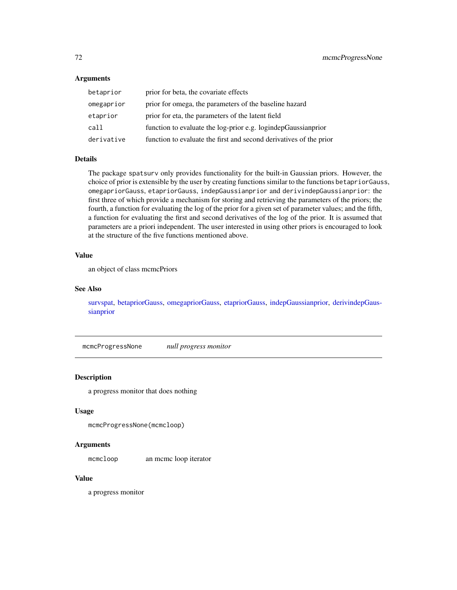## Arguments

| betaprior  | prior for beta, the covariate effects                              |
|------------|--------------------------------------------------------------------|
| omegaprior | prior for omega, the parameters of the baseline hazard             |
| etaprior   | prior for eta, the parameters of the latent field                  |
| call       | function to evaluate the log-prior e.g. logindepGaussianprior      |
| derivative | function to evaluate the first and second derivatives of the prior |

### Details

The package spatsurv only provides functionality for the built-in Gaussian priors. However, the choice of prior is extensible by the user by creating functions similar to the functions betapriorGauss, omegapriorGauss, etapriorGauss, indepGaussianprior and derivindepGaussianprior: the first three of which provide a mechanism for storing and retrieving the parameters of the priors; the fourth, a function for evaluating the log of the prior for a given set of parameter values; and the fifth, a function for evaluating the first and second derivatives of the log of the prior. It is assumed that parameters are a priori independent. The user interested in using other priors is encouraged to look at the structure of the five functions mentioned above.

## Value

an object of class mcmcPriors

## See Also

[survspat,](#page-114-0) [betapriorGauss,](#page-16-0) [omegapriorGauss,](#page-76-0) [etapriorGauss,](#page-30-0) [indepGaussianprior,](#page-56-0) [derivindepGaus](#page-26-0)[sianprior](#page-26-0)

mcmcProgressNone *null progress monitor*

# Description

a progress monitor that does nothing

#### Usage

```
mcmcProgressNone(mcmcloop)
```
#### Arguments

mcmcloop an mcmc loop iterator

#### Value

a progress monitor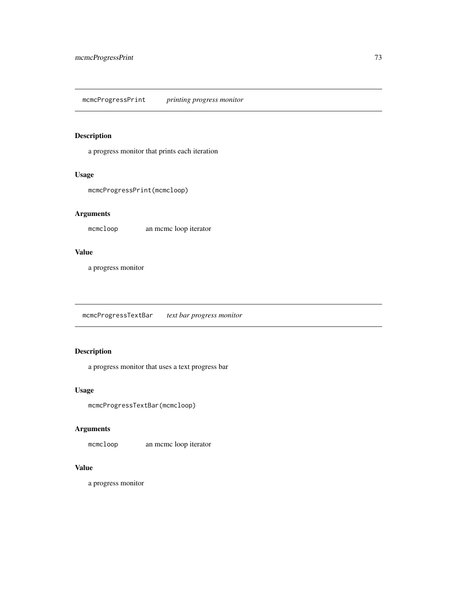a progress monitor that prints each iteration

## Usage

```
mcmcProgressPrint(mcmcloop)
```
# Arguments

mcmcloop an mcmc loop iterator

### Value

a progress monitor

mcmcProgressTextBar *text bar progress monitor*

# Description

a progress monitor that uses a text progress bar

### Usage

```
mcmcProgressTextBar(mcmcloop)
```
## Arguments

mcmcloop an mcmc loop iterator

## Value

a progress monitor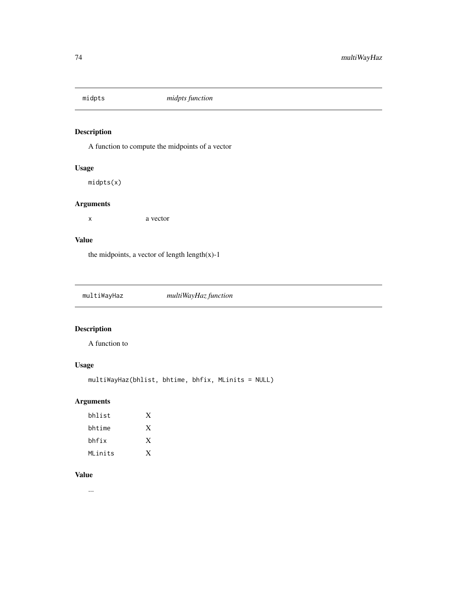A function to compute the midpoints of a vector

# Usage

midpts(x)

## Arguments

x a vector

## Value

the midpoints, a vector of length length $(x)$ -1

| multiWayHaz | multiWayHaz function |  |
|-------------|----------------------|--|
|             |                      |  |

# Description

A function to

# Usage

multiWayHaz(bhlist, bhtime, bhfix, MLinits = NULL)

# Arguments

| bhlist  | X |
|---------|---|
| bhtime  | X |
| bhfix   | X |
| MLinits | X |

#### Value

...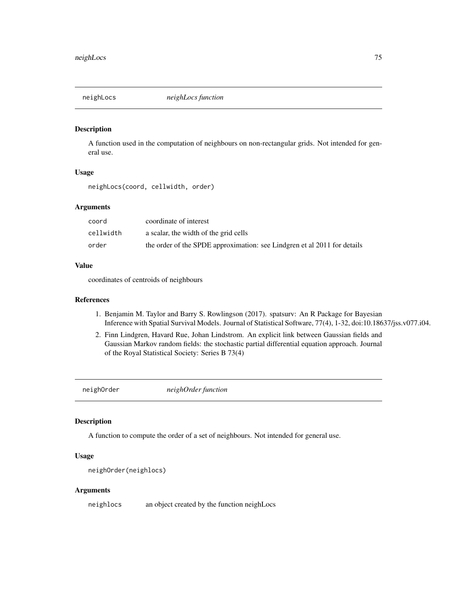A function used in the computation of neighbours on non-rectangular grids. Not intended for general use.

#### Usage

neighLocs(coord, cellwidth, order)

### Arguments

| coord     | coordinate of interest                                                   |
|-----------|--------------------------------------------------------------------------|
| cellwidth | a scalar, the width of the grid cells                                    |
| order     | the order of the SPDE approximation: see Lindgren et al 2011 for details |

### Value

coordinates of centroids of neighbours

## References

- 1. Benjamin M. Taylor and Barry S. Rowlingson (2017). spatsurv: An R Package for Bayesian Inference with Spatial Survival Models. Journal of Statistical Software, 77(4), 1-32, doi:10.18637/jss.v077.i04.
- 2. Finn Lindgren, Havard Rue, Johan Lindstrom. An explicit link between Gaussian fields and Gaussian Markov random fields: the stochastic partial differential equation approach. Journal of the Royal Statistical Society: Series B 73(4)

neighOrder *neighOrder function*

## Description

A function to compute the order of a set of neighbours. Not intended for general use.

## Usage

```
neighOrder(neighlocs)
```
#### Arguments

neighlocs an object created by the function neighLocs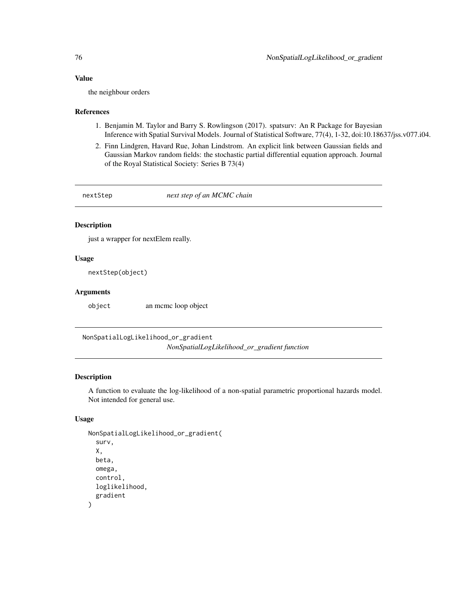### Value

the neighbour orders

#### References

- 1. Benjamin M. Taylor and Barry S. Rowlingson (2017). spatsurv: An R Package for Bayesian Inference with Spatial Survival Models. Journal of Statistical Software, 77(4), 1-32, doi:10.18637/jss.v077.i04.
- 2. Finn Lindgren, Havard Rue, Johan Lindstrom. An explicit link between Gaussian fields and Gaussian Markov random fields: the stochastic partial differential equation approach. Journal of the Royal Statistical Society: Series B 73(4)

nextStep *next step of an MCMC chain*

## Description

just a wrapper for nextElem really.

## Usage

nextStep(object)

#### Arguments

object an mcmc loop object

NonSpatialLogLikelihood\_or\_gradient *NonSpatialLogLikelihood\_or\_gradient function*

#### Description

A function to evaluate the log-likelihood of a non-spatial parametric proportional hazards model. Not intended for general use.

## Usage

```
NonSpatialLogLikelihood_or_gradient(
  surv,
 X,
 beta,
 omega,
  control,
  loglikelihood,
  gradient
)
```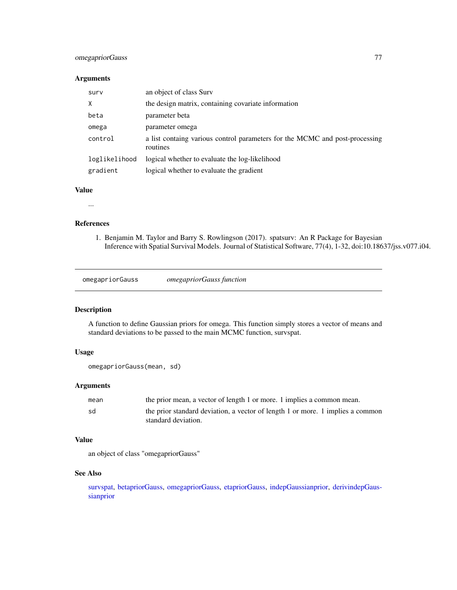## omegapriorGauss 77

#### Arguments

| surv          | an object of class Surv                                                                 |
|---------------|-----------------------------------------------------------------------------------------|
| $\times$      | the design matrix, containing covariate information                                     |
| beta          | parameter beta                                                                          |
| omega         | parameter omega                                                                         |
| control       | a list containg various control parameters for the MCMC and post-processing<br>routines |
| loglikelihood | logical whether to evaluate the log-likelihood                                          |
| gradient      | logical whether to evaluate the gradient                                                |

#### Value

...

#### References

1. Benjamin M. Taylor and Barry S. Rowlingson (2017). spatsurv: An R Package for Bayesian Inference with Spatial Survival Models. Journal of Statistical Software, 77(4), 1-32, doi:10.18637/jss.v077.i04.

<span id="page-76-0"></span>omegapriorGauss *omegapriorGauss function*

## Description

A function to define Gaussian priors for omega. This function simply stores a vector of means and standard deviations to be passed to the main MCMC function, survspat.

## Usage

```
omegapriorGauss(mean, sd)
```
## Arguments

| mean | the prior mean, a vector of length 1 or more. 1 implies a common mean.                                |
|------|-------------------------------------------------------------------------------------------------------|
| sd   | the prior standard deviation, a vector of length 1 or more. 1 implies a common<br>standard deviation. |

## Value

an object of class "omegapriorGauss"

## See Also

[survspat,](#page-114-0) [betapriorGauss,](#page-16-0) [omegapriorGauss,](#page-76-0) [etapriorGauss,](#page-30-0) [indepGaussianprior,](#page-56-0) [derivindepGaus](#page-26-0)[sianprior](#page-26-0)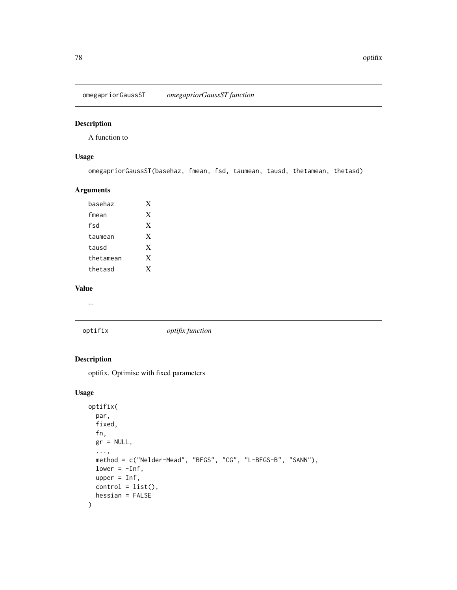omegapriorGaussST *omegapriorGaussST function*

## Description

A function to

## Usage

omegapriorGaussST(basehaz, fmean, fsd, taumean, tausd, thetamean, thetasd)

### Arguments

| hasehaz   | X |
|-----------|---|
| fmean     | X |
| fsd       | X |
| taumean   | X |
| tausd     | X |
| thetamean | X |
| thetasd   | X |

### Value

...

## optifix *optifix function*

# Description

optifix. Optimise with fixed parameters

## Usage

```
optifix(
 par,
 fixed,
 fn,
 gr = NULL,...,
 method = c("Nelder-Mead", "BFGS", "CG", "L-BFGS-B", "SANN"),
 lower = -Inf,upper = Inf,
 control = list(),
 hessian = FALSE
)
```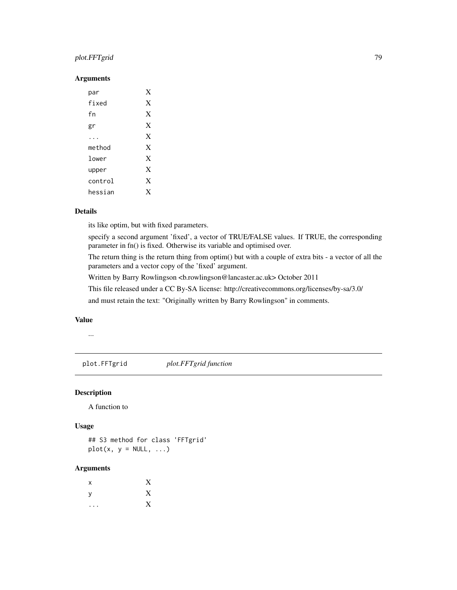## plot.FFTgrid 79

## Arguments

| par     | X |
|---------|---|
| fixed   | X |
| fn      | X |
| gr      | X |
|         | X |
| method  | X |
| lower   | X |
| upper   | X |
| control | X |
| hessian | X |

## Details

its like optim, but with fixed parameters.

specify a second argument 'fixed', a vector of TRUE/FALSE values. If TRUE, the corresponding parameter in fn() is fixed. Otherwise its variable and optimised over.

The return thing is the return thing from optim() but with a couple of extra bits - a vector of all the parameters and a vector copy of the 'fixed' argument.

Written by Barry Rowlingson <b.rowlingson@lancaster.ac.uk> October 2011

This file released under a CC By-SA license: http://creativecommons.org/licenses/by-sa/3.0/

and must retain the text: "Originally written by Barry Rowlingson" in comments.

## Value

...

plot.FFTgrid *plot.FFTgrid function*

## Description

A function to

## Usage

## S3 method for class 'FFTgrid'  $plot(x, y = NULL, ...)$ 

#### Arguments

| $\boldsymbol{\mathsf{x}}$ | X |
|---------------------------|---|
| y                         | X |
| $\bullet$                 | X |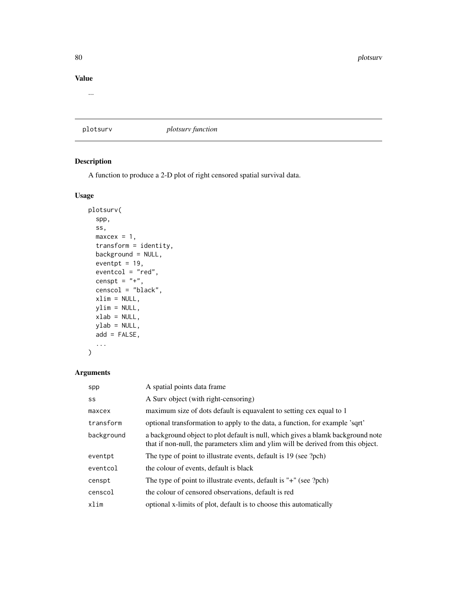## Value

...

# plotsurv *plotsurv function*

## Description

A function to produce a 2-D plot of right censored spatial survival data.

## Usage

```
plotsurv(
  spp,
  ss,
  maxcex = 1,
  transform = identity,
  background = NULL,
  eventpt = 19,
  eventcol = "red",
  censpt = "+",
  censcol = "black",
  xlim = NULL,
  ylim = NULL,
  xlab = NULL,
  ylab = NULL,
  add = FALSE,...
\mathcal{L}
```
# Arguments

| spp        | A spatial points data frame                                                                                                                                          |
|------------|----------------------------------------------------------------------------------------------------------------------------------------------------------------------|
| SS         | A Surv object (with right-censoring)                                                                                                                                 |
| maxcex     | maximum size of dots default is equavalent to setting cex equal to 1                                                                                                 |
| transform  | optional transformation to apply to the data, a function, for example 'sqrt'                                                                                         |
| background | a background object to plot default is null, which gives a blamk background note<br>that if non-null, the parameters xlim and ylim will be derived from this object. |
| eventpt    | The type of point to illustrate events, default is 19 (see ?pch)                                                                                                     |
| eventcol   | the colour of events, default is black                                                                                                                               |
| censpt     | The type of point to illustrate events, default is "+" (see ?pch)                                                                                                    |
| censcol    | the colour of censored observations, default is red                                                                                                                  |
| xlim       | optional x-limits of plot, default is to choose this automatically                                                                                                   |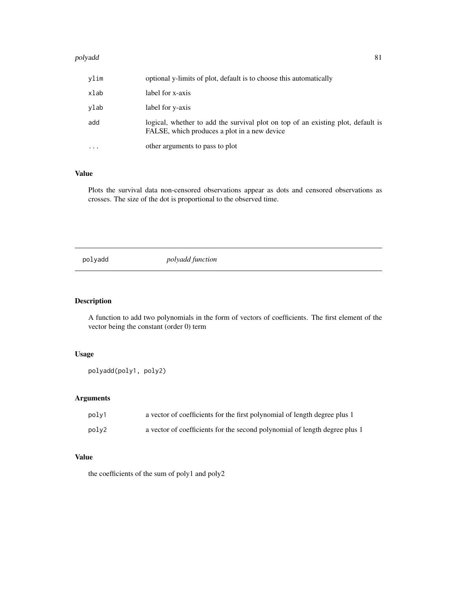#### polyadd a 1999 - 1999 - 1999 - 1999 - 1999 - 1999 - 1999 - 1999 - 1999 - 1999 - 1999 - 1999 - 1999 - 1999 - 19

| vlim      | optional y-limits of plot, default is to choose this automatically                                                               |
|-----------|----------------------------------------------------------------------------------------------------------------------------------|
| xlab      | label for x-axis                                                                                                                 |
| vlab      | label for y-axis                                                                                                                 |
| add       | logical, whether to add the survival plot on top of an existing plot, default is<br>FALSE, which produces a plot in a new device |
| $\ddotsc$ | other arguments to pass to plot                                                                                                  |

## Value

Plots the survival data non-censored observations appear as dots and censored observations as crosses. The size of the dot is proportional to the observed time.

polyadd *polyadd function*

## Description

A function to add two polynomials in the form of vectors of coefficients. The first element of the vector being the constant (order 0) term

## Usage

polyadd(poly1, poly2)

## Arguments

| poly1 | a vector of coefficients for the first polynomial of length degree plus 1  |
|-------|----------------------------------------------------------------------------|
| poly2 | a vector of coefficients for the second polynomial of length degree plus 1 |

## Value

the coefficients of the sum of poly1 and poly2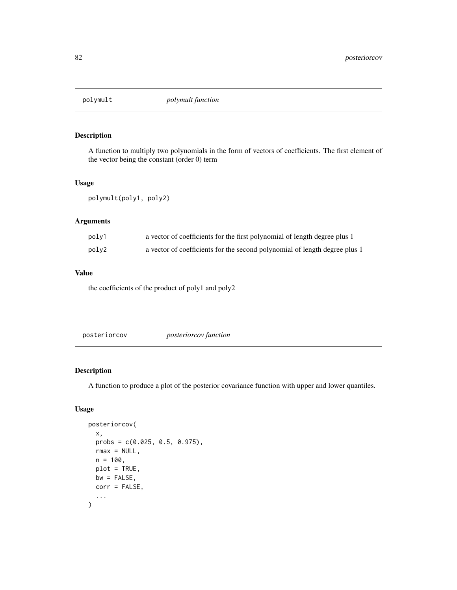A function to multiply two polynomials in the form of vectors of coefficients. The first element of the vector being the constant (order 0) term

#### Usage

polymult(poly1, poly2)

## Arguments

| polv1 | a vector of coefficients for the first polynomial of length degree plus 1  |
|-------|----------------------------------------------------------------------------|
| polv2 | a vector of coefficients for the second polynomial of length degree plus 1 |

## Value

the coefficients of the product of poly1 and poly2

<span id="page-81-0"></span>posteriorcov *posteriorcov function*

## Description

A function to produce a plot of the posterior covariance function with upper and lower quantiles.

## Usage

```
posteriorcov(
 x,
 probs = c(0.025, 0.5, 0.975),
 rmax = NULL,n = 100,
 plot = TRUE,
 bw = FALSE,corr = FALSE,
  ...
)
```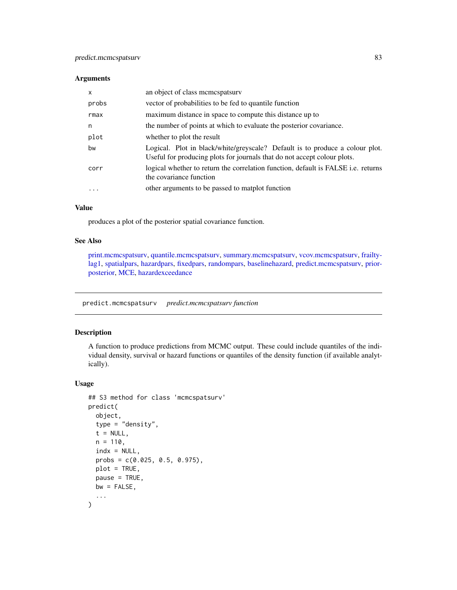#### Arguments

| x     | an object of class memespatsury                                                                                                                          |
|-------|----------------------------------------------------------------------------------------------------------------------------------------------------------|
| probs | vector of probabilities to be fed to quantile function                                                                                                   |
| rmax  | maximum distance in space to compute this distance up to                                                                                                 |
| n     | the number of points at which to evaluate the posterior covariance.                                                                                      |
| plot  | whether to plot the result                                                                                                                               |
| bw    | Logical. Plot in black/white/greyscale? Default is to produce a colour plot.<br>Useful for producing plots for journals that do not accept colour plots. |
| corr  | logical whether to return the correlation function, default is FALSE <i>i.e.</i> returns<br>the covariance function                                      |
| .     | other arguments to be passed to matplot function                                                                                                         |
|       |                                                                                                                                                          |

## Value

produces a plot of the posterior spatial covariance function.

## See Also

[print.mcmcspatsurv,](#page-84-0) [quantile.mcmcspatsurv,](#page-94-0) [summary.mcmcspatsurv,](#page-111-0) [vcov.mcmcspatsurv,](#page-122-0) [frailty](#page-35-0)[lag1,](#page-35-0) [spatialpars,](#page-104-0) [hazardpars,](#page-52-0) [fixedpars,](#page-34-0) [randompars,](#page-96-0) [baselinehazard,](#page-14-0) [predict.mcmcspatsurv,](#page-82-0) [prior](#page-86-0)[posterior,](#page-86-0) [MCE,](#page-69-0) [hazardexceedance](#page-51-0)

<span id="page-82-0"></span>predict.mcmcspatsurv *predict.mcmcspatsurv function*

## Description

A function to produce predictions from MCMC output. These could include quantiles of the individual density, survival or hazard functions or quantiles of the density function (if available analytically).

#### Usage

```
## S3 method for class 'mcmcspatsurv'
predict(
  object,
  type = "density",
  t = NULL,n = 110,
  indx = NULL,probs = c(0.025, 0.5, 0.975),
 plot = TRUE,
 pause = TRUE,
 bw = FALSE,...
\mathcal{E}
```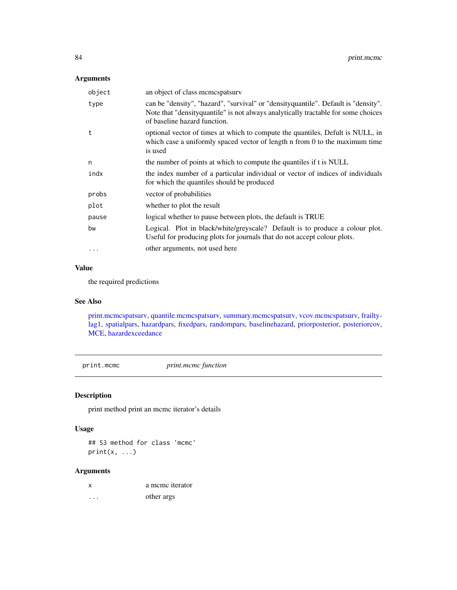## Arguments

| object    | an object of class mcmcspatsurv                                                                                                                                                                           |
|-----------|-----------------------------------------------------------------------------------------------------------------------------------------------------------------------------------------------------------|
| type      | can be "density", "hazard", "survival" or "density quantile". Default is "density".<br>Note that "density quantile" is not always analytically tractable for some choices<br>of baseline hazard function. |
| t         | optional vector of times at which to compute the quantiles, Defult is NULL, in<br>which case a uniformly spaced vector of length $n$ from $0$ to the maximum time<br>is used                              |
| n         | the number of points at which to compute the quantiles if t is NULL                                                                                                                                       |
| indx      | the index number of a particular individual or vector of indices of individuals<br>for which the quantiles should be produced                                                                             |
| probs     | vector of probabilities                                                                                                                                                                                   |
| plot      | whether to plot the result                                                                                                                                                                                |
| pause     | logical whether to pause between plots, the default is TRUE                                                                                                                                               |
| bw        | Logical. Plot in black/white/greyscale? Default is to produce a colour plot.<br>Useful for producing plots for journals that do not accept colour plots.                                                  |
| $\ddotsc$ | other arguments, not used here                                                                                                                                                                            |

### Value

the required predictions

## See Also

[print.mcmcspatsurv,](#page-84-0) [quantile.mcmcspatsurv,](#page-94-0) [summary.mcmcspatsurv,](#page-111-0) [vcov.mcmcspatsurv,](#page-122-0) [frailty](#page-35-0)[lag1,](#page-35-0) [spatialpars,](#page-104-0) [hazardpars,](#page-52-0) [fixedpars,](#page-34-0) [randompars,](#page-96-0) [baselinehazard,](#page-14-0) [priorposterior,](#page-86-0) [posteriorcov,](#page-81-0) [MCE,](#page-69-0) [hazardexceedance](#page-51-0)

print.mcmc *print.mcmc function*

## Description

print method print an mcmc iterator's details

## Usage

## S3 method for class 'mcmc'  $print(x, \ldots)$ 

# Arguments

| x | a meme iterator |
|---|-----------------|
| . | other args      |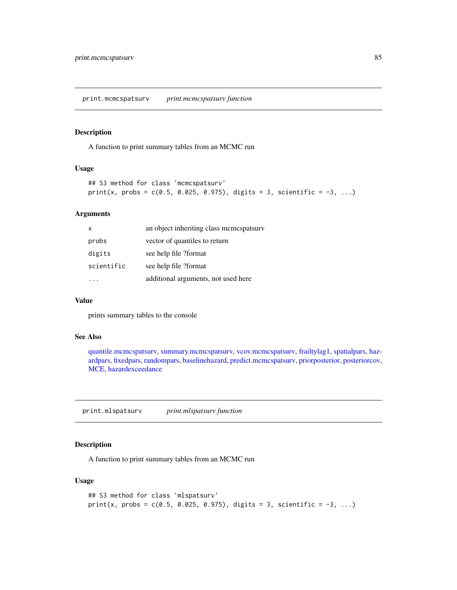<span id="page-84-0"></span>print.mcmcspatsurv *print.mcmcspatsurv function*

#### Description

A function to print summary tables from an MCMC run

#### Usage

```
## S3 method for class 'mcmcspatsurv'
print(x, probs = c(0.5, 0.025, 0.975), digits = 3, scientific = -3, ...)
```
#### Arguments

| X          | an object inheriting class mcmcspatsurv |
|------------|-----------------------------------------|
| probs      | vector of quantiles to return           |
| digits     | see help file ?format                   |
| scientific | see help file ?format                   |
|            | additional arguments, not used here     |

#### Value

prints summary tables to the console

## See Also

[quantile.mcmcspatsurv,](#page-94-0) [summary.mcmcspatsurv,](#page-111-0) [vcov.mcmcspatsurv,](#page-122-0) [frailtylag1,](#page-35-0) [spatialpars,](#page-104-0) [haz](#page-52-0)[ardpars,](#page-52-0) [fixedpars,](#page-34-0) [randompars,](#page-96-0) [baselinehazard,](#page-14-0) [predict.mcmcspatsurv,](#page-82-0) [priorposterior,](#page-86-0) [posteriorcov,](#page-81-0) [MCE,](#page-69-0) [hazardexceedance](#page-51-0)

print.mlspatsurv *print.mlspatsurv function*

## Description

A function to print summary tables from an MCMC run

#### Usage

```
## S3 method for class 'mlspatsurv'
print(x, probs = c(0.5, 0.025, 0.975), digits = 3, scientific = -3, ...)
```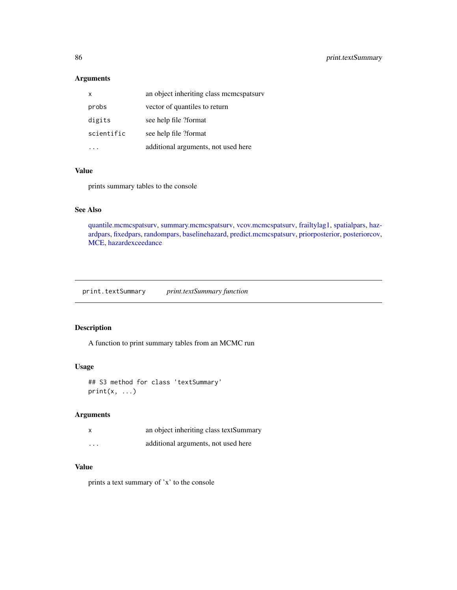## Arguments

| X          | an object inheriting class mcmcspatsurv |
|------------|-----------------------------------------|
| probs      | vector of quantiles to return           |
| digits     | see help file ?format                   |
| scientific | see help file ?format                   |
|            | additional arguments, not used here     |

#### Value

prints summary tables to the console

## See Also

[quantile.mcmcspatsurv,](#page-94-0) [summary.mcmcspatsurv,](#page-111-0) [vcov.mcmcspatsurv,](#page-122-0) [frailtylag1,](#page-35-0) [spatialpars,](#page-104-0) [haz](#page-52-0)[ardpars,](#page-52-0) [fixedpars,](#page-34-0) [randompars,](#page-96-0) [baselinehazard,](#page-14-0) [predict.mcmcspatsurv,](#page-82-0) [priorposterior,](#page-86-0) [posteriorcov,](#page-81-0) [MCE,](#page-69-0) [hazardexceedance](#page-51-0)

print.textSummary *print.textSummary function*

## Description

A function to print summary tables from an MCMC run

## Usage

```
## S3 method for class 'textSummary'
print(x, \ldots)
```
### Arguments

|          | an object inheriting class textSummary |
|----------|----------------------------------------|
| $\cdots$ | additional arguments, not used here    |

## Value

prints a text summary of 'x' to the console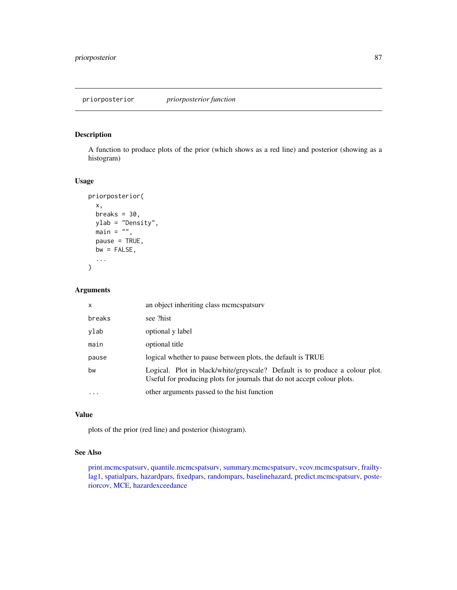<span id="page-86-0"></span>A function to produce plots of the prior (which shows as a red line) and posterior (showing as a histogram)

### Usage

```
priorposterior(
 x,
 breaks = 30.
 ylab = "Density",
 main = "",pause = TRUE,
 bw = FALSE,...
)
```
# Arguments

| $\mathsf{x}$ | an object inheriting class memespatsury                                                                                                                  |
|--------------|----------------------------------------------------------------------------------------------------------------------------------------------------------|
| breaks       | see ?hist                                                                                                                                                |
| ylab         | optional y label                                                                                                                                         |
| main         | optional title                                                                                                                                           |
| pause        | logical whether to pause between plots, the default is TRUE                                                                                              |
| bw           | Logical. Plot in black/white/greyscale? Default is to produce a colour plot.<br>Useful for producing plots for journals that do not accept colour plots. |
| $\ddotsc$    | other arguments passed to the hist function                                                                                                              |

### Value

plots of the prior (red line) and posterior (histogram).

### See Also

[print.mcmcspatsurv,](#page-84-0) [quantile.mcmcspatsurv,](#page-94-0) [summary.mcmcspatsurv,](#page-111-0) [vcov.mcmcspatsurv,](#page-122-0) [frailty](#page-35-0)[lag1,](#page-35-0) [spatialpars,](#page-104-0) [hazardpars,](#page-52-0) [fixedpars,](#page-34-0) [randompars,](#page-96-0) [baselinehazard,](#page-14-0) [predict.mcmcspatsurv,](#page-82-0) [poste](#page-81-0)[riorcov,](#page-81-0) [MCE,](#page-69-0) [hazardexceedance](#page-51-0)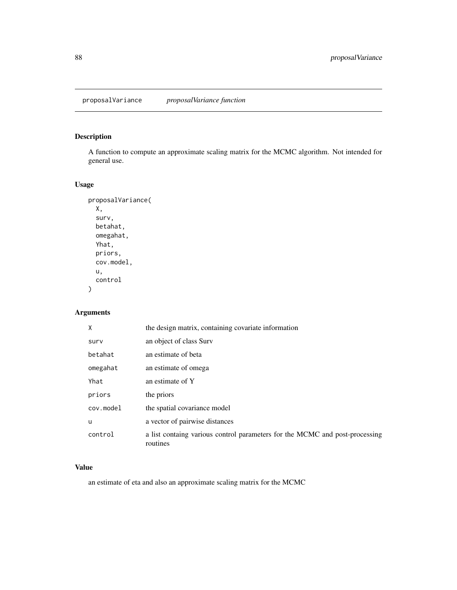proposalVariance *proposalVariance function*

# Description

A function to compute an approximate scaling matrix for the MCMC algorithm. Not intended for general use.

# Usage

```
proposalVariance(
 X,
  surv,
 betahat,
 omegahat,
 Yhat,
 priors,
 cov.model,
 u,
 control
)
```
## Arguments

| X         | the design matrix, containing covariate information                                     |
|-----------|-----------------------------------------------------------------------------------------|
| surv      | an object of class Surv                                                                 |
| betahat   | an estimate of beta                                                                     |
| omegahat  | an estimate of omega                                                                    |
| Yhat      | an estimate of Y                                                                        |
| priors    | the priors                                                                              |
| cov.model | the spatial covariance model                                                            |
| u         | a vector of pairwise distances                                                          |
| control   | a list containg various control parameters for the MCMC and post-processing<br>routines |

# Value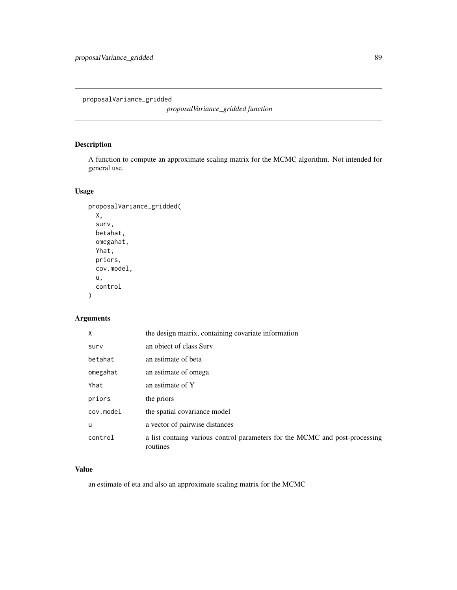proposalVariance\_gridded

*proposalVariance\_gridded function*

# Description

A function to compute an approximate scaling matrix for the MCMC algorithm. Not intended for general use.

## Usage

```
proposalVariance_gridded(
  X,
  surv,
  betahat,
  omegahat,
  Yhat,
  priors,
  cov.model,
  u,
  control
\mathcal{L}
```
## Arguments

| X         | the design matrix, containing covariate information                                     |
|-----------|-----------------------------------------------------------------------------------------|
| surv      | an object of class Surv                                                                 |
| betahat   | an estimate of beta                                                                     |
| omegahat  | an estimate of omega                                                                    |
| Yhat      | an estimate of Y                                                                        |
| priors    | the priors                                                                              |
| cov.model | the spatial covariance model                                                            |
| u         | a vector of pairwise distances                                                          |
| control   | a list containg various control parameters for the MCMC and post-processing<br>routines |

## Value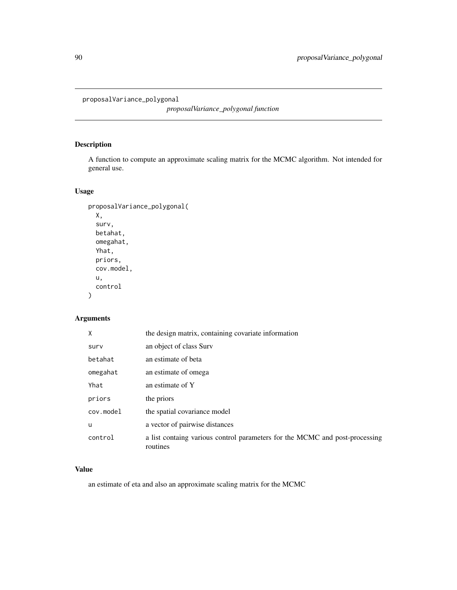proposalVariance\_polygonal

*proposalVariance\_polygonal function*

# Description

A function to compute an approximate scaling matrix for the MCMC algorithm. Not intended for general use.

## Usage

```
proposalVariance_polygonal(
  X,
  surv,
  betahat,
  omegahat,
  Yhat,
  priors,
  cov.model,
  u,
  control
\mathcal{L}
```
## Arguments

| X         | the design matrix, containing covariate information                                     |
|-----------|-----------------------------------------------------------------------------------------|
| surv      | an object of class Surv                                                                 |
| betahat   | an estimate of beta                                                                     |
| omegahat  | an estimate of omega                                                                    |
| Yhat      | an estimate of Y                                                                        |
| priors    | the priors                                                                              |
| cov.model | the spatial covariance model                                                            |
| u         | a vector of pairwise distances                                                          |
| control   | a list containg various control parameters for the MCMC and post-processing<br>routines |

## Value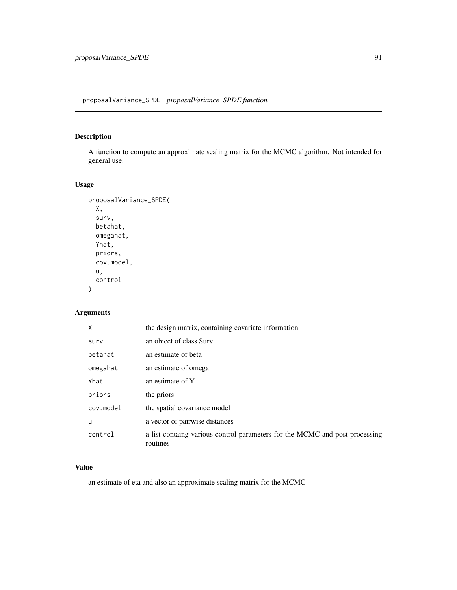A function to compute an approximate scaling matrix for the MCMC algorithm. Not intended for general use.

# Usage

```
proposalVariance_SPDE(
 X,
 surv,
 betahat,
 omegahat,
 Yhat,
 priors,
 cov.model,
 u,
 control
)
```
## Arguments

| X         | the design matrix, containing covariate information                                     |
|-----------|-----------------------------------------------------------------------------------------|
| surv      | an object of class Surv                                                                 |
| betahat   | an estimate of beta                                                                     |
| omegahat  | an estimate of omega                                                                    |
| Yhat      | an estimate of Y                                                                        |
| priors    | the priors                                                                              |
| cov.model | the spatial covariance model                                                            |
| u         | a vector of pairwise distances                                                          |
| control   | a list containg various control parameters for the MCMC and post-processing<br>routines |

# Value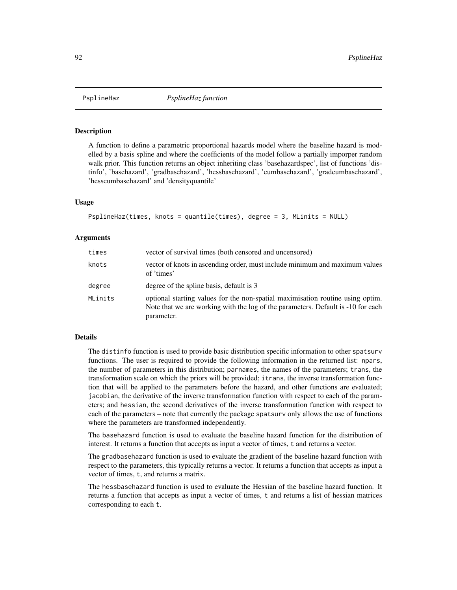A function to define a parametric proportional hazards model where the baseline hazard is modelled by a basis spline and where the coefficients of the model follow a partially imporper random walk prior. This function returns an object inheriting class 'basehazardspec', list of functions 'distinfo', 'basehazard', 'gradbasehazard', 'hessbasehazard', 'cumbasehazard', 'gradcumbasehazard', 'hesscumbasehazard' and 'densityquantile'

#### Usage

```
PsplineHaz(times, knots = quantile(times), degree = 3, MLinits = NULL)
```
#### Arguments

| times   | vector of survival times (both censored and uncensored)                                                                                                                          |
|---------|----------------------------------------------------------------------------------------------------------------------------------------------------------------------------------|
| knots   | vector of knots in ascending order, must include minimum and maximum values<br>of 'times'                                                                                        |
| degree  | degree of the spline basis, default is 3                                                                                                                                         |
| MLinits | optional starting values for the non-spatial maximisation routine using optim.<br>Note that we are working with the log of the parameters. Default is -10 for each<br>parameter. |

## Details

The distinfo function is used to provide basic distribution specific information to other spatsurv functions. The user is required to provide the following information in the returned list: npars, the number of parameters in this distribution; parnames, the names of the parameters; trans, the transformation scale on which the priors will be provided; itrans, the inverse transformation function that will be applied to the parameters before the hazard, and other functions are evaluated; jacobian, the derivative of the inverse transformation function with respect to each of the parameters; and hessian, the second derivatives of the inverse transformation function with respect to each of the parameters – note that currently the package spatsurv only allows the use of functions where the parameters are transformed independently.

The basehazard function is used to evaluate the baseline hazard function for the distribution of interest. It returns a function that accepts as input a vector of times, t and returns a vector.

The gradbasehazard function is used to evaluate the gradient of the baseline hazard function with respect to the parameters, this typically returns a vector. It returns a function that accepts as input a vector of times, t, and returns a matrix.

The hessbasehazard function is used to evaluate the Hessian of the baseline hazard function. It returns a function that accepts as input a vector of times, t and returns a list of hessian matrices corresponding to each t.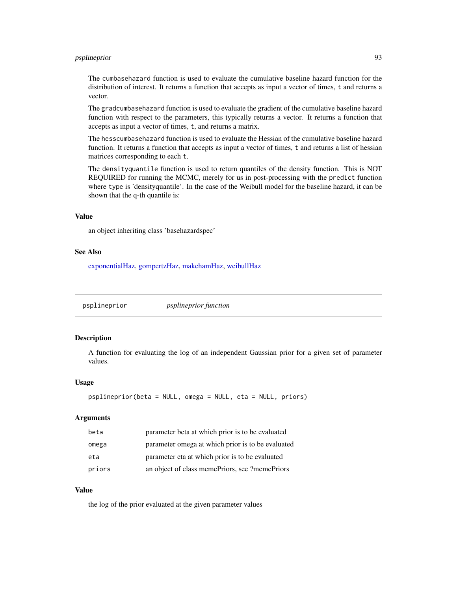## psplineprior 93

The cumbasehazard function is used to evaluate the cumulative baseline hazard function for the distribution of interest. It returns a function that accepts as input a vector of times, t and returns a vector.

The gradcumbasehazard function is used to evaluate the gradient of the cumulative baseline hazard function with respect to the parameters, this typically returns a vector. It returns a function that accepts as input a vector of times, t, and returns a matrix.

The hesscumbasehazard function is used to evaluate the Hessian of the cumulative baseline hazard function. It returns a function that accepts as input a vector of times, t and returns a list of hessian matrices corresponding to each t.

The densityquantile function is used to return quantiles of the density function. This is NOT REQUIRED for running the MCMC, merely for us in post-processing with the predict function where type is 'densityquantile'. In the case of the Weibull model for the baseline hazard, it can be shown that the q-th quantile is:

## Value

an object inheriting class 'basehazardspec'

#### See Also

[exponentialHaz,](#page-32-0) [gompertzHaz,](#page-44-0) [makehamHaz,](#page-67-0) [weibullHaz](#page-123-0)

psplineprior *psplineprior function*

#### **Description**

A function for evaluating the log of an independent Gaussian prior for a given set of parameter values.

#### Usage

```
psplineprior(beta = NULL, omega = NULL, eta = NULL, priors)
```
## Arguments

| beta   | parameter beta at which prior is to be evaluated  |
|--------|---------------------------------------------------|
| omega  | parameter omega at which prior is to be evaluated |
| eta    | parameter eta at which prior is to be evaluated   |
| priors | an object of class memePriors, see ?memePriors    |

### Value

the log of the prior evaluated at the given parameter values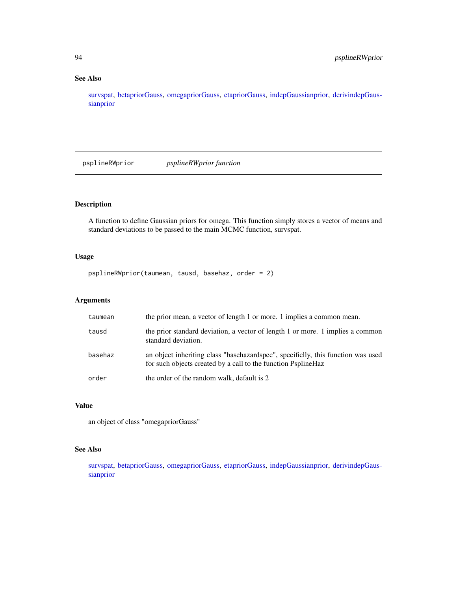## See Also

[survspat,](#page-114-0) [betapriorGauss,](#page-16-0) [omegapriorGauss,](#page-76-0) [etapriorGauss,](#page-30-0) [indepGaussianprior,](#page-56-0) [derivindepGaus](#page-26-0)[sianprior](#page-26-0)

psplineRWprior *psplineRWprior function*

## Description

A function to define Gaussian priors for omega. This function simply stores a vector of means and standard deviations to be passed to the main MCMC function, survspat.

## Usage

psplineRWprior(taumean, tausd, basehaz, order = 2)

## Arguments

| taumean | the prior mean, a vector of length 1 or more. 1 implies a common mean.                                                                            |
|---------|---------------------------------------------------------------------------------------------------------------------------------------------------|
| tausd   | the prior standard deviation, a vector of length 1 or more. 1 implies a common<br>standard deviation.                                             |
| basehaz | an object inheriting class "basehazardspec", specificlly, this function was used<br>for such objects created by a call to the function PsplineHaz |
| order   | the order of the random walk, default is 2                                                                                                        |

#### Value

an object of class "omegapriorGauss"

## See Also

[survspat,](#page-114-0) [betapriorGauss,](#page-16-0) [omegapriorGauss,](#page-76-0) [etapriorGauss,](#page-30-0) [indepGaussianprior,](#page-56-0) [derivindepGaus](#page-26-0)[sianprior](#page-26-0)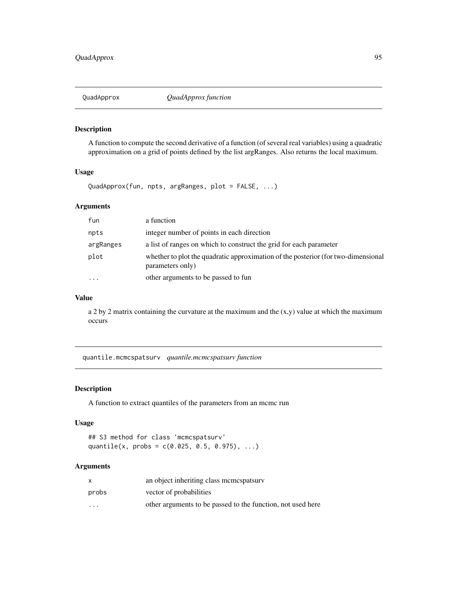A function to compute the second derivative of a function (of several real variables) using a quadratic approximation on a grid of points defined by the list argRanges. Also returns the local maximum.

## Usage

QuadApprox(fun, npts, argRanges, plot = FALSE, ...)

## Arguments

| fun       | a function                                                                                            |
|-----------|-------------------------------------------------------------------------------------------------------|
| npts      | integer number of points in each direction                                                            |
| argRanges | a list of ranges on which to construct the grid for each parameter                                    |
| plot      | whether to plot the quadratic approximation of the posterior (for two-dimensional<br>parameters only) |
| $\cdots$  | other arguments to be passed to fun                                                                   |

## Value

a 2 by 2 matrix containing the curvature at the maximum and the  $(x,y)$  value at which the maximum occurs

<span id="page-94-0"></span>quantile.mcmcspatsurv *quantile.mcmcspatsurv function*

#### Description

A function to extract quantiles of the parameters from an mcmc run

#### Usage

## S3 method for class 'mcmcspatsurv' quantile(x, probs =  $c(0.025, 0.5, 0.975), ...$ )

## Arguments

|                         | an object inheriting class memespatsury                     |
|-------------------------|-------------------------------------------------------------|
| probs                   | vector of probabilities                                     |
| $\cdot$ $\cdot$ $\cdot$ | other arguments to be passed to the function, not used here |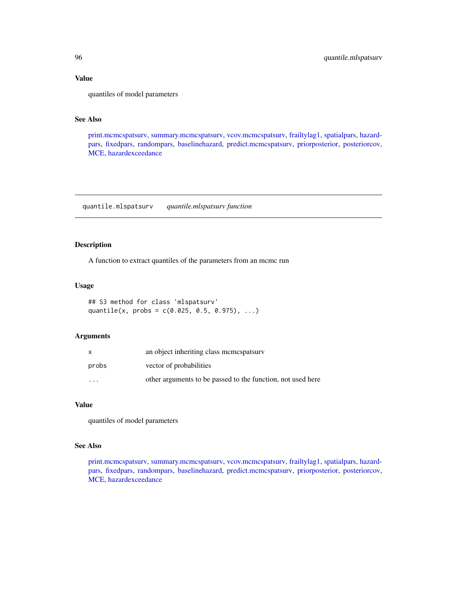## Value

quantiles of model parameters

## See Also

[print.mcmcspatsurv,](#page-84-0) [summary.mcmcspatsurv,](#page-111-0) [vcov.mcmcspatsurv,](#page-122-0) [frailtylag1,](#page-35-0) [spatialpars,](#page-104-0) [hazard](#page-52-0)[pars,](#page-52-0) [fixedpars,](#page-34-0) [randompars,](#page-96-0) [baselinehazard,](#page-14-0) [predict.mcmcspatsurv,](#page-82-0) [priorposterior,](#page-86-0) [posteriorcov,](#page-81-0) [MCE,](#page-69-0) [hazardexceedance](#page-51-0)

quantile.mlspatsurv *quantile.mlspatsurv function*

## Description

A function to extract quantiles of the parameters from an mcmc run

### Usage

```
## S3 method for class 'mlspatsurv'
quantile(x, probs = c(0.025, 0.5, 0.975), ...)
```
## Arguments

| x       | an object inheriting class memospatsury                     |
|---------|-------------------------------------------------------------|
| probs   | vector of probabilities                                     |
| $\cdot$ | other arguments to be passed to the function, not used here |

#### Value

quantiles of model parameters

### See Also

[print.mcmcspatsurv,](#page-84-0) [summary.mcmcspatsurv,](#page-111-0) [vcov.mcmcspatsurv,](#page-122-0) [frailtylag1,](#page-35-0) [spatialpars,](#page-104-0) [hazard](#page-52-0)[pars,](#page-52-0) [fixedpars,](#page-34-0) [randompars,](#page-96-0) [baselinehazard,](#page-14-0) [predict.mcmcspatsurv,](#page-82-0) [priorposterior,](#page-86-0) [posteriorcov,](#page-81-0) [MCE,](#page-69-0) [hazardexceedance](#page-51-0)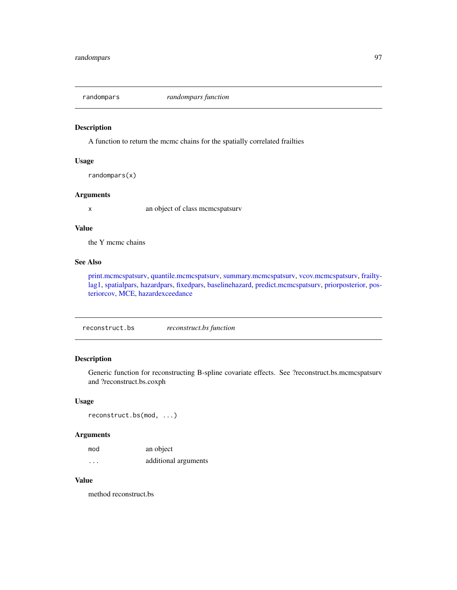<span id="page-96-0"></span>

A function to return the mcmc chains for the spatially correlated frailties

#### Usage

```
randompars(x)
```
## Arguments

x an object of class mcmcspatsurv

#### Value

the Y mcmc chains

## See Also

[print.mcmcspatsurv,](#page-84-0) [quantile.mcmcspatsurv,](#page-94-0) [summary.mcmcspatsurv,](#page-111-0) [vcov.mcmcspatsurv,](#page-122-0) [frailty](#page-35-0)[lag1,](#page-35-0) [spatialpars,](#page-104-0) [hazardpars,](#page-52-0) [fixedpars,](#page-34-0) [baselinehazard,](#page-14-0) [predict.mcmcspatsurv,](#page-82-0) [priorposterior,](#page-86-0) [pos](#page-81-0)[teriorcov,](#page-81-0) [MCE,](#page-69-0) [hazardexceedance](#page-51-0)

reconstruct.bs *reconstruct.bs function*

## Description

Generic function for reconstructing B-spline covariate effects. See ?reconstruct.bs.mcmcspatsurv and ?reconstruct.bs.coxph

## Usage

reconstruct.bs(mod, ...)

### Arguments

| mod | an object            |
|-----|----------------------|
| .   | additional arguments |

## Value

method reconstruct.bs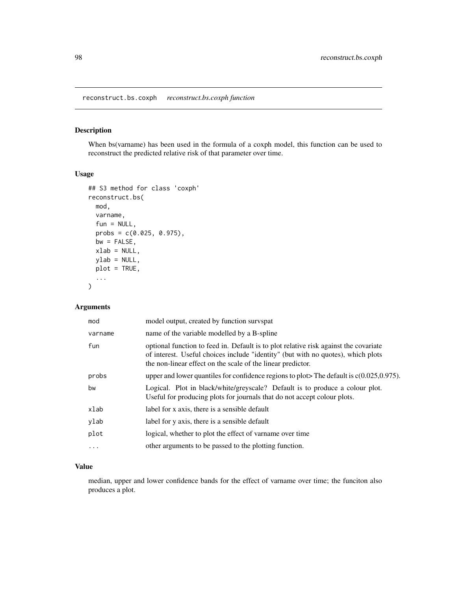reconstruct.bs.coxph *reconstruct.bs.coxph function*

## Description

When bs(varname) has been used in the formula of a coxph model, this function can be used to reconstruct the predicted relative risk of that parameter over time.

## Usage

```
## S3 method for class 'coxph'
reconstruct.bs(
 mod,
 varname,
  fun = NULL,probs = c(0.025, 0.975),
 bw = FALSE,xlab = NULL,
 ylab = NULL,
 plot = TRUE,
  ...
)
```
## Arguments

| mod     | model output, created by function survspat                                                                                                                                                                                              |
|---------|-----------------------------------------------------------------------------------------------------------------------------------------------------------------------------------------------------------------------------------------|
| varname | name of the variable modelled by a B-spline                                                                                                                                                                                             |
| fun     | optional function to feed in. Default is to plot relative risk against the covariate<br>of interest. Useful choices include "identity" (but with no quotes), which plots<br>the non-linear effect on the scale of the linear predictor. |
| probs   | upper and lower quantiles for confidence regions to plot The default is $c(0.025, 0.975)$ .                                                                                                                                             |
| bw      | Logical. Plot in black/white/greyscale? Default is to produce a colour plot.<br>Useful for producing plots for journals that do not accept colour plots.                                                                                |
| xlab    | label for x axis, there is a sensible default                                                                                                                                                                                           |
| ylab    | label for y axis, there is a sensible default                                                                                                                                                                                           |
| plot    | logical, whether to plot the effect of variance over time                                                                                                                                                                               |
| .       | other arguments to be passed to the plotting function.                                                                                                                                                                                  |

## Value

median, upper and lower confidence bands for the effect of varname over time; the funciton also produces a plot.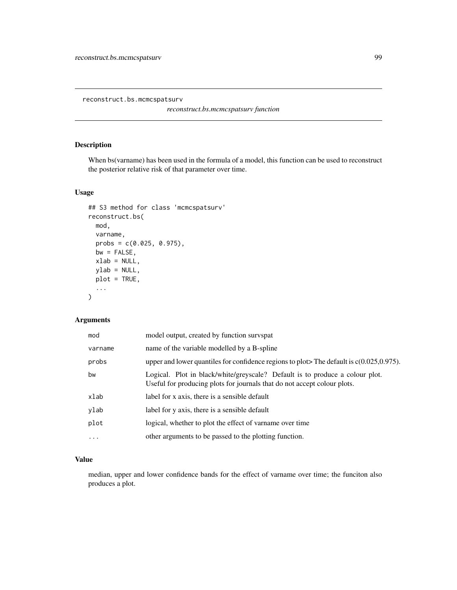reconstruct.bs.mcmcspatsurv

*reconstruct.bs.mcmcspatsurv function*

## Description

When bs(varname) has been used in the formula of a model, this function can be used to reconstruct the posterior relative risk of that parameter over time.

## Usage

```
## S3 method for class 'mcmcspatsurv'
reconstruct.bs(
 mod,
 varname,
 probs = c(0.025, 0.975),
 bw = FALSE,xlab = NULL,
 ylab = NULL,
 plot = TRUE,
  ...
\mathcal{L}
```
## Arguments

| mod      | model output, created by function survspat                                                                                                               |
|----------|----------------------------------------------------------------------------------------------------------------------------------------------------------|
| varname  | name of the variable modelled by a B-spline                                                                                                              |
| probs    | upper and lower quantiles for confidence regions to plot The default is $c(0.025, 0.975)$ .                                                              |
| bw       | Logical. Plot in black/white/greyscale? Default is to produce a colour plot.<br>Useful for producing plots for journals that do not accept colour plots. |
| xlab     | label for x axis, there is a sensible default                                                                                                            |
| ylab     | label for y axis, there is a sensible default                                                                                                            |
| plot     | logical, whether to plot the effect of varname over time                                                                                                 |
| $\cdots$ | other arguments to be passed to the plotting function.                                                                                                   |
|          |                                                                                                                                                          |

# Value

median, upper and lower confidence bands for the effect of varname over time; the funciton also produces a plot.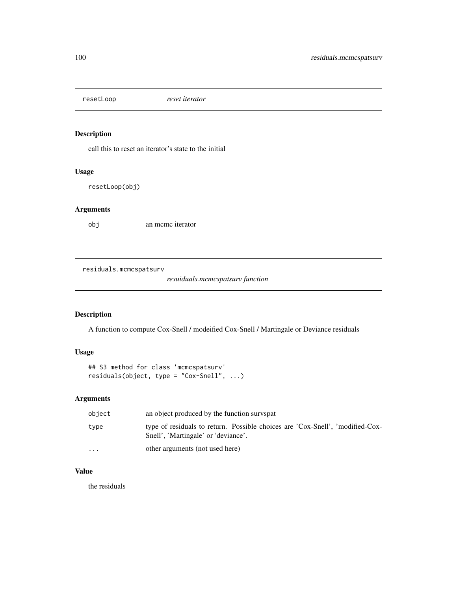resetLoop *reset iterator*

## Description

call this to reset an iterator's state to the initial

# Usage

resetLoop(obj)

# Arguments

obj an mcmc iterator

residuals.mcmcspatsurv

*resuiduals.mcmcspatsurv function*

## Description

A function to compute Cox-Snell / modeified Cox-Snell / Martingale or Deviance residuals

## Usage

```
## S3 method for class 'mcmcspatsurv'
residuals(object, type = "Cox-Snell", ...)
```
# Arguments

| object    | an object produced by the function survspat                                                                          |
|-----------|----------------------------------------------------------------------------------------------------------------------|
| type      | type of residuals to return. Possible choices are 'Cox-Snell', 'modified-Cox-<br>Snell', 'Martingale' or 'deviance'. |
| $\ddotsc$ | other arguments (not used here)                                                                                      |

# Value

the residuals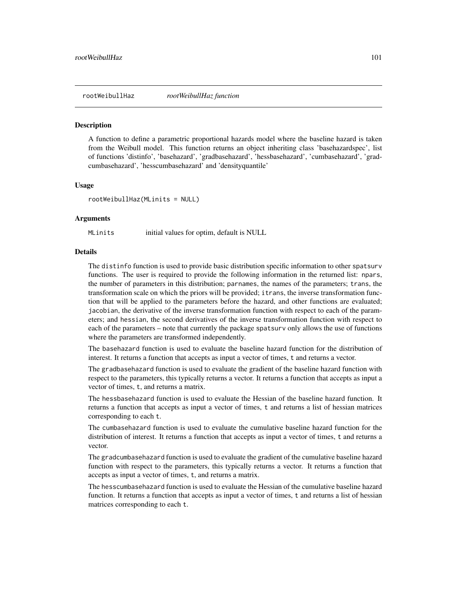A function to define a parametric proportional hazards model where the baseline hazard is taken from the Weibull model. This function returns an object inheriting class 'basehazardspec', list of functions 'distinfo', 'basehazard', 'gradbasehazard', 'hessbasehazard', 'cumbasehazard', 'gradcumbasehazard', 'hesscumbasehazard' and 'densityquantile'

#### Usage

rootWeibullHaz(MLinits = NULL)

#### Arguments

MLinits initial values for optim, default is NULL

#### **Details**

The distinfo function is used to provide basic distribution specific information to other spatsurv functions. The user is required to provide the following information in the returned list: npars, the number of parameters in this distribution; parnames, the names of the parameters; trans, the transformation scale on which the priors will be provided; itrans, the inverse transformation function that will be applied to the parameters before the hazard, and other functions are evaluated; jacobian, the derivative of the inverse transformation function with respect to each of the parameters; and hessian, the second derivatives of the inverse transformation function with respect to each of the parameters – note that currently the package spatsurv only allows the use of functions where the parameters are transformed independently.

The basehazard function is used to evaluate the baseline hazard function for the distribution of interest. It returns a function that accepts as input a vector of times, t and returns a vector.

The gradbasehazard function is used to evaluate the gradient of the baseline hazard function with respect to the parameters, this typically returns a vector. It returns a function that accepts as input a vector of times, t, and returns a matrix.

The hessbasehazard function is used to evaluate the Hessian of the baseline hazard function. It returns a function that accepts as input a vector of times, t and returns a list of hessian matrices corresponding to each t.

The cumbasehazard function is used to evaluate the cumulative baseline hazard function for the distribution of interest. It returns a function that accepts as input a vector of times, t and returns a vector.

The gradcumbasehazard function is used to evaluate the gradient of the cumulative baseline hazard function with respect to the parameters, this typically returns a vector. It returns a function that accepts as input a vector of times, t, and returns a matrix.

The hesscumbasehazard function is used to evaluate the Hessian of the cumulative baseline hazard function. It returns a function that accepts as input a vector of times, t and returns a list of hessian matrices corresponding to each t.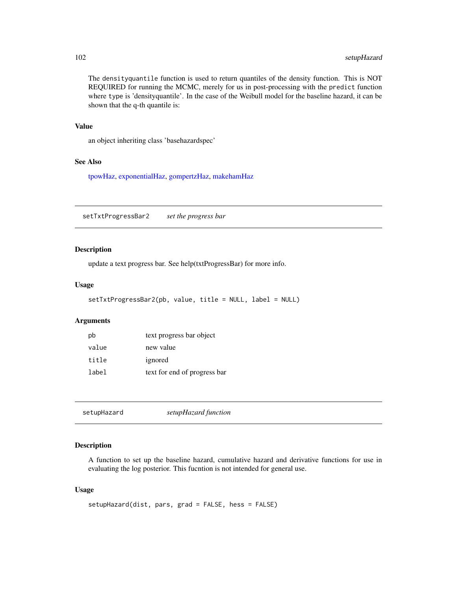The densityquantile function is used to return quantiles of the density function. This is NOT REQUIRED for running the MCMC, merely for us in post-processing with the predict function where type is 'densityquantile'. In the case of the Weibull model for the baseline hazard, it can be shown that the q-th quantile is:

#### Value

an object inheriting class 'basehazardspec'

## See Also

[tpowHaz,](#page-118-0) [exponentialHaz,](#page-32-0) [gompertzHaz,](#page-44-0) [makehamHaz](#page-67-0)

setTxtProgressBar2 *set the progress bar*

## Description

update a text progress bar. See help(txtProgressBar) for more info.

#### Usage

```
setTxtProgressBar2(pb, value, title = NULL, label = NULL)
```
#### Arguments

| pb    | text progress bar object     |
|-------|------------------------------|
| value | new value                    |
| title | ignored                      |
| label | text for end of progress bar |

| setupHazard | setupHazard function |  |
|-------------|----------------------|--|
|             |                      |  |

## Description

A function to set up the baseline hazard, cumulative hazard and derivative functions for use in evaluating the log posterior. This fucntion is not intended for general use.

#### Usage

```
setupHazard(dist, pars, grad = FALSE, hess = FALSE)
```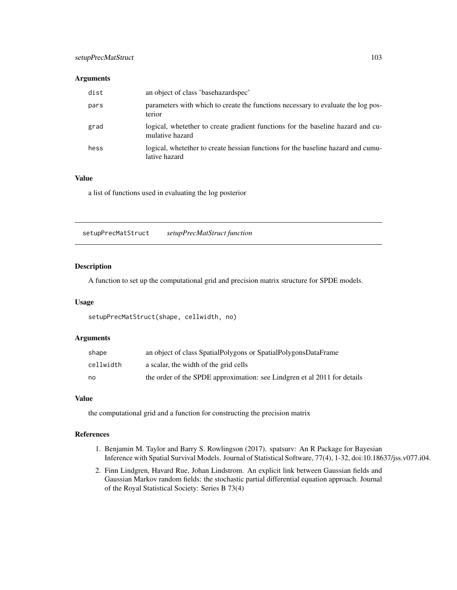## setupPrecMatStruct 103

#### **Arguments**

| dist | an object of class 'basehazardspec'                                                                  |
|------|------------------------------------------------------------------------------------------------------|
| pars | parameters with which to create the functions necessary to evaluate the log pos-<br>terior           |
| grad | logical, whete the r to create gradient functions for the baseline hazard and cu-<br>mulative hazard |
| hess | logical, where the recent experience hesseles for the baseline hazard and cumu-<br>lative hazard     |

### Value

a list of functions used in evaluating the log posterior

setupPrecMatStruct *setupPrecMatStruct function*

## Description

A function to set up the computational grid and precision matrix structure for SPDE models.

#### Usage

```
setupPrecMatStruct(shape, cellwidth, no)
```
#### Arguments

| shape     | an object of class SpatialPolygons or SpatialPolygonsDataFrame           |
|-----------|--------------------------------------------------------------------------|
| cellwidth | a scalar, the width of the grid cells                                    |
| no        | the order of the SPDE approximation: see Lindgren et al 2011 for details |

#### Value

the computational grid and a function for constructing the precision matrix

### References

- 1. Benjamin M. Taylor and Barry S. Rowlingson (2017). spatsurv: An R Package for Bayesian Inference with Spatial Survival Models. Journal of Statistical Software, 77(4), 1-32, doi:10.18637/jss.v077.i04.
- 2. Finn Lindgren, Havard Rue, Johan Lindstrom. An explicit link between Gaussian fields and Gaussian Markov random fields: the stochastic partial differential equation approach. Journal of the Royal Statistical Society: Series B 73(4)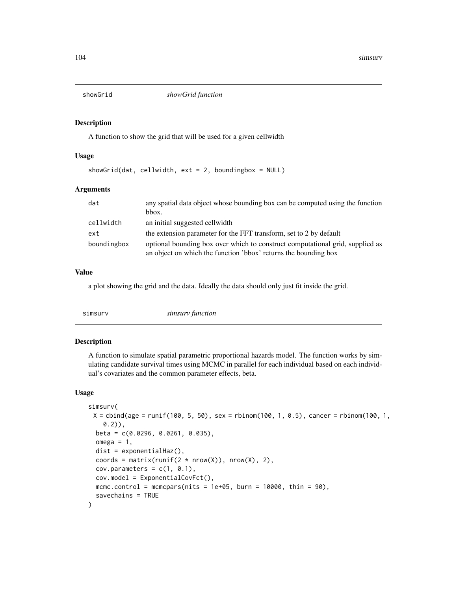A function to show the grid that will be used for a given cellwidth

### Usage

showGrid(dat, cellwidth,  $ext = 2$ , boundingbox = NULL)

## Arguments

| dat         | any spatial data object whose bounding box can be computed using the function<br>bbox.                                                           |
|-------------|--------------------------------------------------------------------------------------------------------------------------------------------------|
| cellwidth   | an initial suggested cellwidth                                                                                                                   |
| ext         | the extension parameter for the FFT transform, set to 2 by default                                                                               |
| boundingbox | optional bounding box over which to construct computational grid, supplied as<br>an object on which the function 'bbox' returns the bounding box |

## Value

a plot showing the grid and the data. Ideally the data should only just fit inside the grid.

|  | simsurv function | simsurv |
|--|------------------|---------|
|--|------------------|---------|

#### Description

A function to simulate spatial parametric proportional hazards model. The function works by simulating candidate survival times using MCMC in parallel for each individual based on each individual's covariates and the common parameter effects, beta.

#### Usage

```
simsurv(
 X = \text{cbind}(age = runif(100, 5, 50), sex = \text{rbinom}(100, 1, 0.5), cancer = \text{rbinom}(100, 1,(0.2),
 beta = c(0.0296, 0.0261, 0.035),
  omega = 1,
  dist = exponentialHaz(),
  coords = matrix(runif(2 * new(X)), nrow(X), 2),
  cov.parameters = c(1, 0.1),cov.model = ExponentialCovFct(),
 mcmc.control = mcmcpars(nits = 1e+05, burn = 10000, thin = 90),
  savechains = TRUE
)
```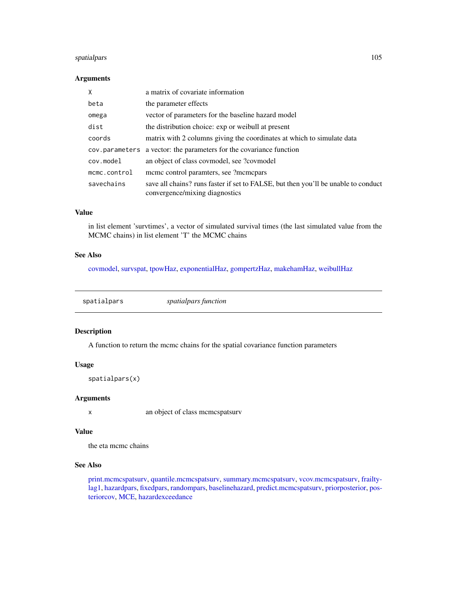## spatialpars 105

### Arguments

| X            | a matrix of covariate information                                                                                    |
|--------------|----------------------------------------------------------------------------------------------------------------------|
| beta         | the parameter effects                                                                                                |
| omega        | vector of parameters for the baseline hazard model                                                                   |
| dist         | the distribution choice: exp or weibull at present                                                                   |
| coords       | matrix with 2 columns giving the coordinates at which to simulate data                                               |
|              | cov. parameters a vector: the parameters for the covariance function                                                 |
| cov.model    | an object of class covmodel, see ?covmodel                                                                           |
| mcmc.control | meme control paramters, see ?memepars                                                                                |
| savechains   | save all chains? runs faster if set to FALSE, but then you'll be unable to conduct<br>convergence/mixing diagnostics |

## Value

in list element 'survtimes', a vector of simulated survival times (the last simulated value from the MCMC chains) in list element 'T' the MCMC chains

## See Also

[covmodel,](#page-22-0) [survspat,](#page-114-0) [tpowHaz,](#page-118-0) [exponentialHaz,](#page-32-0) [gompertzHaz,](#page-44-0) [makehamHaz,](#page-67-0) [weibullHaz](#page-123-0)

<span id="page-104-0"></span>spatialpars *spatialpars function*

## Description

A function to return the mcmc chains for the spatial covariance function parameters

## Usage

spatialpars(x)

### Arguments

x an object of class mcmcspatsurv

#### Value

the eta mcmc chains

## See Also

[print.mcmcspatsurv,](#page-84-0) [quantile.mcmcspatsurv,](#page-94-0) [summary.mcmcspatsurv,](#page-111-0) [vcov.mcmcspatsurv,](#page-122-0) [frailty](#page-35-0)[lag1,](#page-35-0) [hazardpars,](#page-52-0) [fixedpars,](#page-34-0) [randompars,](#page-96-0) [baselinehazard,](#page-14-0) [predict.mcmcspatsurv,](#page-82-0) [priorposterior,](#page-86-0) [pos](#page-81-0)[teriorcov,](#page-81-0) [MCE,](#page-69-0) [hazardexceedance](#page-51-0)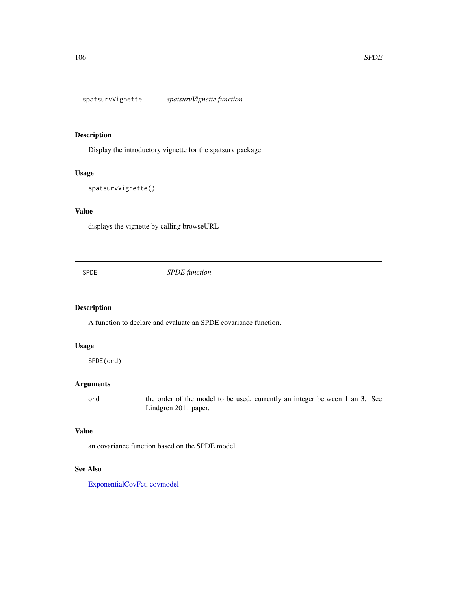spatsurvVignette *spatsurvVignette function*

# Description

Display the introductory vignette for the spatsurv package.

### Usage

```
spatsurvVignette()
```
## Value

displays the vignette by calling browseURL

SPDE *SPDE function*

# Description

A function to declare and evaluate an SPDE covariance function.

## Usage

SPDE(ord)

## Arguments

ord the order of the model to be used, currently an integer between 1 an 3. See Lindgren 2011 paper.

# Value

an covariance function based on the SPDE model

## See Also

[ExponentialCovFct,](#page-31-0) [covmodel](#page-22-0)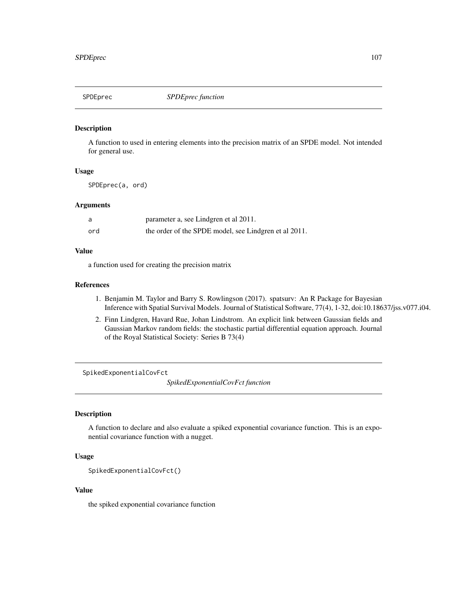A function to used in entering elements into the precision matrix of an SPDE model. Not intended for general use.

## Usage

SPDEprec(a, ord)

## Arguments

| a   | parameter a, see Lindgren et al 2011.                 |
|-----|-------------------------------------------------------|
| ord | the order of the SPDE model, see Lindgren et al 2011. |

## Value

a function used for creating the precision matrix

#### References

- 1. Benjamin M. Taylor and Barry S. Rowlingson (2017). spatsurv: An R Package for Bayesian Inference with Spatial Survival Models. Journal of Statistical Software, 77(4), 1-32, doi:10.18637/jss.v077.i04.
- 2. Finn Lindgren, Havard Rue, Johan Lindstrom. An explicit link between Gaussian fields and Gaussian Markov random fields: the stochastic partial differential equation approach. Journal of the Royal Statistical Society: Series B 73(4)

SpikedExponentialCovFct

*SpikedExponentialCovFct function*

# Description

A function to declare and also evaluate a spiked exponential covariance function. This is an exponential covariance function with a nugget.

#### Usage

```
SpikedExponentialCovFct()
```
## Value

the spiked exponential covariance function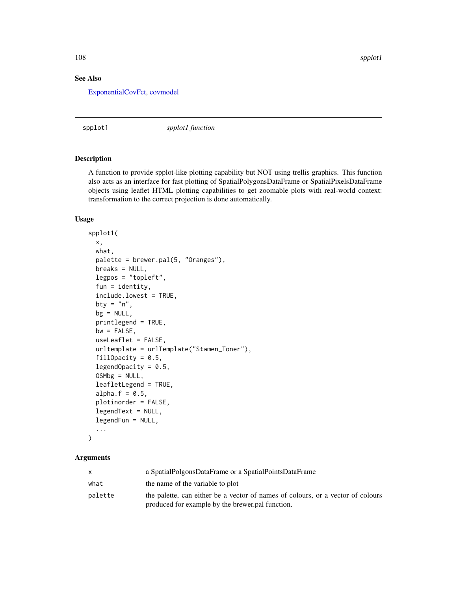## See Also

[ExponentialCovFct,](#page-31-0) [covmodel](#page-22-0)

spplot1 *spplot1 function*

#### Description

A function to provide spplot-like plotting capability but NOT using trellis graphics. This function also acts as an interface for fast plotting of SpatialPolygonsDataFrame or SpatialPixelsDataFrame objects using leaflet HTML plotting capabilities to get zoomable plots with real-world context: transformation to the correct projection is done automatically.

#### Usage

```
spplot1(
 x,
 what,
 palette = brewer.pal(5, "Oranges"),
 breaks = NULL,
  legpos = "topleft",
  fun = identity,
  include.lowest = TRUE,
 bty = "n",bg = NULL,printlegend = TRUE,
 bw = FALSE,useLeaflet = FALSE,
  urltemplate = urlTemplate("Stamen_Toner"),
  fillOpacity = 0.5,
  legendOpacity = 0.5,
  OSMbg = NULL,leafletLegend = TRUE,
  alpha.f = 0.5,
 plotinorder = FALSE,
  legendText = NULL,
  legendFun = NULL,
  ...
```

```
\mathcal{L}
```
## Arguments

|         | a SpatialPolgonsDataFrame or a SpatialPointsDataFrame                                                                               |
|---------|-------------------------------------------------------------------------------------------------------------------------------------|
| what    | the name of the variable to plot                                                                                                    |
| palette | the palette, can either be a vector of names of colours, or a vector of colours<br>produced for example by the brewer pal function. |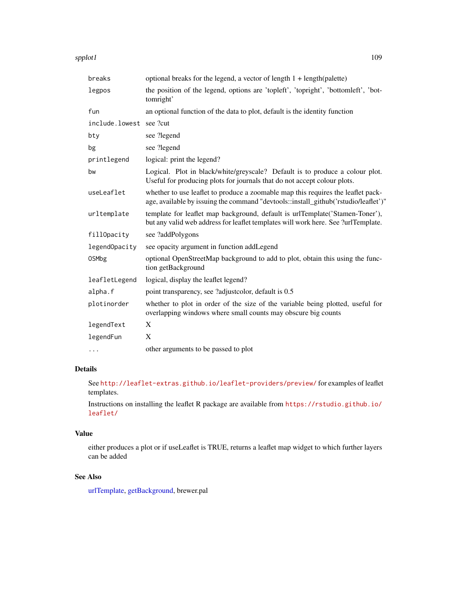#### <span id="page-108-0"></span>spplot1 and the special set of the set of the set of the set of the set of the set of the set of the set of the set of the set of the set of the set of the set of the set of the set of the set of the set of the set of the

| breaks         | optional breaks for the legend, a vector of length $1 + \text{length}(palette)$                                                                                         |
|----------------|-------------------------------------------------------------------------------------------------------------------------------------------------------------------------|
| legpos         | the position of the legend, options are 'topleft', 'topright', 'bottomleft', 'bot-<br>tomright'                                                                         |
| fun            | an optional function of the data to plot, default is the identity function                                                                                              |
| include.lowest | see ?cut                                                                                                                                                                |
| bty            | see ?legend                                                                                                                                                             |
| bg             | see ?legend                                                                                                                                                             |
| printlegend    | logical: print the legend?                                                                                                                                              |
| bw             | Logical. Plot in black/white/greyscale? Default is to produce a colour plot.<br>Useful for producing plots for journals that do not accept colour plots.                |
| useLeaflet     | whether to use leaflet to produce a zoomable map this requires the leaflet pack-<br>age, available by issuing the command "devtools::install_github('rstudio/leaflet')" |
| urltemplate    | template for leaflet map background, default is urlTemplate('Stamen-Toner'),<br>but any valid web address for leaflet templates will work here. See ?urlTemplate.       |
| fillOpacity    | see ?addPolygons                                                                                                                                                        |
| legendOpacity  | see opacity argument in function addLegend                                                                                                                              |
| <b>OSMbg</b>   | optional OpenStreetMap background to add to plot, obtain this using the func-<br>tion getBackground                                                                     |
| leafletLegend  | logical, display the leaflet legend?                                                                                                                                    |
| alpha.f        | point transparency, see ?adjustcolor, default is 0.5                                                                                                                    |
| plotinorder    | whether to plot in order of the size of the variable being plotted, useful for<br>overlapping windows where small counts may obscure big counts                         |
| legendText     | X                                                                                                                                                                       |
| legendFun      | X                                                                                                                                                                       |
| $\cdots$       | other arguments to be passed to plot                                                                                                                                    |

# Details

See <http://leaflet-extras.github.io/leaflet-providers/preview/> for examples of leaflet templates.

Instructions on installing the leaflet R package are available from [https://rstudio.github.io/](https://rstudio.github.io/leaflet/) [leaflet/](https://rstudio.github.io/leaflet/)

# Value

either produces a plot or if useLeaflet is TRUE, returns a leaflet map widget to which further layers can be added

# See Also

[urlTemplate,](#page-121-0) [getBackground,](#page-39-0) brewer.pal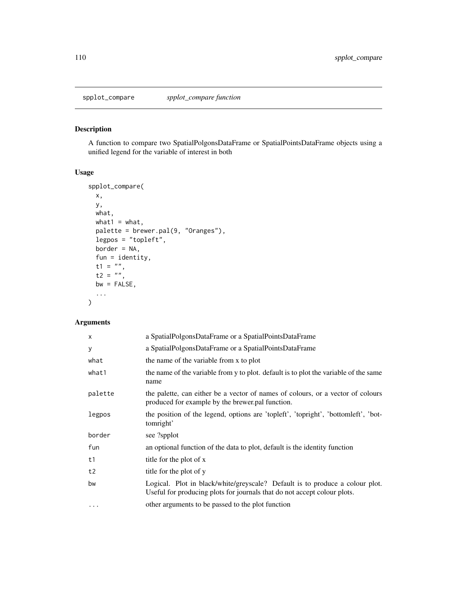<span id="page-109-0"></span>

A function to compare two SpatialPolgonsDataFrame or SpatialPointsDataFrame objects using a unified legend for the variable of interest in both

# Usage

```
spplot_compare(
 x,
 y,
 what,
 what1 = what,palette = brewer.pal(9, "Oranges"),
 legpos = "topleft",
 border = NA,
 fun = identity,
  t1 = "",t2 = "",bw = FALSE,...
\mathcal{L}
```
# Arguments

| $\mathsf{x}$ | a SpatialPolgonsDataFrame or a SpatialPointsDataFrame                                                                                                    |
|--------------|----------------------------------------------------------------------------------------------------------------------------------------------------------|
| У            | a SpatialPolgonsDataFrame or a SpatialPointsDataFrame                                                                                                    |
| what         | the name of the variable from x to plot                                                                                                                  |
| what1        | the name of the variable from y to plot. default is to plot the variable of the same<br>name                                                             |
| palette      | the palette, can either be a vector of names of colours, or a vector of colours<br>produced for example by the brewer.pal function.                      |
| legpos       | the position of the legend, options are 'topleft', 'topright', 'bottomleft', 'bot-<br>tomright'                                                          |
| border       | see ?spplot                                                                                                                                              |
| fun          | an optional function of the data to plot, default is the identity function                                                                               |
| t1           | title for the plot of x                                                                                                                                  |
| t2           | title for the plot of y                                                                                                                                  |
| bw           | Logical. Plot in black/white/greyscale? Default is to produce a colour plot.<br>Useful for producing plots for journals that do not accept colour plots. |
| $\cdots$     | other arguments to be passed to the plot function                                                                                                        |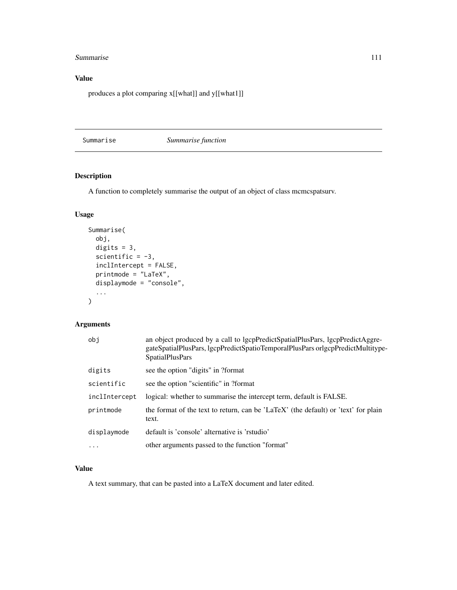#### <span id="page-110-0"></span>Summarise 111

# Value

produces a plot comparing x[[what]] and y[[what1]]

Summarise *Summarise function*

# **Description**

A function to completely summarise the output of an object of class mcmcspatsurv.

# Usage

```
Summarise(
 obj,
 digits = 3,
  scientific = -3,
  inclIntercept = FALSE,
  printmode = "LaTeX",
  displaymode = "console",
  ...
)
```
# Arguments

| obi           | an object produced by a call to lgcpPredictSpatialPlusPars, lgcpPredictAggre-<br>gateSpatialPlusPars, lgcpPredictSpatioTemporalPlusPars orlgcpPredictMultitype-<br><b>SpatialPlusPars</b> |
|---------------|-------------------------------------------------------------------------------------------------------------------------------------------------------------------------------------------|
| digits        | see the option "digits" in ?format                                                                                                                                                        |
| scientific    | see the option "scientific" in ?format                                                                                                                                                    |
| inclIntercept | logical: whether to summarise the intercept term, default is FALSE.                                                                                                                       |
| printmode     | the format of the text to return, can be 'LaTeX' (the default) or 'text' for plain<br>text.                                                                                               |
| displaymode   | default is 'console' alternative is 'rstudio'                                                                                                                                             |
| $\ddotsc$     | other arguments passed to the function "format"                                                                                                                                           |

# Value

A text summary, that can be pasted into a LaTeX document and later edited.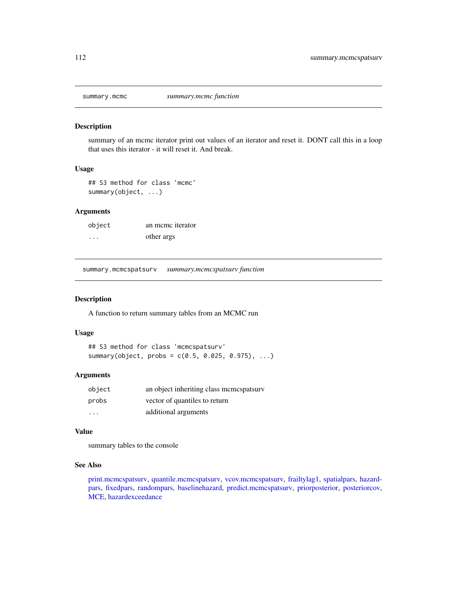<span id="page-111-1"></span>

summary of an mcmc iterator print out values of an iterator and reset it. DONT call this in a loop that uses this iterator - it will reset it. And break.

#### Usage

## S3 method for class 'mcmc' summary(object, ...)

# Arguments

| object   | an meme iterator |
|----------|------------------|
| $\cdots$ | other args       |

<span id="page-111-0"></span>summary.mcmcspatsurv *summary.mcmcspatsurv function*

#### Description

A function to return summary tables from an MCMC run

# Usage

## S3 method for class 'mcmcspatsurv' summary(object, probs = c(0.5, 0.025, 0.975), ...)

#### Arguments

| object | an object inheriting class memespatsury |
|--------|-----------------------------------------|
| probs  | vector of quantiles to return           |
| .      | additional arguments                    |

#### Value

summary tables to the console

#### See Also

[print.mcmcspatsurv,](#page-84-0) [quantile.mcmcspatsurv,](#page-94-0) [vcov.mcmcspatsurv,](#page-122-0) [frailtylag1,](#page-35-0) [spatialpars,](#page-104-0) [hazard](#page-52-0)[pars,](#page-52-0) [fixedpars,](#page-34-0) [randompars,](#page-96-0) [baselinehazard,](#page-14-0) [predict.mcmcspatsurv,](#page-82-0) [priorposterior,](#page-86-0) [posteriorcov,](#page-81-0) [MCE,](#page-69-0) [hazardexceedance](#page-51-0)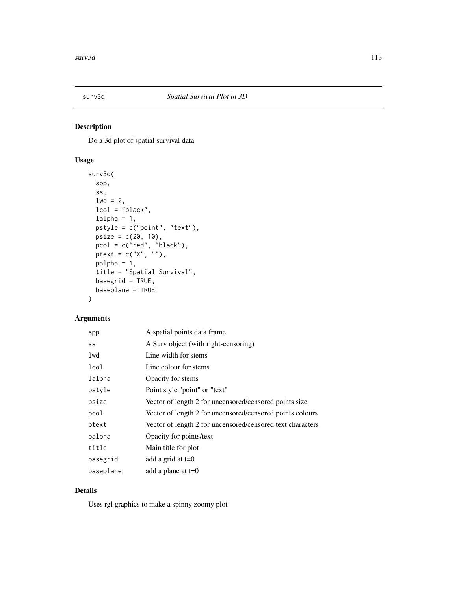<span id="page-112-0"></span>

Do a 3d plot of spatial survival data

# Usage

```
surv3d(
  spp,
 ss,
 1wd = 2,lcol = "black",
 1pstyle = c("point", "text"),
 psize = c(20, 10),
  pcol = c("red", "black"),ptext = c("X", ""),
 palpha = 1,
 title = "Spatial Survival",
 basegrid = TRUE,
 baseplane = TRUE
)
```
### Arguments

| spp       | A spatial points data frame                                |
|-----------|------------------------------------------------------------|
| SS        | A Surv object (with right-censoring)                       |
| lwd       | Line width for stems                                       |
| lcol      | Line colour for stems                                      |
| lalpha    | Opacity for stems                                          |
| pstyle    | Point style "point" or "text"                              |
| psize     | Vector of length 2 for uncensored/censored points size     |
| pcol      | Vector of length 2 for uncensored/censored points colours  |
| ptext     | Vector of length 2 for uncensored/censored text characters |
| palpha    | Opacity for points/text                                    |
| title     | Main title for plot                                        |
| basegrid  | add a grid at $t=0$                                        |
| baseplane | add a plane at $t=0$                                       |

# Details

Uses rgl graphics to make a spinny zoomy plot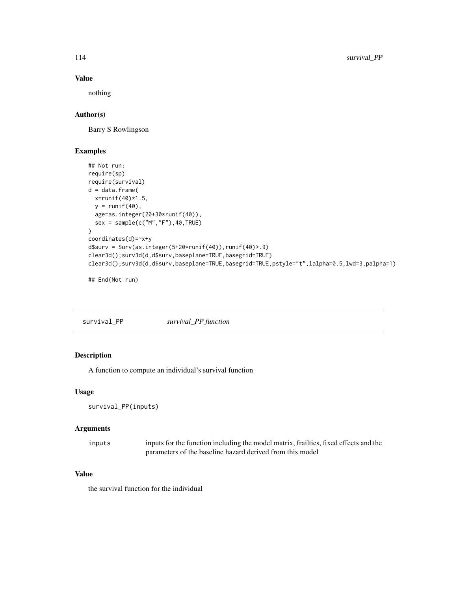# Value

nothing

# Author(s)

Barry S Rowlingson

# Examples

```
## Not run:
require(sp)
require(survival)
d = data frame(x = runif(40)*1.5,
 y = runif(40),
  age=as.integer(20+30*runif(40)),
  sex = sample(c("M","F"),40,TRUE)
\lambdacoordinates(d)=~x+y
d$surv = Surv(as.integer(5+20*runif(40)),runif(40)>.9)
clear3d();surv3d(d,d$surv,baseplane=TRUE,basegrid=TRUE)
clear3d();surv3d(d,d$surv,baseplane=TRUE,basegrid=TRUE,pstyle="t",lalpha=0.5,lwd=3,palpha=1)
```
## End(Not run)

| survival_PP | survival_PP function |
|-------------|----------------------|
|-------------|----------------------|

# Description

A function to compute an individual's survival function

# Usage

```
survival_PP(inputs)
```
#### Arguments

| inputs | inputs for the function including the model matrix, frailties, fixed effects and the |
|--------|--------------------------------------------------------------------------------------|
|        | parameters of the baseline hazard derived from this model                            |

#### Value

the survival function for the individual

<span id="page-113-0"></span>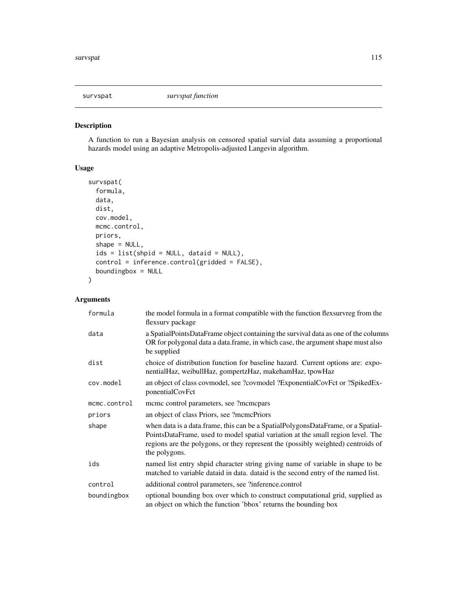<span id="page-114-0"></span>

A function to run a Bayesian analysis on censored spatial survial data assuming a proportional hazards model using an adaptive Metropolis-adjusted Langevin algorithm.

# Usage

```
survspat(
 formula,
 data,
 dist,
 cov.model,
 mcmc.control,
 priors,
  shape = NULL,
  ids = list(shpid = NULL, dataid = NULL),
 control = inference.control(gridded = FALSE),
 boundingbox = NULL
)
```
# Arguments

| formula      | the model formula in a format compatible with the function flexsurvreg from the<br>flexsurv package                                                                                                                                                                      |  |
|--------------|--------------------------------------------------------------------------------------------------------------------------------------------------------------------------------------------------------------------------------------------------------------------------|--|
| data         | a SpatialPointsDataFrame object containing the survival data as one of the columns<br>OR for polygonal data a data.frame, in which case, the argument shape must also<br>be supplied                                                                                     |  |
| dist         | choice of distribution function for baseline hazard. Current options are: expo-<br>nentialHaz, weibullHaz, gompertzHaz, makehamHaz, tpowHaz                                                                                                                              |  |
| cov.model    | an object of class covmodel, see ?covmodel ?ExponentialCovFct or ?SpikedEx-<br>ponentialCovFct                                                                                                                                                                           |  |
| mcmc.control | mcmc control parameters, see ?mcmcpars                                                                                                                                                                                                                                   |  |
| priors       | an object of class Priors, see ?mcmcPriors                                                                                                                                                                                                                               |  |
| shape        | when data is a data.frame, this can be a SpatialPolygonsDataFrame, or a Spatial-<br>PointsDataFrame, used to model spatial variation at the small region level. The<br>regions are the polygons, or they represent the (possibly weighted) centroids of<br>the polygons. |  |
| ids          | named list entry shpid character string giving name of variable in shape to be<br>matched to variable dataid in data. dataid is the second entry of the named list.                                                                                                      |  |
| control      | additional control parameters, see ?inference.control                                                                                                                                                                                                                    |  |
| boundingbox  | optional bounding box over which to construct computational grid, supplied as<br>an object on which the function 'bbox' returns the bounding box                                                                                                                         |  |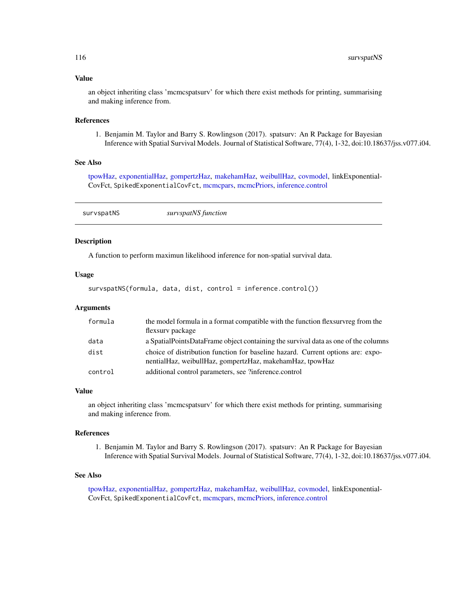#### <span id="page-115-0"></span>Value

an object inheriting class 'mcmcspatsurv' for which there exist methods for printing, summarising and making inference from.

#### References

1. Benjamin M. Taylor and Barry S. Rowlingson (2017). spatsurv: An R Package for Bayesian Inference with Spatial Survival Models. Journal of Statistical Software, 77(4), 1-32, doi:10.18637/jss.v077.i04.

# See Also

[tpowHaz,](#page-118-0) [exponentialHaz,](#page-32-0) [gompertzHaz,](#page-44-0) [makehamHaz,](#page-67-0) [weibullHaz,](#page-123-0) [covmodel,](#page-22-0) linkExponential-CovFct, SpikedExponentialCovFct, [mcmcpars,](#page-70-0) [mcmcPriors,](#page-70-1) [inference.control](#page-58-0)

| survspatNS | survspatNS function |  |
|------------|---------------------|--|
|            |                     |  |

# **Description**

A function to perform maximun likelihood inference for non-spatial survival data.

# Usage

```
survspatNS(formula, data, dist, control = inference.control())
```
#### Arguments

| formula | the model formula in a format compatible with the function flexsurvreg from the<br>flexsury package                                         |
|---------|---------------------------------------------------------------------------------------------------------------------------------------------|
| data    | a SpatialPointsDataFrame object containing the survival data as one of the columns                                                          |
| dist    | choice of distribution function for baseline hazard. Current options are: expo-<br>nentialHaz, weibullHaz, gompertzHaz, makehamHaz, tpowHaz |
| control | additional control parameters, see ?inference.control                                                                                       |

#### Value

an object inheriting class 'mcmcspatsurv' for which there exist methods for printing, summarising and making inference from.

#### References

1. Benjamin M. Taylor and Barry S. Rowlingson (2017). spatsurv: An R Package for Bayesian Inference with Spatial Survival Models. Journal of Statistical Software, 77(4), 1-32, doi:10.18637/jss.v077.i04.

### See Also

[tpowHaz,](#page-118-0) [exponentialHaz,](#page-32-0) [gompertzHaz,](#page-44-0) [makehamHaz,](#page-67-0) [weibullHaz,](#page-123-0) [covmodel,](#page-22-0) linkExponential-CovFct, SpikedExponentialCovFct, [mcmcpars,](#page-70-0) [mcmcPriors,](#page-70-1) [inference.control](#page-58-0)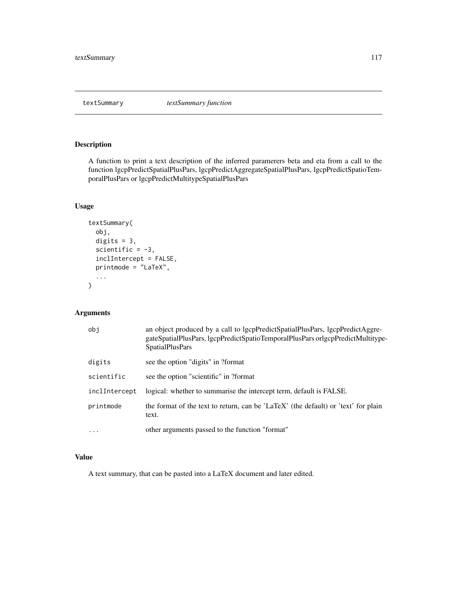<span id="page-116-0"></span>textSummary *textSummary function*

# Description

A function to print a text description of the inferred paramerers beta and eta from a call to the function lgcpPredictSpatialPlusPars, lgcpPredictAggregateSpatialPlusPars, lgcpPredictSpatioTemporalPlusPars or lgcpPredictMultitypeSpatialPlusPars

# Usage

```
textSummary(
  obj,
 digits = 3,
  scientific = -3,
  inclIntercept = FALSE,
 printmode = "LaTeX",
  ...
)
```
# Arguments

| obi           | an object produced by a call to lgcpPredictSpatialPlusPars, lgcpPredictAggre-<br>gateSpatialPlusPars, lgcpPredictSpatioTemporalPlusPars orlgcpPredictMultitype-<br><b>SpatialPlusPars</b> |
|---------------|-------------------------------------------------------------------------------------------------------------------------------------------------------------------------------------------|
| digits        | see the option "digits" in ?format                                                                                                                                                        |
| scientific    | see the option "scientific" in ?format                                                                                                                                                    |
| inclIntercept | logical: whether to summarise the intercept term, default is FALSE.                                                                                                                       |
| printmode     | the format of the text to return, can be 'LaTeX' (the default) or 'text' for plain<br>text.                                                                                               |
| $\ddots$      | other arguments passed to the function "format"                                                                                                                                           |

# Value

A text summary, that can be pasted into a LaTeX document and later edited.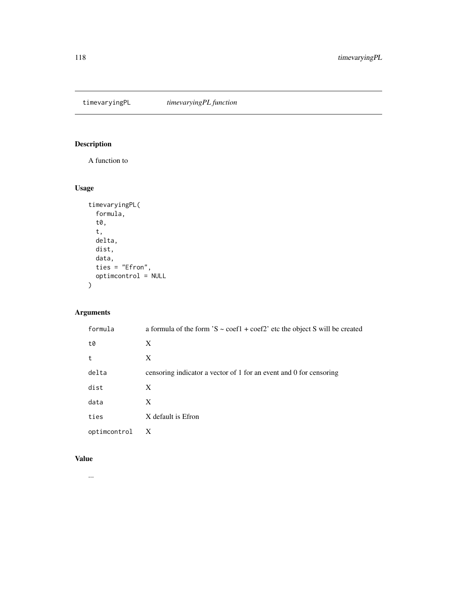<span id="page-117-0"></span>timevaryingPL *timevaryingPL function*

# Description

A function to

# Usage

```
timevaryingPL(
 formula,
  t0,
  t,
 delta,
 dist,
 data,
 ties = "Efron",
 optimcontrol = NULL
)
```
# Arguments

| formula      | a formula of the form $S \sim \text{coeff} + \text{coeff}$ etc the object S will be created |
|--------------|---------------------------------------------------------------------------------------------|
| t0           | X                                                                                           |
| t            | X                                                                                           |
| delta        | censoring indicator a vector of 1 for an event and 0 for censoring                          |
| dist         | X                                                                                           |
| data         | X                                                                                           |
| ties         | X default is Efron                                                                          |
| optimcontrol | X                                                                                           |

# Value

...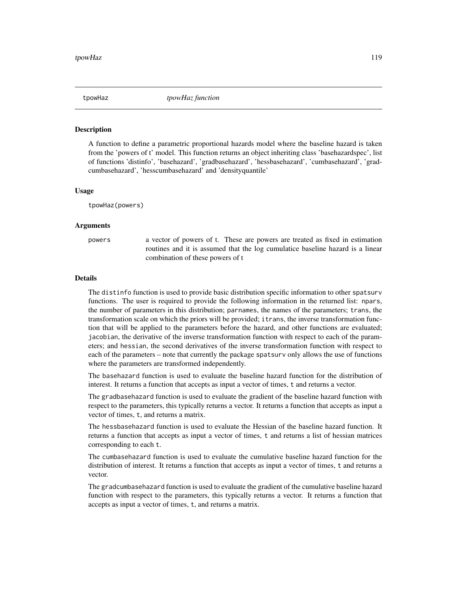<span id="page-118-1"></span><span id="page-118-0"></span>tpowHaz *tpowHaz function*

#### **Description**

A function to define a parametric proportional hazards model where the baseline hazard is taken from the 'powers of t' model. This function returns an object inheriting class 'basehazardspec', list of functions 'distinfo', 'basehazard', 'gradbasehazard', 'hessbasehazard', 'cumbasehazard', 'gradcumbasehazard', 'hesscumbasehazard' and 'densityquantile'

#### Usage

tpowHaz(powers)

#### Arguments

powers a vector of powers of t. These are powers are treated as fixed in estimation routines and it is assumed that the log cumulatice baseline hazard is a linear combination of these powers of t

#### Details

The distinfo function is used to provide basic distribution specific information to other spatsurv functions. The user is required to provide the following information in the returned list: npars, the number of parameters in this distribution; parnames, the names of the parameters; trans, the transformation scale on which the priors will be provided; itrans, the inverse transformation function that will be applied to the parameters before the hazard, and other functions are evaluated; jacobian, the derivative of the inverse transformation function with respect to each of the parameters; and hessian, the second derivatives of the inverse transformation function with respect to each of the parameters – note that currently the package spatsurv only allows the use of functions where the parameters are transformed independently.

The basehazard function is used to evaluate the baseline hazard function for the distribution of interest. It returns a function that accepts as input a vector of times, t and returns a vector.

The gradbasehazard function is used to evaluate the gradient of the baseline hazard function with respect to the parameters, this typically returns a vector. It returns a function that accepts as input a vector of times, t, and returns a matrix.

The hessbasehazard function is used to evaluate the Hessian of the baseline hazard function. It returns a function that accepts as input a vector of times, t and returns a list of hessian matrices corresponding to each t.

The cumbasehazard function is used to evaluate the cumulative baseline hazard function for the distribution of interest. It returns a function that accepts as input a vector of times, t and returns a vector.

The gradcumbasehazard function is used to evaluate the gradient of the cumulative baseline hazard function with respect to the parameters, this typically returns a vector. It returns a function that accepts as input a vector of times, t, and returns a matrix.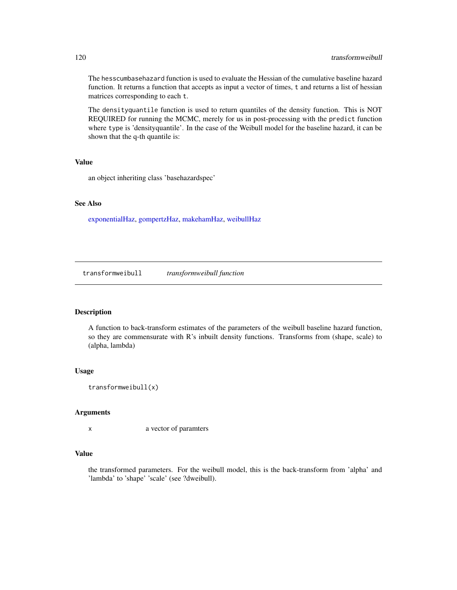<span id="page-119-0"></span>The hesscumbasehazard function is used to evaluate the Hessian of the cumulative baseline hazard function. It returns a function that accepts as input a vector of times, t and returns a list of hessian matrices corresponding to each t.

The densityquantile function is used to return quantiles of the density function. This is NOT REQUIRED for running the MCMC, merely for us in post-processing with the predict function where type is 'densityquantile'. In the case of the Weibull model for the baseline hazard, it can be shown that the q-th quantile is:

# Value

an object inheriting class 'basehazardspec'

#### See Also

[exponentialHaz,](#page-32-0) [gompertzHaz,](#page-44-0) [makehamHaz,](#page-67-0) [weibullHaz](#page-123-0)

transformweibull *transformweibull function*

# Description

A function to back-transform estimates of the parameters of the weibull baseline hazard function, so they are commensurate with R's inbuilt density functions. Transforms from (shape, scale) to (alpha, lambda)

#### Usage

```
transformweibull(x)
```
#### Arguments

x a vector of paramters

#### Value

the transformed parameters. For the weibull model, this is the back-transform from 'alpha' and 'lambda' to 'shape' 'scale' (see ?dweibull).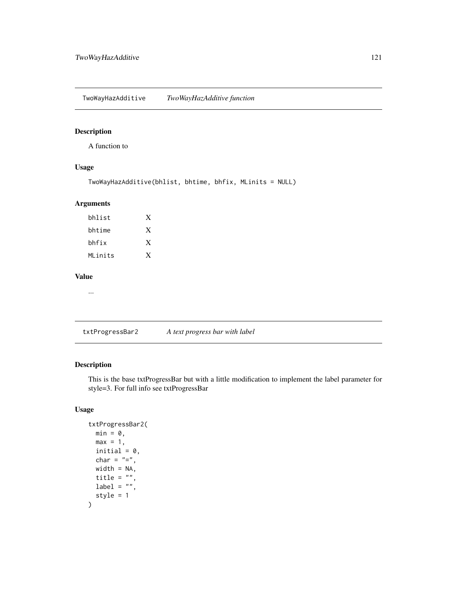<span id="page-120-0"></span>TwoWayHazAdditive *TwoWayHazAdditive function*

#### Description

A function to

# Usage

```
TwoWayHazAdditive(bhlist, bhtime, bhfix, MLinits = NULL)
```
# Arguments

| X |
|---|
| X |
| X |
|   |

#### Value

...

txtProgressBar2 *A text progress bar with label*

# Description

This is the base txtProgressBar but with a little modification to implement the label parameter for style=3. For full info see txtProgressBar

# Usage

```
txtProgressBar2(
  min = 0,max = 1,
  initial = 0,char = " = ",
  width = NA,
  title = ",
  label = "",style = 1
\mathcal{E}
```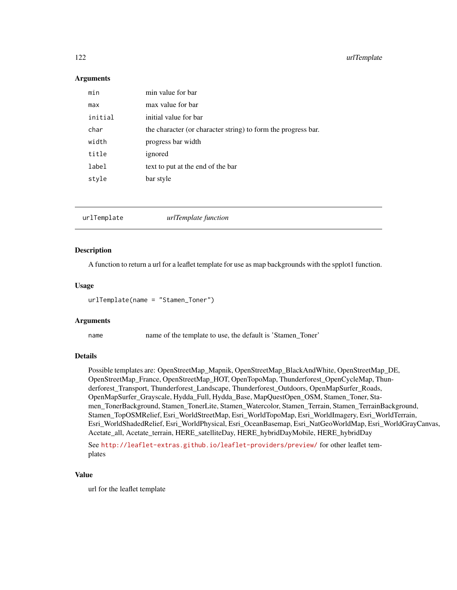#### <span id="page-121-1"></span>Arguments

| min     | min value for bar                                             |
|---------|---------------------------------------------------------------|
| max     | max value for bar                                             |
| initial | initial value for bar                                         |
| char    | the character (or character string) to form the progress bar. |
| width   | progress bar width                                            |
| title   | ignored                                                       |
| label   | text to put at the end of the bar                             |
| style   | bar style                                                     |
|         |                                                               |

<span id="page-121-0"></span>

| urlTemplate function<br>urlTemplate |  |
|-------------------------------------|--|
|-------------------------------------|--|

# Description

A function to return a url for a leaflet template for use as map backgrounds with the spplot1 function.

#### Usage

urlTemplate(name = "Stamen\_Toner")

#### Arguments

name name of the template to use, the default is 'Stamen\_Toner'

### Details

Possible templates are: OpenStreetMap\_Mapnik, OpenStreetMap\_BlackAndWhite, OpenStreetMap\_DE, OpenStreetMap\_France, OpenStreetMap\_HOT, OpenTopoMap, Thunderforest\_OpenCycleMap, Thunderforest\_Transport, Thunderforest\_Landscape, Thunderforest\_Outdoors, OpenMapSurfer\_Roads, OpenMapSurfer\_Grayscale, Hydda\_Full, Hydda\_Base, MapQuestOpen\_OSM, Stamen\_Toner, Stamen\_TonerBackground, Stamen\_TonerLite, Stamen\_Watercolor, Stamen\_Terrain, Stamen\_TerrainBackground, Stamen\_TopOSMRelief, Esri\_WorldStreetMap, Esri\_WorldTopoMap, Esri\_WorldImagery, Esri\_WorldTerrain, Esri\_WorldShadedRelief, Esri\_WorldPhysical, Esri\_OceanBasemap, Esri\_NatGeoWorldMap, Esri\_WorldGrayCanvas, Acetate\_all, Acetate\_terrain, HERE\_satelliteDay, HERE\_hybridDayMobile, HERE\_hybridDay

See <http://leaflet-extras.github.io/leaflet-providers/preview/> for other leaflet templates

# Value

url for the leaflet template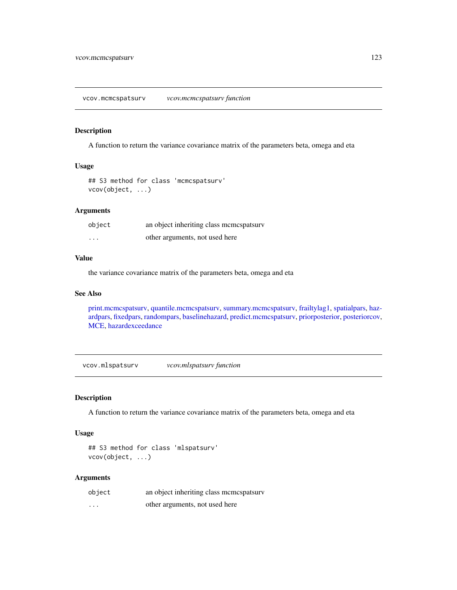<span id="page-122-1"></span><span id="page-122-0"></span>A function to return the variance covariance matrix of the parameters beta, omega and eta

# Usage

```
## S3 method for class 'mcmcspatsurv'
vcov(object, ...)
```
# Arguments

| object   | an object inheriting class memespatsury |
|----------|-----------------------------------------|
| $\cdots$ | other arguments, not used here          |

# Value

the variance covariance matrix of the parameters beta, omega and eta

#### See Also

[print.mcmcspatsurv,](#page-84-0) [quantile.mcmcspatsurv,](#page-94-0) [summary.mcmcspatsurv,](#page-111-0) [frailtylag1,](#page-35-0) [spatialpars,](#page-104-0) [haz](#page-52-0)[ardpars,](#page-52-0) [fixedpars,](#page-34-0) [randompars,](#page-96-0) [baselinehazard,](#page-14-0) [predict.mcmcspatsurv,](#page-82-0) [priorposterior,](#page-86-0) [posteriorcov,](#page-81-0) [MCE,](#page-69-0) [hazardexceedance](#page-51-0)

vcov.mlspatsurv *vcov.mlspatsurv function*

# **Description**

A function to return the variance covariance matrix of the parameters beta, omega and eta

#### Usage

```
## S3 method for class 'mlspatsurv'
vcov(object, ...)
```
#### Arguments

| object   | an object inheriting class memespatsury |
|----------|-----------------------------------------|
| $\cdots$ | other arguments, not used here          |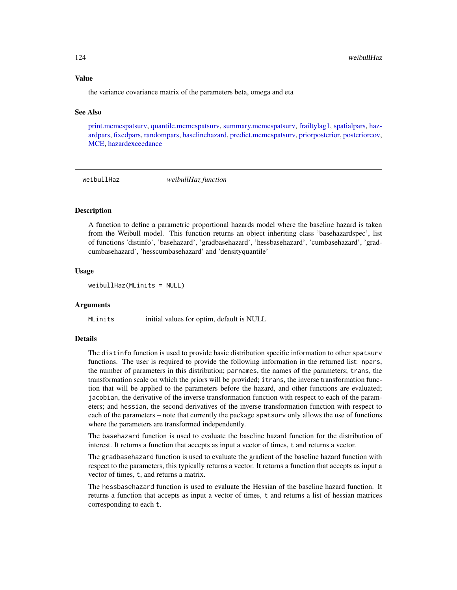#### <span id="page-123-1"></span>Value

the variance covariance matrix of the parameters beta, omega and eta

#### See Also

[print.mcmcspatsurv,](#page-84-0) [quantile.mcmcspatsurv,](#page-94-0) [summary.mcmcspatsurv,](#page-111-0) [frailtylag1,](#page-35-0) [spatialpars,](#page-104-0) [haz](#page-52-0)[ardpars,](#page-52-0) [fixedpars,](#page-34-0) [randompars,](#page-96-0) [baselinehazard,](#page-14-0) [predict.mcmcspatsurv,](#page-82-0) [priorposterior,](#page-86-0) [posteriorcov,](#page-81-0) [MCE,](#page-69-0) [hazardexceedance](#page-51-0)

<span id="page-123-0"></span>weibullHaz *weibullHaz function*

#### **Description**

A function to define a parametric proportional hazards model where the baseline hazard is taken from the Weibull model. This function returns an object inheriting class 'basehazardspec', list of functions 'distinfo', 'basehazard', 'gradbasehazard', 'hessbasehazard', 'cumbasehazard', 'gradcumbasehazard', 'hesscumbasehazard' and 'densityquantile'

#### Usage

weibullHaz(MLinits = NULL)

#### Arguments

MLinits initial values for optim, default is NULL

#### Details

The distinfo function is used to provide basic distribution specific information to other spatsurv functions. The user is required to provide the following information in the returned list: npars, the number of parameters in this distribution; parnames, the names of the parameters; trans, the transformation scale on which the priors will be provided; itrans, the inverse transformation function that will be applied to the parameters before the hazard, and other functions are evaluated; jacobian, the derivative of the inverse transformation function with respect to each of the parameters; and hessian, the second derivatives of the inverse transformation function with respect to each of the parameters – note that currently the package spatsurv only allows the use of functions where the parameters are transformed independently.

The basehazard function is used to evaluate the baseline hazard function for the distribution of interest. It returns a function that accepts as input a vector of times, t and returns a vector.

The gradbasehazard function is used to evaluate the gradient of the baseline hazard function with respect to the parameters, this typically returns a vector. It returns a function that accepts as input a vector of times, t, and returns a matrix.

The hessbasehazard function is used to evaluate the Hessian of the baseline hazard function. It returns a function that accepts as input a vector of times, t and returns a list of hessian matrices corresponding to each t.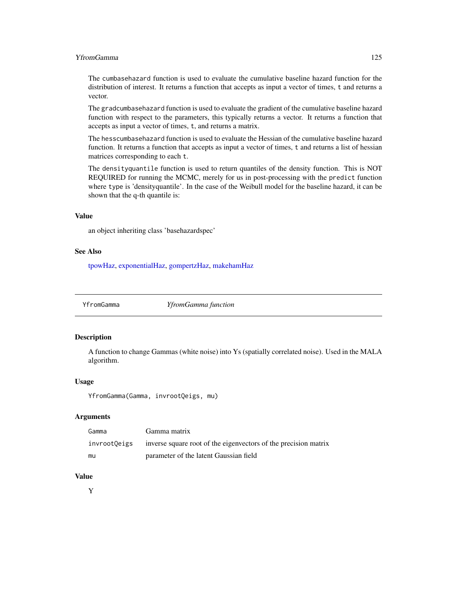#### <span id="page-124-0"></span>YfromGamma 125

The cumbasehazard function is used to evaluate the cumulative baseline hazard function for the distribution of interest. It returns a function that accepts as input a vector of times, t and returns a vector.

The gradcumbasehazard function is used to evaluate the gradient of the cumulative baseline hazard function with respect to the parameters, this typically returns a vector. It returns a function that accepts as input a vector of times, t, and returns a matrix.

The hesscumbasehazard function is used to evaluate the Hessian of the cumulative baseline hazard function. It returns a function that accepts as input a vector of times, t and returns a list of hessian matrices corresponding to each t.

The densityquantile function is used to return quantiles of the density function. This is NOT REQUIRED for running the MCMC, merely for us in post-processing with the predict function where type is 'densityquantile'. In the case of the Weibull model for the baseline hazard, it can be shown that the q-th quantile is:

#### Value

an object inheriting class 'basehazardspec'

#### See Also

[tpowHaz,](#page-118-0) [exponentialHaz,](#page-32-0) [gompertzHaz,](#page-44-0) [makehamHaz](#page-67-0)

YfromGamma *YfromGamma function*

# **Description**

A function to change Gammas (white noise) into Ys (spatially correlated noise). Used in the MALA algorithm.

#### Usage

YfromGamma(Gamma, invrootQeigs, mu)

#### Arguments

| Gamma        | Gamma matrix                                                    |
|--------------|-----------------------------------------------------------------|
| invrootOeigs | inverse square root of the eigenvectors of the precision matrix |
| mu           | parameter of the latent Gaussian field                          |

# Value

Y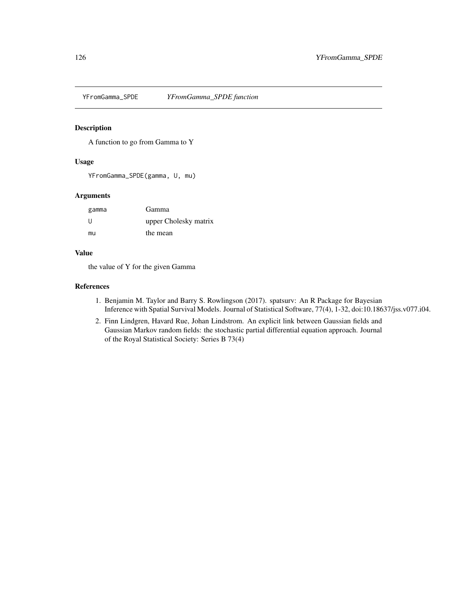<span id="page-125-0"></span>

A function to go from Gamma to Y

#### Usage

YFromGamma\_SPDE(gamma, U, mu)

# Arguments

| gamma | Gamma                 |
|-------|-----------------------|
| -11   | upper Cholesky matrix |
| mu    | the mean              |

#### Value

the value of Y for the given Gamma

### References

- 1. Benjamin M. Taylor and Barry S. Rowlingson (2017). spatsurv: An R Package for Bayesian Inference with Spatial Survival Models. Journal of Statistical Software, 77(4), 1-32, doi:10.18637/jss.v077.i04.
- 2. Finn Lindgren, Havard Rue, Johan Lindstrom. An explicit link between Gaussian fields and Gaussian Markov random fields: the stochastic partial differential equation approach. Journal of the Royal Statistical Society: Series B 73(4)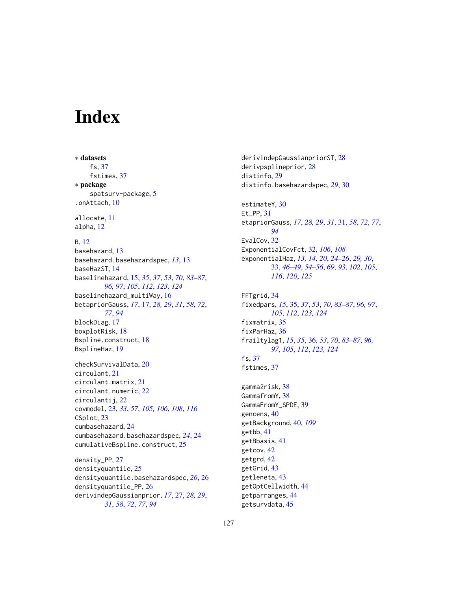# **Index**

∗ datasets fs, [37](#page-36-0) fstimes, [37](#page-36-0) ∗ package spatsurv-package, [5](#page-4-0) .onAttach, [10](#page-9-0) allocate, [11](#page-10-0) alpha, [12](#page-11-0) B, [12](#page-11-0) basehazard, [13](#page-12-0) basehazard.basehazardspec, *[13](#page-12-0)*, [13](#page-12-0) baseHazST, [14](#page-13-0) baselinehazard, [15,](#page-14-1) *[35](#page-34-1)*, *[37](#page-36-0)*, *[53](#page-52-1)*, *[70](#page-69-1)*, *[83–](#page-82-1)[87](#page-86-1)*, *[96,](#page-95-0) [97](#page-96-1)*, *[105](#page-104-1)*, *[112](#page-111-1)*, *[123,](#page-122-1) [124](#page-123-1)* baselinehazard\_multiWay, [16](#page-15-0) betapriorGauss, *[17](#page-16-0)*, [17,](#page-16-0) *[28,](#page-27-0) [29](#page-28-0)*, *[31](#page-30-0)*, *[58](#page-57-0)*, *[72](#page-71-0)*, *[77](#page-76-0)*, *[94](#page-93-0)* blockDiag, [17](#page-16-0) boxplotRisk, [18](#page-17-0) Bspline.construct, [18](#page-17-0) BsplineHaz, [19](#page-18-0) checkSurvivalData, [20](#page-19-0) circulant, [21](#page-20-0) circulant.matrix, [21](#page-20-0) circulant.numeric, [22](#page-21-0) circulantij, [22](#page-21-0) covmodel, [23,](#page-22-1) *[33](#page-32-1)*, *[57](#page-56-0)*, *[105,](#page-104-1) [106](#page-105-0)*, *[108](#page-107-0)*, *[116](#page-115-0)* CSplot, [23](#page-22-1) cumbasehazard, [24](#page-23-0) cumbasehazard.basehazardspec, *[24](#page-23-0)*, [24](#page-23-0) cumulativeBspline.construct, [25](#page-24-0) density\_PP, [27](#page-26-0)

densityquantile, [25](#page-24-0) densityquantile.basehazardspec, *[26](#page-25-0)*, [26](#page-25-0) densityquantile\_PP, [26](#page-25-0) derivindepGaussianprior, *[17](#page-16-0)*, [27,](#page-26-0) *[28,](#page-27-0) [29](#page-28-0)*, *[31](#page-30-0)*, *[58](#page-57-0)*, *[72](#page-71-0)*, *[77](#page-76-0)*, *[94](#page-93-0)*

derivindepGaussianpriorST, [28](#page-27-0) derivpsplineprior, [28](#page-27-0) distinfo, [29](#page-28-0) distinfo.basehazardspec, *[29](#page-28-0)*, [30](#page-29-0)

estimateY, [30](#page-29-0) Et\_PP, [31](#page-30-0) etapriorGauss, *[17](#page-16-0)*, *[28,](#page-27-0) [29](#page-28-0)*, *[31](#page-30-0)*, [31,](#page-30-0) *[58](#page-57-0)*, *[72](#page-71-0)*, *[77](#page-76-0)*, *[94](#page-93-0)* EvalCov, [32](#page-31-0) ExponentialCovFct, [32,](#page-31-0) *[106](#page-105-0)*, *[108](#page-107-0)* exponentialHaz, *[13,](#page-12-0) [14](#page-13-0)*, *[20](#page-19-0)*, *[24](#page-23-0)[–26](#page-25-0)*, *[29,](#page-28-0) [30](#page-29-0)*, [33,](#page-32-1) *[46](#page-45-0)[–49](#page-48-0)*, *[54](#page-53-0)[–56](#page-55-0)*, *[69](#page-68-0)*, *[93](#page-92-0)*, *[102](#page-101-0)*, *[105](#page-104-1)*, *[116](#page-115-0)*, *[120](#page-119-0)*, *[125](#page-124-0)*

FFTgrid, [34](#page-33-0) fixedpars, *[15](#page-14-1)*, [35,](#page-34-1) *[37](#page-36-0)*, *[53](#page-52-1)*, *[70](#page-69-1)*, *[83](#page-82-1)[–87](#page-86-1)*, *[96,](#page-95-0) [97](#page-96-1)*, *[105](#page-104-1)*, *[112](#page-111-1)*, *[123,](#page-122-1) [124](#page-123-1)* fixmatrix, [35](#page-34-1) fixParHaz, [36](#page-35-1) frailtylag1, *[15](#page-14-1)*, *[35](#page-34-1)*, [36,](#page-35-1) *[53](#page-52-1)*, *[70](#page-69-1)*, *[83](#page-82-1)[–87](#page-86-1)*, *[96,](#page-95-0) [97](#page-96-1)*, *[105](#page-104-1)*, *[112](#page-111-1)*, *[123,](#page-122-1) [124](#page-123-1)* fs, [37](#page-36-0) fstimes, [37](#page-36-0)

gamma2risk, [38](#page-37-0) GammafromY, [38](#page-37-0) GammaFromY\_SPDE, [39](#page-38-0) gencens, [40](#page-39-1) getBackground, [40,](#page-39-1) *[109](#page-108-0)* getbb, [41](#page-40-0) getBbasis, [41](#page-40-0) getcov, [42](#page-41-0) getgrd, [42](#page-41-0) getGrid, [43](#page-42-0) getleneta, [43](#page-42-0) getOptCellwidth, [44](#page-43-0) getparranges, [44](#page-43-0) getsurvdata, [45](#page-44-1)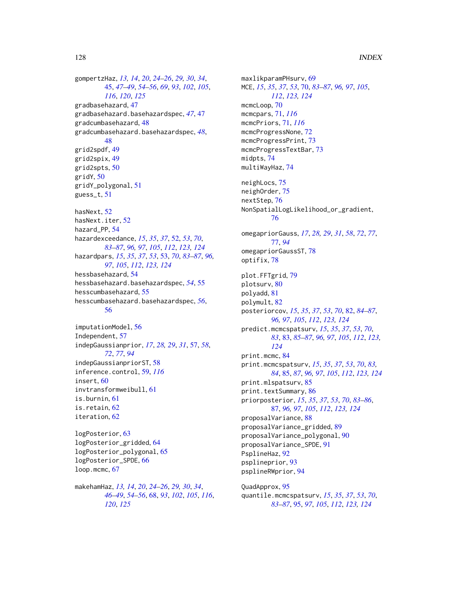gompertzHaz, *[13,](#page-12-0) [14](#page-13-0)*, *[20](#page-19-0)*, *[24–](#page-23-0)[26](#page-25-0)*, *[29,](#page-28-0) [30](#page-29-0)*, *[34](#page-33-0)*, [45,](#page-44-1) *[47](#page-46-0)[–49](#page-48-0)*, *[54–](#page-53-0)[56](#page-55-0)*, *[69](#page-68-0)*, *[93](#page-92-0)*, *[102](#page-101-0)*, *[105](#page-104-1)*, *[116](#page-115-0)*, *[120](#page-119-0)*, *[125](#page-124-0)* gradbasehazard, [47](#page-46-0) gradbasehazard.basehazardspec, *[47](#page-46-0)*, [47](#page-46-0) gradcumbasehazard, [48](#page-47-0) gradcumbasehazard.basehazardspec, *[48](#page-47-0)*, [48](#page-47-0) grid2spdf, [49](#page-48-0) grid2spix, [49](#page-48-0) grid2spts, [50](#page-49-0) gridY, [50](#page-49-0) gridY\_polygonal, [51](#page-50-0) guess\_t, [51](#page-50-0) hasNext, [52](#page-51-1) hasNext.iter, [52](#page-51-1) hazard\_PP, [54](#page-53-0) hazardexceedance, *[15](#page-14-1)*, *[35](#page-34-1)*, *[37](#page-36-0)*, [52,](#page-51-1) *[53](#page-52-1)*, *[70](#page-69-1)*, *[83](#page-82-1)[–87](#page-86-1)*, *[96,](#page-95-0) [97](#page-96-1)*, *[105](#page-104-1)*, *[112](#page-111-1)*, *[123,](#page-122-1) [124](#page-123-1)* hazardpars, *[15](#page-14-1)*, *[35](#page-34-1)*, *[37](#page-36-0)*, *[53](#page-52-1)*, [53,](#page-52-1) *[70](#page-69-1)*, *[83–](#page-82-1)[87](#page-86-1)*, *[96,](#page-95-0) [97](#page-96-1)*, *[105](#page-104-1)*, *[112](#page-111-1)*, *[123,](#page-122-1) [124](#page-123-1)* hessbasehazard, [54](#page-53-0) hessbasehazard.basehazardspec, *[54](#page-53-0)*, [55](#page-54-0) hesscumbasehazard, [55](#page-54-0) hesscumbasehazard.basehazardspec, *[56](#page-55-0)*, [56](#page-55-0) imputationModel, [56](#page-55-0) Independent, [57](#page-56-0) indepGaussianprior, *[17](#page-16-0)*, *[28,](#page-27-0) [29](#page-28-0)*, *[31](#page-30-0)*, [57,](#page-56-0) *[58](#page-57-0)*,

*[72](#page-71-0)*, *[77](#page-76-0)*, *[94](#page-93-0)* indepGaussianpriorST, [58](#page-57-0) inference.control, [59,](#page-58-1) *[116](#page-115-0)* insert, [60](#page-59-0) invtransformweibull, [61](#page-60-0) is.burnin, [61](#page-60-0) is.retain, [62](#page-61-0) iteration, [62](#page-61-0)

logPosterior, [63](#page-62-0) logPosterior\_gridded, [64](#page-63-0) logPosterior\_polygonal, [65](#page-64-0) logPosterior\_SPDE, [66](#page-65-0) loop.mcmc, [67](#page-66-0)

makehamHaz, *[13,](#page-12-0) [14](#page-13-0)*, *[20](#page-19-0)*, *[24–](#page-23-0)[26](#page-25-0)*, *[29,](#page-28-0) [30](#page-29-0)*, *[34](#page-33-0)*, *[46](#page-45-0)[–49](#page-48-0)*, *[54](#page-53-0)[–56](#page-55-0)*, [68,](#page-67-1) *[93](#page-92-0)*, *[102](#page-101-0)*, *[105](#page-104-1)*, *[116](#page-115-0)*, *[120](#page-119-0)*, *[125](#page-124-0)*

maxlikparamPHsurv, [69](#page-68-0) MCE, *[15](#page-14-1)*, *[35](#page-34-1)*, *[37](#page-36-0)*, *[53](#page-52-1)*, [70,](#page-69-1) *[83](#page-82-1)[–87](#page-86-1)*, *[96,](#page-95-0) [97](#page-96-1)*, *[105](#page-104-1)*, *[112](#page-111-1)*, *[123,](#page-122-1) [124](#page-123-1)* mcmcLoop, [70](#page-69-1) mcmcpars, [71,](#page-70-2) *[116](#page-115-0)* mcmcPriors, [71,](#page-70-2) *[116](#page-115-0)* mcmcProgressNone, [72](#page-71-0) mcmcProgressPrint, [73](#page-72-0) mcmcProgressTextBar, [73](#page-72-0) midpts, [74](#page-73-0) multiWayHaz, [74](#page-73-0) neighLocs, [75](#page-74-0) neighOrder, [75](#page-74-0) nextStep, [76](#page-75-0) NonSpatialLogLikelihood\_or\_gradient, [76](#page-75-0) omegapriorGauss, *[17](#page-16-0)*, *[28,](#page-27-0) [29](#page-28-0)*, *[31](#page-30-0)*, *[58](#page-57-0)*, *[72](#page-71-0)*, *[77](#page-76-0)*, [77,](#page-76-0) *[94](#page-93-0)* omegapriorGaussST, [78](#page-77-0) optifix, [78](#page-77-0) plot.FFTgrid, [79](#page-78-0) plotsurv, [80](#page-79-0) polyadd, [81](#page-80-0) polymult, [82](#page-81-1) posteriorcov, *[15](#page-14-1)*, *[35](#page-34-1)*, *[37](#page-36-0)*, *[53](#page-52-1)*, *[70](#page-69-1)*, [82,](#page-81-1) *[84](#page-83-0)[–87](#page-86-1)*, *[96,](#page-95-0) [97](#page-96-1)*, *[105](#page-104-1)*, *[112](#page-111-1)*, *[123,](#page-122-1) [124](#page-123-1)* predict.mcmcspatsurv, *[15](#page-14-1)*, *[35](#page-34-1)*, *[37](#page-36-0)*, *[53](#page-52-1)*, *[70](#page-69-1)*, *[83](#page-82-1)*, [83,](#page-82-1) *[85](#page-84-1)[–87](#page-86-1)*, *[96,](#page-95-0) [97](#page-96-1)*, *[105](#page-104-1)*, *[112](#page-111-1)*, *[123,](#page-122-1) [124](#page-123-1)* print.mcmc, [84](#page-83-0) print.mcmcspatsurv, *[15](#page-14-1)*, *[35](#page-34-1)*, *[37](#page-36-0)*, *[53](#page-52-1)*, *[70](#page-69-1)*, *[83,](#page-82-1) [84](#page-83-0)*, [85,](#page-84-1) *[87](#page-86-1)*, *[96,](#page-95-0) [97](#page-96-1)*, *[105](#page-104-1)*, *[112](#page-111-1)*, *[123,](#page-122-1) [124](#page-123-1)* print.mlspatsurv, [85](#page-84-1) print.textSummary, [86](#page-85-0) priorposterior, *[15](#page-14-1)*, *[35](#page-34-1)*, *[37](#page-36-0)*, *[53](#page-52-1)*, *[70](#page-69-1)*, *[83](#page-82-1)[–86](#page-85-0)*, [87,](#page-86-1) *[96,](#page-95-0) [97](#page-96-1)*, *[105](#page-104-1)*, *[112](#page-111-1)*, *[123,](#page-122-1) [124](#page-123-1)* proposalVariance, [88](#page-87-0) proposalVariance\_gridded, [89](#page-88-0) proposalVariance\_polygonal, [90](#page-89-0) proposalVariance\_SPDE, [91](#page-90-0) PsplineHaz, [92](#page-91-0) psplineprior, [93](#page-92-0) psplineRWprior, [94](#page-93-0)

QuadApprox, [95](#page-94-1) quantile.mcmcspatsurv, *[15](#page-14-1)*, *[35](#page-34-1)*, *[37](#page-36-0)*, *[53](#page-52-1)*, *[70](#page-69-1)*, *[83](#page-82-1)[–87](#page-86-1)*, [95,](#page-94-1) *[97](#page-96-1)*, *[105](#page-104-1)*, *[112](#page-111-1)*, *[123,](#page-122-1) [124](#page-123-1)*